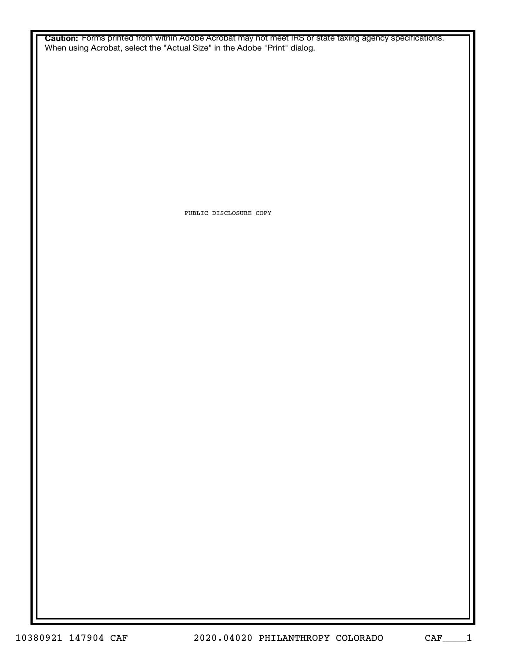**Caution:** Forms printed from within Adobe Acrobat may not meet IRS or state taxing agency specifications. When using Acrobat, select the "Actual Size" in the Adobe "Print" dialog.

PUBLIC DISCLOSURE COPY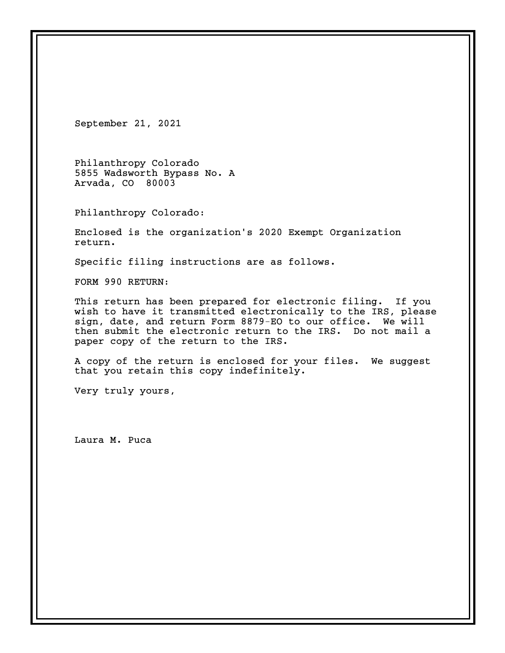September 21, 2021

Philanthropy Colorado 5855 Wadsworth Bypass No. A Arvada, CO 80003

Philanthropy Colorado:

Enclosed is the organization's 2020 Exempt Organization return.

Specific filing instructions are as follows.

FORM 990 RETURN:

This return has been prepared for electronic filing. If you wish to have it transmitted electronically to the IRS, please sign, date, and return Form 8879-EO to our office. We will then submit the electronic return to the IRS. Do not mail a paper copy of the return to the IRS.

A copy of the return is enclosed for your files. We suggest that you retain this copy indefinitely.

Very truly yours,

Laura M. Puca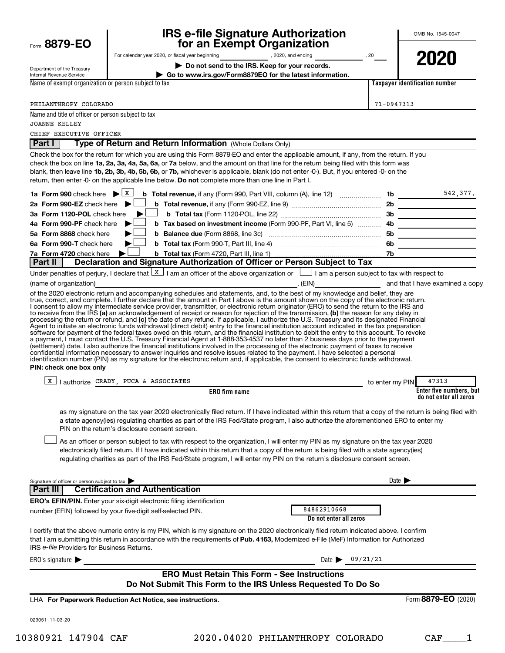| Form 8879-EO                                                               | <b>IRS e-file Signature Authorization</b><br>for an Exempt Organization                                                                                                                                                                                                                                                                                                                                                                                                                                                                                                                                                                                                                                                                                                                                                                                                                                                                                                                                                                                                                                                                                                                                                                                                                                                                                                                                                                                                                                                                                                                                                                                                                                                                                                                                                                                                                                                                                                                                                                                                                                            |                       | OMB No. 1545-0047                                          |
|----------------------------------------------------------------------------|--------------------------------------------------------------------------------------------------------------------------------------------------------------------------------------------------------------------------------------------------------------------------------------------------------------------------------------------------------------------------------------------------------------------------------------------------------------------------------------------------------------------------------------------------------------------------------------------------------------------------------------------------------------------------------------------------------------------------------------------------------------------------------------------------------------------------------------------------------------------------------------------------------------------------------------------------------------------------------------------------------------------------------------------------------------------------------------------------------------------------------------------------------------------------------------------------------------------------------------------------------------------------------------------------------------------------------------------------------------------------------------------------------------------------------------------------------------------------------------------------------------------------------------------------------------------------------------------------------------------------------------------------------------------------------------------------------------------------------------------------------------------------------------------------------------------------------------------------------------------------------------------------------------------------------------------------------------------------------------------------------------------------------------------------------------------------------------------------------------------|-----------------------|------------------------------------------------------------|
|                                                                            | For calendar year 2020, or fiscal year beginning 2020, and ending 30 2020, and ending                                                                                                                                                                                                                                                                                                                                                                                                                                                                                                                                                                                                                                                                                                                                                                                                                                                                                                                                                                                                                                                                                                                                                                                                                                                                                                                                                                                                                                                                                                                                                                                                                                                                                                                                                                                                                                                                                                                                                                                                                              |                       | 2020                                                       |
| Department of the Treasury<br><b>Internal Revenue Service</b>              | Do not send to the IRS. Keep for your records.<br>Go to www.irs.gov/Form8879EO for the latest information.                                                                                                                                                                                                                                                                                                                                                                                                                                                                                                                                                                                                                                                                                                                                                                                                                                                                                                                                                                                                                                                                                                                                                                                                                                                                                                                                                                                                                                                                                                                                                                                                                                                                                                                                                                                                                                                                                                                                                                                                         |                       |                                                            |
| Name of exempt organization or person subject to tax                       |                                                                                                                                                                                                                                                                                                                                                                                                                                                                                                                                                                                                                                                                                                                                                                                                                                                                                                                                                                                                                                                                                                                                                                                                                                                                                                                                                                                                                                                                                                                                                                                                                                                                                                                                                                                                                                                                                                                                                                                                                                                                                                                    |                       | Taxpayer identification number                             |
|                                                                            |                                                                                                                                                                                                                                                                                                                                                                                                                                                                                                                                                                                                                                                                                                                                                                                                                                                                                                                                                                                                                                                                                                                                                                                                                                                                                                                                                                                                                                                                                                                                                                                                                                                                                                                                                                                                                                                                                                                                                                                                                                                                                                                    |                       |                                                            |
| PHILANTHROPY COLORADO                                                      |                                                                                                                                                                                                                                                                                                                                                                                                                                                                                                                                                                                                                                                                                                                                                                                                                                                                                                                                                                                                                                                                                                                                                                                                                                                                                                                                                                                                                                                                                                                                                                                                                                                                                                                                                                                                                                                                                                                                                                                                                                                                                                                    | 71-0947313            |                                                            |
| Name and title of officer or person subject to tax<br><b>JOANNE KELLEY</b> |                                                                                                                                                                                                                                                                                                                                                                                                                                                                                                                                                                                                                                                                                                                                                                                                                                                                                                                                                                                                                                                                                                                                                                                                                                                                                                                                                                                                                                                                                                                                                                                                                                                                                                                                                                                                                                                                                                                                                                                                                                                                                                                    |                       |                                                            |
| CHIEF EXECUTIVE OFFICER<br>Part I                                          | Type of Return and Return Information (Whole Dollars Only)                                                                                                                                                                                                                                                                                                                                                                                                                                                                                                                                                                                                                                                                                                                                                                                                                                                                                                                                                                                                                                                                                                                                                                                                                                                                                                                                                                                                                                                                                                                                                                                                                                                                                                                                                                                                                                                                                                                                                                                                                                                         |                       |                                                            |
|                                                                            | Check the box for the return for which you are using this Form 8879-EO and enter the applicable amount, if any, from the return. If you<br>check the box on line 1a, 2a, 3a, 4a, 5a, 6a, or 7a below, and the amount on that line for the return being filed with this form was<br>blank, then leave line 1b, 2b, 3b, 4b, 5b, 6b, or 7b, whichever is applicable, blank (do not enter -0-). But, if you entered -0- on the<br>return, then enter -0- on the applicable line below. Do not complete more than one line in Part I.                                                                                                                                                                                                                                                                                                                                                                                                                                                                                                                                                                                                                                                                                                                                                                                                                                                                                                                                                                                                                                                                                                                                                                                                                                                                                                                                                                                                                                                                                                                                                                                   |                       |                                                            |
| 1a Form 990 check here $\mathbf{E}[\mathbf{x}]$                            | <b>b</b> Total revenue, if any (Form 990, Part VIII, column (A), line 12) $\ldots$ 1b $\ldots$ 1b                                                                                                                                                                                                                                                                                                                                                                                                                                                                                                                                                                                                                                                                                                                                                                                                                                                                                                                                                                                                                                                                                                                                                                                                                                                                                                                                                                                                                                                                                                                                                                                                                                                                                                                                                                                                                                                                                                                                                                                                                  |                       |                                                            |
| 2a Form 990-EZ check here $\blacktriangleright$                            |                                                                                                                                                                                                                                                                                                                                                                                                                                                                                                                                                                                                                                                                                                                                                                                                                                                                                                                                                                                                                                                                                                                                                                                                                                                                                                                                                                                                                                                                                                                                                                                                                                                                                                                                                                                                                                                                                                                                                                                                                                                                                                                    |                       |                                                            |
| 3a Form 1120-POL check here                                                |                                                                                                                                                                                                                                                                                                                                                                                                                                                                                                                                                                                                                                                                                                                                                                                                                                                                                                                                                                                                                                                                                                                                                                                                                                                                                                                                                                                                                                                                                                                                                                                                                                                                                                                                                                                                                                                                                                                                                                                                                                                                                                                    |                       |                                                            |
| 4a Form 990-PF check here                                                  |                                                                                                                                                                                                                                                                                                                                                                                                                                                                                                                                                                                                                                                                                                                                                                                                                                                                                                                                                                                                                                                                                                                                                                                                                                                                                                                                                                                                                                                                                                                                                                                                                                                                                                                                                                                                                                                                                                                                                                                                                                                                                                                    |                       |                                                            |
| 5a Form 8868 check here<br>6a Form 990-T check here                        |                                                                                                                                                                                                                                                                                                                                                                                                                                                                                                                                                                                                                                                                                                                                                                                                                                                                                                                                                                                                                                                                                                                                                                                                                                                                                                                                                                                                                                                                                                                                                                                                                                                                                                                                                                                                                                                                                                                                                                                                                                                                                                                    |                       |                                                            |
| 7a Form 4720 check here                                                    |                                                                                                                                                                                                                                                                                                                                                                                                                                                                                                                                                                                                                                                                                                                                                                                                                                                                                                                                                                                                                                                                                                                                                                                                                                                                                                                                                                                                                                                                                                                                                                                                                                                                                                                                                                                                                                                                                                                                                                                                                                                                                                                    |                       |                                                            |
| Part II                                                                    | Declaration and Signature Authorization of Officer or Person Subject to Tax                                                                                                                                                                                                                                                                                                                                                                                                                                                                                                                                                                                                                                                                                                                                                                                                                                                                                                                                                                                                                                                                                                                                                                                                                                                                                                                                                                                                                                                                                                                                                                                                                                                                                                                                                                                                                                                                                                                                                                                                                                        |                       |                                                            |
| PIN: check one box only<br>X                                               | I consent to allow my intermediate service provider, transmitter, or electronic return originator (ERO) to send the return to the IRS and<br>to receive from the IRS (a) an acknowledgement of receipt or reason for rejection of the transmission, (b) the reason for any delay in<br>processing the return or refund, and (c) the date of any refund. If applicable, I authorize the U.S. Treasury and its designated Financial<br>Agent to initiate an electronic funds withdrawal (direct debit) entry to the financial institution account indicated in the tax preparation<br>software for payment of the federal taxes owed on this return, and the financial institution to debit the entry to this account. To revoke<br>a payment, I must contact the U.S. Treasury Financial Agent at 1-888-353-4537 no later than 2 business days prior to the payment<br>(settlement) date. I also authorize the financial institutions involved in the processing of the electronic payment of taxes to receive<br>confidential information necessary to answer inquiries and resolve issues related to the payment. I have selected a personal<br>identification number (PIN) as my signature for the electronic return and, if applicable, the consent to electronic funds withdrawal.<br>Lauthorize CRADY, PUCA & ASSOCIATES<br><b>ERO</b> firm name<br>as my signature on the tax year 2020 electronically filed return. If I have indicated within this return that a copy of the return is being filed with<br>a state agency(ies) regulating charities as part of the IRS Fed/State program, I also authorize the aforementioned ERO to enter my<br>PIN on the return's disclosure consent screen.<br>As an officer or person subject to tax with respect to the organization, I will enter my PIN as my signature on the tax year 2020<br>electronically filed return. If I have indicated within this return that a copy of the return is being filed with a state agency(ies)<br>regulating charities as part of the IRS Fed/State program, I will enter my PIN on the return's disclosure consent screen. | to enter my PIN       | 47313<br>Enter five numbers, but<br>do not enter all zeros |
| Signature of officer or person subject to tax<br><b>Part III</b>           | <b>Certification and Authentication</b>                                                                                                                                                                                                                                                                                                                                                                                                                                                                                                                                                                                                                                                                                                                                                                                                                                                                                                                                                                                                                                                                                                                                                                                                                                                                                                                                                                                                                                                                                                                                                                                                                                                                                                                                                                                                                                                                                                                                                                                                                                                                            | Date $\triangleright$ |                                                            |
|                                                                            | <b>ERO's EFIN/PIN.</b> Enter your six-digit electronic filing identification                                                                                                                                                                                                                                                                                                                                                                                                                                                                                                                                                                                                                                                                                                                                                                                                                                                                                                                                                                                                                                                                                                                                                                                                                                                                                                                                                                                                                                                                                                                                                                                                                                                                                                                                                                                                                                                                                                                                                                                                                                       |                       |                                                            |
|                                                                            | 84862910668<br>number (EFIN) followed by your five-digit self-selected PIN.                                                                                                                                                                                                                                                                                                                                                                                                                                                                                                                                                                                                                                                                                                                                                                                                                                                                                                                                                                                                                                                                                                                                                                                                                                                                                                                                                                                                                                                                                                                                                                                                                                                                                                                                                                                                                                                                                                                                                                                                                                        |                       |                                                            |
| IRS e-file Providers for Business Returns.                                 | Do not enter all zeros<br>I certify that the above numeric entry is my PIN, which is my signature on the 2020 electronically filed return indicated above. I confirm<br>that I am submitting this return in accordance with the requirements of Pub. 4163, Modernized e-File (MeF) Information for Authorized                                                                                                                                                                                                                                                                                                                                                                                                                                                                                                                                                                                                                                                                                                                                                                                                                                                                                                                                                                                                                                                                                                                                                                                                                                                                                                                                                                                                                                                                                                                                                                                                                                                                                                                                                                                                      |                       |                                                            |
| ERO's signature $\blacktriangleright$                                      | 09/21/21<br>Date $\blacktriangleright$                                                                                                                                                                                                                                                                                                                                                                                                                                                                                                                                                                                                                                                                                                                                                                                                                                                                                                                                                                                                                                                                                                                                                                                                                                                                                                                                                                                                                                                                                                                                                                                                                                                                                                                                                                                                                                                                                                                                                                                                                                                                             |                       |                                                            |
|                                                                            | <b>ERO Must Retain This Form - See Instructions</b><br>Do Not Submit This Form to the IRS Unless Requested To Do So                                                                                                                                                                                                                                                                                                                                                                                                                                                                                                                                                                                                                                                                                                                                                                                                                                                                                                                                                                                                                                                                                                                                                                                                                                                                                                                                                                                                                                                                                                                                                                                                                                                                                                                                                                                                                                                                                                                                                                                                |                       |                                                            |
|                                                                            | LHA For Paperwork Reduction Act Notice, see instructions.                                                                                                                                                                                                                                                                                                                                                                                                                                                                                                                                                                                                                                                                                                                                                                                                                                                                                                                                                                                                                                                                                                                                                                                                                                                                                                                                                                                                                                                                                                                                                                                                                                                                                                                                                                                                                                                                                                                                                                                                                                                          |                       | Form 8879-EO (2020)                                        |

023051 11-03-20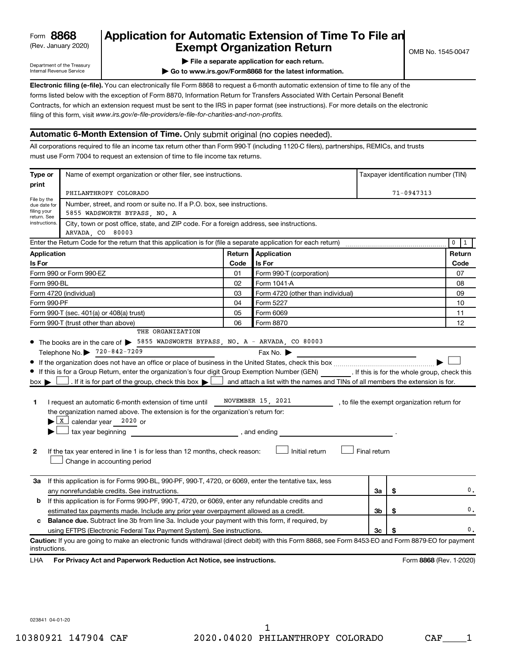# (Rev. January 2020) **Cxempt Organization Return** Manuary 2020) and the settern **Canadian Exempt Organization Return Form 8868 Application for Automatic Extension of Time To File an**<br>**Exempt Organization Return**

Department of the Treasury Internal Revenue Service

|  | File a separate application for each return. |  |
|--|----------------------------------------------|--|
|  |                                              |  |

**| Go to www.irs.gov/Form8868 for the latest information.**

**Electronic filing (e-file).** You can electronically file Form 8868 to request a 6-month automatic extension of time to file any of the filing of this form, visit www.irs.gov/e-file-providers/e-file-for-charities-and-non-profits. forms listed below with the exception of Form 8870, Information Return for Transfers Associated With Certain Personal Benefit Contracts, for which an extension request must be sent to the IRS in paper format (see instructions). For more details on the electronic

# **Automatic 6-Month Extension of Time.** Only submit original (no copies needed).

All corporations required to file an income tax return other than Form 990-T (including 1120-C filers), partnerships, REMICs, and trusts must use Form 7004 to request an extension of time to file income tax returns.

| Type or                                                | Name of exempt organization or other filer, see instructions.                                                                                                                                                                                                                                                                                                                                                                                                                                                                                                                                                                                                                                                                                                               |        |                                                                                      |              | Taxpayer identification number (TIN) |                                              |  |
|--------------------------------------------------------|-----------------------------------------------------------------------------------------------------------------------------------------------------------------------------------------------------------------------------------------------------------------------------------------------------------------------------------------------------------------------------------------------------------------------------------------------------------------------------------------------------------------------------------------------------------------------------------------------------------------------------------------------------------------------------------------------------------------------------------------------------------------------------|--------|--------------------------------------------------------------------------------------|--------------|--------------------------------------|----------------------------------------------|--|
| print                                                  | PHILANTHROPY COLORADO                                                                                                                                                                                                                                                                                                                                                                                                                                                                                                                                                                                                                                                                                                                                                       |        |                                                                                      |              | 71-0947313                           |                                              |  |
| File by the<br>due date for<br>filing your             | Number, street, and room or suite no. If a P.O. box, see instructions.<br>5855 WADSWORTH BYPASS, NO. A                                                                                                                                                                                                                                                                                                                                                                                                                                                                                                                                                                                                                                                                      |        |                                                                                      |              |                                      |                                              |  |
| return. See<br>instructions.                           | City, town or post office, state, and ZIP code. For a foreign address, see instructions.<br>ARVADA, CO 80003                                                                                                                                                                                                                                                                                                                                                                                                                                                                                                                                                                                                                                                                |        |                                                                                      |              |                                      |                                              |  |
|                                                        | Enter the Return Code for the return that this application is for (file a separate application for each return)                                                                                                                                                                                                                                                                                                                                                                                                                                                                                                                                                                                                                                                             |        |                                                                                      |              |                                      | $\mathbf 0$<br>$\vert$ 1                     |  |
| Application                                            |                                                                                                                                                                                                                                                                                                                                                                                                                                                                                                                                                                                                                                                                                                                                                                             | Return | <b>Application</b>                                                                   |              |                                      | Return                                       |  |
| Is For                                                 |                                                                                                                                                                                                                                                                                                                                                                                                                                                                                                                                                                                                                                                                                                                                                                             | Code   | Is For                                                                               |              |                                      | Code                                         |  |
|                                                        | Form 990 or Form 990-EZ                                                                                                                                                                                                                                                                                                                                                                                                                                                                                                                                                                                                                                                                                                                                                     | 01     | Form 990-T (corporation)                                                             |              |                                      | 07                                           |  |
|                                                        | Form 990-BL<br>02<br>Form 1041-A                                                                                                                                                                                                                                                                                                                                                                                                                                                                                                                                                                                                                                                                                                                                            |        |                                                                                      |              |                                      | 08                                           |  |
|                                                        | Form 4720 (individual)                                                                                                                                                                                                                                                                                                                                                                                                                                                                                                                                                                                                                                                                                                                                                      | 03     | Form 4720 (other than individual)                                                    |              |                                      | 09                                           |  |
| Form 990-PF                                            |                                                                                                                                                                                                                                                                                                                                                                                                                                                                                                                                                                                                                                                                                                                                                                             | 04     | Form 5227                                                                            |              |                                      | 10                                           |  |
|                                                        | Form 990-T (sec. 401(a) or 408(a) trust)                                                                                                                                                                                                                                                                                                                                                                                                                                                                                                                                                                                                                                                                                                                                    | 05     | Form 6069                                                                            |              |                                      | 11                                           |  |
| Form 990-T (trust other than above)<br>06<br>Form 8870 |                                                                                                                                                                                                                                                                                                                                                                                                                                                                                                                                                                                                                                                                                                                                                                             |        | 12                                                                                   |              |                                      |                                              |  |
| $box \blacktriangleright$  <br>1<br>2                  | • The books are in the care of > 5855 WADSWORTH BYPASS, NO. A - ARVADA, CO 80003<br>Telephone No. 2720-842-7209<br>If this is for a Group Return, enter the organization's four digit Group Exemption Number (GEN) [If this is for the whole group, check this<br>If it is for part of the group, check this box $\blacktriangleright$ and attach a list with the names and TINs of all members the extension is for.<br>I request an automatic 6-month extension of time until<br>the organization named above. The extension is for the organization's return for:<br>$\blacktriangleright$ $\lfloor x \rfloor$ calendar year 2020 or<br>tax year beginning<br>If the tax year entered in line 1 is for less than 12 months, check reason:<br>Change in accounting period |        | Fax No. $\blacktriangleright$<br>NOVEMBER 15, 2021<br>, and ending<br>Initial return | Final return |                                      | , to file the exempt organization return for |  |
| За                                                     | If this application is for Forms 990-BL, 990-PF, 990-T, 4720, or 6069, enter the tentative tax, less<br>any nonrefundable credits. See instructions.                                                                                                                                                                                                                                                                                                                                                                                                                                                                                                                                                                                                                        |        |                                                                                      | За           | \$                                   | 0.                                           |  |
| b                                                      | If this application is for Forms 990-PF, 990-T, 4720, or 6069, enter any refundable credits and                                                                                                                                                                                                                                                                                                                                                                                                                                                                                                                                                                                                                                                                             |        |                                                                                      |              |                                      |                                              |  |
|                                                        | estimated tax payments made. Include any prior year overpayment allowed as a credit.                                                                                                                                                                                                                                                                                                                                                                                                                                                                                                                                                                                                                                                                                        |        | 3b                                                                                   | \$           | 0.                                   |                                              |  |
| c                                                      | <b>Balance due.</b> Subtract line 3b from line 3a. Include your payment with this form, if required, by                                                                                                                                                                                                                                                                                                                                                                                                                                                                                                                                                                                                                                                                     |        |                                                                                      |              |                                      |                                              |  |
|                                                        | using EFTPS (Electronic Federal Tax Payment System). See instructions.                                                                                                                                                                                                                                                                                                                                                                                                                                                                                                                                                                                                                                                                                                      |        |                                                                                      | 3c           | \$                                   | 0.                                           |  |
| instructions.<br>LHA                                   | Caution: If you are going to make an electronic funds withdrawal (direct debit) with this Form 8868, see Form 8453-EO and Form 8879-EO for payment<br>For Privacy Act and Paperwork Reduction Act Notice, see instructions.                                                                                                                                                                                                                                                                                                                                                                                                                                                                                                                                                 |        |                                                                                      |              |                                      | Form 8868 (Rev. 1-2020)                      |  |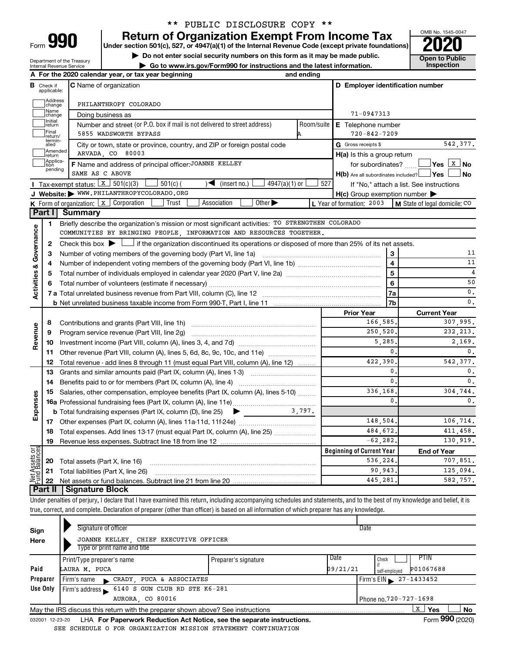| Form |  |  |
|------|--|--|
|      |  |  |

# \*\* PUBLIC DISCLOSURE COPY \*\*

**990** Return of Organization Exempt From Income Tax <br>
Under section 501(c), 527, or 4947(a)(1) of the Internal Revenue Code (except private foundations)<br> **PO20** 

**▶ Do not enter social security numbers on this form as it may be made public. Open to Public**<br>
inspection instructions and the latest information. Inspection

**| Go to www.irs.gov/Form990 for instructions and the latest information. Inspection**



Department of the Treasury Internal Revenue Service

|                                       |                         | A For the 2020 calendar year, or tax year beginning                                                                                                                        | and ending |                                                                                                                                                                                                                                                                                                                                                                                                                                                          |                                          |
|---------------------------------------|-------------------------|----------------------------------------------------------------------------------------------------------------------------------------------------------------------------|------------|----------------------------------------------------------------------------------------------------------------------------------------------------------------------------------------------------------------------------------------------------------------------------------------------------------------------------------------------------------------------------------------------------------------------------------------------------------|------------------------------------------|
| в                                     | Check if<br>applicable: | <b>C</b> Name of organization                                                                                                                                              |            | D Employer identification number                                                                                                                                                                                                                                                                                                                                                                                                                         |                                          |
|                                       | Address<br>change       | PHILANTHROPY COLORADO                                                                                                                                                      |            |                                                                                                                                                                                                                                                                                                                                                                                                                                                          |                                          |
|                                       | Name<br>change          | Doing business as                                                                                                                                                          |            | 71-0947313                                                                                                                                                                                                                                                                                                                                                                                                                                               |                                          |
|                                       | Initial<br>return       | Number and street (or P.O. box if mail is not delivered to street address)                                                                                                 | Room/suite | E Telephone number                                                                                                                                                                                                                                                                                                                                                                                                                                       |                                          |
|                                       | Final<br>return/        | 5855 WADSWORTH BYPASS                                                                                                                                                      |            | $720 - 842 - 7209$                                                                                                                                                                                                                                                                                                                                                                                                                                       |                                          |
|                                       | termin-<br>ated         | City or town, state or province, country, and ZIP or foreign postal code                                                                                                   |            | G Gross receipts \$                                                                                                                                                                                                                                                                                                                                                                                                                                      | 542,377.                                 |
|                                       | Amended<br>return       | ARVADA, CO 80003                                                                                                                                                           |            | H(a) Is this a group return                                                                                                                                                                                                                                                                                                                                                                                                                              |                                          |
|                                       | Applica-<br>tion        | F Name and address of principal officer: JOANNE KELLEY                                                                                                                     |            | for subordinates?                                                                                                                                                                                                                                                                                                                                                                                                                                        |                                          |
|                                       | pending                 | SAME AS C ABOVE                                                                                                                                                            |            | $H(b)$ Are all subordinates included? $\Box$ Yes                                                                                                                                                                                                                                                                                                                                                                                                         | No                                       |
|                                       |                         | Tax-exempt status: $X \mid 501(c)(3)$<br>$501(c)$ (<br>$4947(a)(1)$ or<br>(insert no.)<br>$\blacktriangleright$                                                            | 527        |                                                                                                                                                                                                                                                                                                                                                                                                                                                          | If "No," attach a list. See instructions |
|                                       |                         | J Website: WWW.PHILANTHROPYCOLORADO.ORG                                                                                                                                    |            | $H(c)$ Group exemption number $\blacktriangleright$                                                                                                                                                                                                                                                                                                                                                                                                      |                                          |
|                                       |                         | K Form of organization: X Corporation<br>Association<br>Other $\blacktriangleright$<br>Trust                                                                               |            | L Year of formation: 2003                                                                                                                                                                                                                                                                                                                                                                                                                                | M State of legal domicile: CO            |
|                                       |                         | Part I Summary                                                                                                                                                             |            |                                                                                                                                                                                                                                                                                                                                                                                                                                                          |                                          |
|                                       | 1                       | Briefly describe the organization's mission or most significant activities: TO STRENGTHEN COLORADO                                                                         |            |                                                                                                                                                                                                                                                                                                                                                                                                                                                          |                                          |
| Governance                            |                         | COMMUNITIES BY BRINGING PEOPLE, INFORMATION AND RESOURCES TOGETHER.                                                                                                        |            |                                                                                                                                                                                                                                                                                                                                                                                                                                                          |                                          |
|                                       | 2                       | Check this box $\blacktriangleright$ $\Box$ if the organization discontinued its operations or disposed of more than 25% of its net assets.                                |            |                                                                                                                                                                                                                                                                                                                                                                                                                                                          |                                          |
|                                       | з                       | Number of voting members of the governing body (Part VI, line 1a)                                                                                                          |            | 3<br>$\begin{minipage}{0.5\textwidth} \begin{tabular}{ c c c } \hline & \multicolumn{1}{ c }{0.5\textwidth} \begin{tabular}{ c c c } \hline & \multicolumn{1}{ c }{0.5\textwidth} \begin{tabular}{ c c c } \hline & \multicolumn{1}{ c }{0.5\textwidth} \begin{tabular}{ c c c } \hline & \multicolumn{1}{ c }{0.5\textwidth} \begin{tabular}{ c c c } \hline & \multicolumn{1}{ c }{0.5\textwidth} \begin{tabular}{ c c c } \hline & \multicolumn{1}{ $ | 11                                       |
|                                       | 4                       |                                                                                                                                                                            |            | $\overline{4}$                                                                                                                                                                                                                                                                                                                                                                                                                                           | 11                                       |
|                                       | 5                       |                                                                                                                                                                            |            | 5                                                                                                                                                                                                                                                                                                                                                                                                                                                        | $\overline{4}$                           |
|                                       |                         |                                                                                                                                                                            |            | 6                                                                                                                                                                                                                                                                                                                                                                                                                                                        | 50                                       |
| <b>Activities &amp;</b>               |                         |                                                                                                                                                                            |            | 7a                                                                                                                                                                                                                                                                                                                                                                                                                                                       | $\mathbf{0}$ .                           |
|                                       |                         |                                                                                                                                                                            |            | 7b                                                                                                                                                                                                                                                                                                                                                                                                                                                       | $\mathbf{0}$ .                           |
|                                       |                         |                                                                                                                                                                            |            | <b>Prior Year</b>                                                                                                                                                                                                                                                                                                                                                                                                                                        | <b>Current Year</b>                      |
|                                       | 8                       |                                                                                                                                                                            |            | 166,585,                                                                                                                                                                                                                                                                                                                                                                                                                                                 | 307,995.                                 |
|                                       | 9                       | Program service revenue (Part VIII, line 2g)                                                                                                                               |            | 250,520.                                                                                                                                                                                                                                                                                                                                                                                                                                                 | 232, 213.                                |
| Revenue                               | 10                      |                                                                                                                                                                            |            | 5,285.                                                                                                                                                                                                                                                                                                                                                                                                                                                   | 2,169.                                   |
|                                       | 11                      | Other revenue (Part VIII, column (A), lines 5, 6d, 8c, 9c, 10c, and 11e)                                                                                                   |            | $\mathbf{0}$                                                                                                                                                                                                                                                                                                                                                                                                                                             | $\mathfrak o$ .                          |
|                                       | 12                      | Total revenue - add lines 8 through 11 (must equal Part VIII, column (A), line 12)                                                                                         |            | 422,390                                                                                                                                                                                                                                                                                                                                                                                                                                                  | 542,377.                                 |
|                                       | 13                      | Grants and similar amounts paid (Part IX, column (A), lines 1-3)                                                                                                           |            | $\mathbf{0}$                                                                                                                                                                                                                                                                                                                                                                                                                                             | $\mathbf{0}$ .                           |
|                                       | 14                      |                                                                                                                                                                            |            | 0.                                                                                                                                                                                                                                                                                                                                                                                                                                                       | $\mathbf{0}$ .                           |
|                                       | 15                      | Salaries, other compensation, employee benefits (Part IX, column (A), lines 5-10)                                                                                          |            | 336,168                                                                                                                                                                                                                                                                                                                                                                                                                                                  | 304,744.                                 |
|                                       |                         |                                                                                                                                                                            |            | $\mathbf{0}$                                                                                                                                                                                                                                                                                                                                                                                                                                             | 0.                                       |
| Expenses                              |                         |                                                                                                                                                                            |            |                                                                                                                                                                                                                                                                                                                                                                                                                                                          |                                          |
|                                       |                         |                                                                                                                                                                            |            | 148,504.                                                                                                                                                                                                                                                                                                                                                                                                                                                 | 106,714.                                 |
|                                       |                         | 18 Total expenses. Add lines 13-17 (must equal Part IX, column (A), line 25)                                                                                               |            | 484,672.                                                                                                                                                                                                                                                                                                                                                                                                                                                 | 411,458.                                 |
|                                       | 19                      | Revenue less expenses. Subtract line 18 from line 12                                                                                                                       |            | $-62, 282.$                                                                                                                                                                                                                                                                                                                                                                                                                                              | 130,919.                                 |
| <b>Net Assets or</b><br>Fund Balances |                         |                                                                                                                                                                            |            | <b>Beginning of Current Year</b>                                                                                                                                                                                                                                                                                                                                                                                                                         | <b>End of Year</b>                       |
|                                       | 20                      | Total assets (Part X, line 16)                                                                                                                                             |            | 536,224                                                                                                                                                                                                                                                                                                                                                                                                                                                  | 707,851.                                 |
|                                       | 21                      | Total liabilities (Part X, line 26)                                                                                                                                        |            | 90,943.                                                                                                                                                                                                                                                                                                                                                                                                                                                  | 125,094.                                 |
|                                       | 22                      |                                                                                                                                                                            |            | 445,281                                                                                                                                                                                                                                                                                                                                                                                                                                                  | 582,757.                                 |
|                                       | <b>Part II</b>          | Signature Block                                                                                                                                                            |            |                                                                                                                                                                                                                                                                                                                                                                                                                                                          |                                          |
|                                       |                         | Under penalties of perjury, I declare that I have examined this return, including accompanying schedules and statements, and to the best of my knowledge and belief, it is |            |                                                                                                                                                                                                                                                                                                                                                                                                                                                          |                                          |
|                                       |                         | true, correct, and complete. Declaration of preparer (other than officer) is based on all information of which preparer has any knowledge.                                 |            |                                                                                                                                                                                                                                                                                                                                                                                                                                                          |                                          |
|                                       |                         | Signature of officer                                                                                                                                                       |            | Date                                                                                                                                                                                                                                                                                                                                                                                                                                                     |                                          |
| Sign                                  |                         |                                                                                                                                                                            |            |                                                                                                                                                                                                                                                                                                                                                                                                                                                          |                                          |
| Here                                  |                         | JOANNE KELLEY, CHIEF EXECUTIVE OFFICER<br>Type or print name and title                                                                                                     |            |                                                                                                                                                                                                                                                                                                                                                                                                                                                          |                                          |
|                                       |                         |                                                                                                                                                                            |            |                                                                                                                                                                                                                                                                                                                                                                                                                                                          |                                          |

|          | i ypo or print namo and tho                                                                  |                      |                                    |                            |  |  |  |
|----------|----------------------------------------------------------------------------------------------|----------------------|------------------------------------|----------------------------|--|--|--|
|          | Print/Type preparer's name                                                                   | Preparer's signature | Date                               | <b>PTIN</b><br>Check       |  |  |  |
| Paid     | LAURA M. PUCA                                                                                |                      | 09/21/21                           | P01067688<br>self-employed |  |  |  |
| Preparer | CRADY, PUCA & ASSOCIATES<br>Firm's name                                                      |                      | $I$ Firm's EIN $\geq 27 - 1433452$ |                            |  |  |  |
| Use Only | Firm's address 6140 S GUN CLUB RD STE K6-281                                                 |                      |                                    |                            |  |  |  |
|          | AURORA CO 80016<br>Phone no.720-727-1698                                                     |                      |                                    |                            |  |  |  |
|          | No<br>Yes<br>May the IRS discuss this return with the preparer shown above? See instructions |                      |                                    |                            |  |  |  |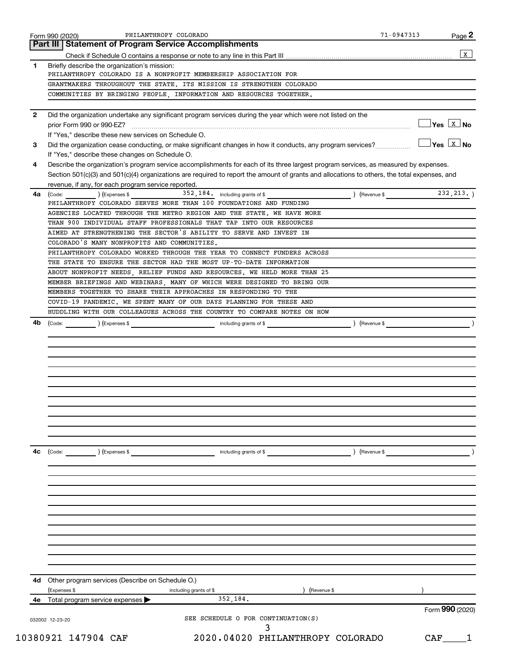|              | Form 990 (2020)<br><b>Statement of Program Service Accomplishments</b><br>Part III                                                           |                    | Page 2                              |
|--------------|----------------------------------------------------------------------------------------------------------------------------------------------|--------------------|-------------------------------------|
|              |                                                                                                                                              |                    | $\mathbf{x}$                        |
| 1            | Briefly describe the organization's mission:                                                                                                 |                    |                                     |
|              | PHILANTHROPY COLORADO IS A NONPROFIT MEMBERSHIP ASSOCIATION FOR                                                                              |                    |                                     |
|              | GRANTMAKERS THROUGHOUT THE STATE. ITS MISSION IS STRENGTHEN COLORADO                                                                         |                    |                                     |
|              | COMMUNITIES BY BRINGING PEOPLE, INFORMATION AND RESOURCES TOGETHER.                                                                          |                    |                                     |
| $\mathbf{2}$ | Did the organization undertake any significant program services during the year which were not listed on the                                 |                    |                                     |
|              |                                                                                                                                              |                    | $\exists$ Yes $\boxed{\text{x}}$ No |
|              | If "Yes," describe these new services on Schedule O.                                                                                         |                    |                                     |
| 3            | Did the organization cease conducting, or make significant changes in how it conducts, any program services?                                 |                    | $\sqrt{}$ Yes $\sqrt{ \ \ }$ No     |
|              | If "Yes," describe these changes on Schedule O.                                                                                              |                    |                                     |
| 4            | Describe the organization's program service accomplishments for each of its three largest program services, as measured by expenses.         |                    |                                     |
|              | Section 501(c)(3) and 501(c)(4) organizations are required to report the amount of grants and allocations to others, the total expenses, and |                    |                                     |
|              | revenue, if any, for each program service reported.                                                                                          |                    |                                     |
| 4a           | 352, 184. including grants of \$<br>(Code: ) (Expenses \$                                                                                    | $\int$ (Revenue \$ | 232, 213.                           |
|              | PHILANTHROPY COLORADO SERVES MORE THAN 100 FOUNDATIONS AND FUNDING                                                                           |                    |                                     |
|              | AGENCIES LOCATED THROUGH THE METRO REGION AND THE STATE. WE HAVE MORE                                                                        |                    |                                     |
|              | THAN 900 INDIVIDUAL STAFF PROFESSIONALS THAT TAP INTO OUR RESOURCES<br>AIMED AT STRENGTHENING THE SECTOR'S ABILITY TO SERVE AND INVEST IN    |                    |                                     |
|              | COLORADO'S MANY NONPROFITS AND COMMUNITIES.                                                                                                  |                    |                                     |
|              | PHILANTHROPY COLORADO WORKED THROUGH THE YEAR TO CONNECT FUNDERS ACROSS                                                                      |                    |                                     |
|              | THE STATE TO ENSURE THE SECTOR HAD THE MOST UP-TO-DATE INFORMATION                                                                           |                    |                                     |
|              | ABOUT NONPROFIT NEEDS, RELIEF FUNDS AND RESOURCES. WE HELD MORE THAN 25                                                                      |                    |                                     |
|              | MEMBER BRIEFINGS AND WEBINARS, MANY OF WHICH WERE DESIGNED TO BRING OUR                                                                      |                    |                                     |
|              | MEMBERS TOGETHER TO SHARE THEIR APPROACHES IN RESPONDING TO THE                                                                              |                    |                                     |
|              | COVID-19 PANDEMIC. WE SPENT MANY OF OUR DAYS PLANNING FOR THESE AND                                                                          |                    |                                     |
|              | HUDDLING WITH OUR COLLEAGUES ACROSS THE COUNTRY TO COMPARE NOTES ON HOW                                                                      |                    |                                     |
|              |                                                                                                                                              |                    |                                     |
|              |                                                                                                                                              |                    |                                     |
|              |                                                                                                                                              |                    |                                     |
| 4с           | (Code:<br>) (Expenses \$<br>including grants of \$<br>) (Revenue \$                                                                          |                    |                                     |
|              |                                                                                                                                              |                    |                                     |
|              |                                                                                                                                              |                    |                                     |
|              |                                                                                                                                              |                    |                                     |
|              |                                                                                                                                              |                    |                                     |
|              |                                                                                                                                              |                    |                                     |
| 4d           | Other program services (Describe on Schedule O.)                                                                                             |                    |                                     |
|              | (Expenses \$<br>) (Revenue \$<br>including grants of \$<br>352,184.                                                                          |                    |                                     |
|              | 4e Total program service expenses                                                                                                            |                    | Form 990 (2020)                     |
|              | SEE SCHEDULE O FOR CONTINUATION(S)<br>032002 12-23-20                                                                                        |                    |                                     |
|              | 10380921 147904 CAF<br>2020.04020 PHILANTHROPY COLORADO                                                                                      |                    | CAF                                 |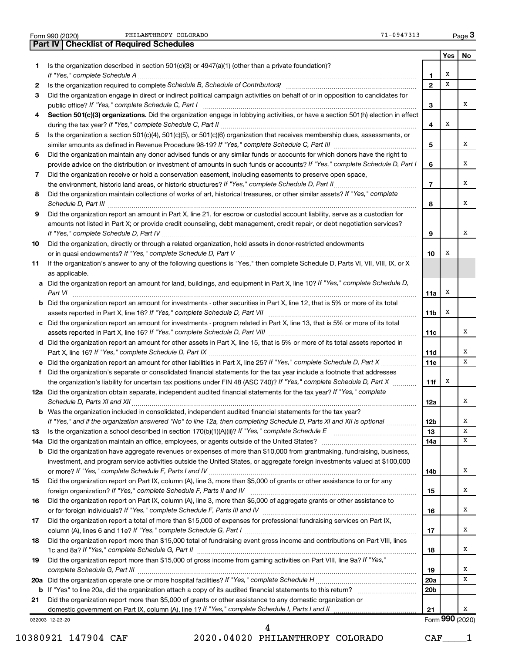|  | Form 990 (2020) |
|--|-----------------|
|  |                 |

Form 990 (2020) PHILANTHROPY COLORADO **1999 120 COLORADO Page 1999 12** - 0947313 Page

**Part IV Checklist of Required Schedules**

032003 12-23-20 **Yes No 1** Is the organization described in section 501(c)(3) or 4947(a)(1) (other than a private foundation)? **2 3 4 5 6 7 8 9 10 11 12a** Did the organization obtain separate, independent audited financial statements for the tax year? If "Yes," complete **13 14 a** Did the organization maintain an office, employees, or agents outside of the United States? ~~~~~~~~~~~~~~~~ **15 16 17 18 19 1 2 3 4 5 6 7 8 9 10** Section 501(c)(3) organizations. Did the organization engage in lobbying activities, or have a section 501(h) election in effect **a** Did the organization report an amount for land, buildings, and equipment in Part X, line 10? If "Yes," complete Schedule D, **b** Did the organization report an amount for investments - other securities in Part X, line 12, that is 5% or more of its total **c** Did the organization report an amount for investments - program related in Part X, line 13, that is 5% or more of its total **d** Did the organization report an amount for other assets in Part X, line 15, that is 5% or more of its total assets reported in **e** Did the organization report an amount for other liabilities in Part X, line 25? If "Yes," complete Schedule D, Part X .................. **f b** Was the organization included in consolidated, independent audited financial statements for the tax year? **11a 11b 11c 11d 11e 11f 12a 12b 13 14a 14b 15 16 17 18 19 20a 20b 21 b** Did the organization have aggregate revenues or expenses of more than \$10,000 from grantmaking, fundraising, business, **20 a** *If "Yes," complete Schedule H* Did the organization operate one or more hospital facilities? ~~~~~~~~~~~~~~~~~ **21 b** If "Yes" to line 20a, did the organization attach a copy of its audited financial statements to this return? ~~~~~~~~~~ *If "Yes," complete Schedule A* ~~~~~~~~~~~~~~~~~~~~~~~~~~~~~~~~~~~~~~~~~~~~~~~ Is the organization required to complete Schedule B, Schedule of Contributors? **completed and the Contributors**? *If "Yes," complete Schedule C, Part I* public office? ~~~~~~~~~~~~~~~~~~~~~~~~~~~~~~~~~~~~ *If "Yes," complete Schedule C, Part II* during the tax year? ~~~~~~~~~~~~~~~~~~~~~~~~~~~~~~~~~ *If "Yes," complete Schedule C, Part III* similar amounts as defined in Revenue Procedure 98-19? ~~~~~~~~~~~~~~ *If "Yes," complete Schedule D, Part I* provide advice on the distribution or investment of amounts in such funds or accounts? *If "Yes," complete Schedule D, Part II* the environment, historic land areas, or historic structures? ~~~~~~~~~~~~~~ Did the organization maintain collections of works of art, historical treasures, or other similar assets? If "Yes," complete *Schedule D, Part III* ~~~~~~~~~~~~~~~~~~~~~~~~~~~~~~~~~~~~~~~~~~~~~~~~~~~~ *If "Yes," complete Schedule D, Part IV* ~~~~~~~~~~~~~~~~~~~~~~~~~~~~~~~~~~~~~~~~~~~ *If "Yes," complete Schedule D, Part V* or in quasi endowments? ~~~~~~~~~~~~~~~~~~~~~~~~~~~~~~ *Part VI* ~~~~~~~~~~~~~~~~~~~~~~~~~~~~~~~~~~~~~~~~~~~~~~~~~~~~~~~~~~ assets reported in Part X, line 16? If "Yes," complete Schedule D, Part VII **manual complete Schedule 19** and th *If "Yes," complete Schedule D, Part VIII* assets reported in Part X, line 16? ~~~~~~~~~~~~~~~~~~~~~~~~~ *If "Yes," complete Schedule D, Part IX* Part X, line 16? ~~~~~~~~~~~~~~~~~~~~~~~~~~~~~~~~~~~ the organization's liability for uncertain tax positions under FIN 48 (ASC 740)? If "Yes," complete Schedule D, Part X *Schedule D, Parts XI and XII* ~~~~~~~~~~~~~~~~~~~~~~~~~~~~~~~~~~~~~~~~~~~~~~~~ If "Yes," and if the organization answered "No" to line 12a, then completing Schedule D, Parts XI and XII is optional *…………*… Is the organization a school described in section 170(b)(1)(A)(ii)? If "Yes," complete Schedule E *If "Yes," complete Schedule F, Parts I and IV* or more? ~~~~~~~~~~~~~~~~~~~~~~~~~~~~~~~~~~~ foreign organization? If "Yes," complete Schedule F, Parts II and IV **completed and the contract of the contract o** *If "Yes," complete Schedule F, Parts III and IV* or for foreign individuals? ~~~~~~~~~~~~~~~~~~~~~~~~~~ *If "Yes," complete Schedule G, Part I* column (A), lines 6 and 11e? ~~~~~~~~~~~~~~~~~~~~~~~~~~~~~ 1c and 8a? If "Yes," complete Schedule G, Part II **mature complete out and the set of the set of the set of the s** Did the organization report more than \$15,000 of gross income from gaming activities on Part VIII, line 9a? If "Yes," *complete Schedule G, Part III* ~~~~~~~~~~~~~~~~~~~~~~~~~~~~~~~~~~~~~~~~~~~~~~~ domestic government on Part IX, column (A), line 1? If "Yes," complete Schedule I, Parts I and II mummumumumumumu Did the organization engage in direct or indirect political campaign activities on behalf of or in opposition to candidates for Is the organization a section 501(c)(4), 501(c)(5), or 501(c)(6) organization that receives membership dues, assessments, or Did the organization maintain any donor advised funds or any similar funds or accounts for which donors have the right to Did the organization receive or hold a conservation easement, including easements to preserve open space, Did the organization report an amount in Part X, line 21, for escrow or custodial account liability, serve as a custodian for amounts not listed in Part X; or provide credit counseling, debt management, credit repair, or debt negotiation services? Did the organization, directly or through a related organization, hold assets in donor-restricted endowments If the organization's answer to any of the following questions is "Yes," then complete Schedule D, Parts VI, VII, VIII, IX, or X as applicable. Did the organization's separate or consolidated financial statements for the tax year include a footnote that addresses ~~~~~~~~~~ ………………………………………… investment, and program service activities outside the United States, or aggregate foreign investments valued at \$100,000 Did the organization report on Part IX, column (A), line 3, more than \$5,000 of grants or other assistance to or for any Did the organization report on Part IX, column (A), line 3, more than \$5,000 of aggregate grants or other assistance to Did the organization report a total of more than \$15,000 of expenses for professional fundraising services on Part IX, Did the organization report more than \$15,000 total of fundraising event gross income and contributions on Part VIII, lines Did the organization report more than \$5,000 of grants or other assistance to any domestic organization or Form (2020) **990** X X X X X X X X X X X X X X X X X X X X X X X X X X X X

10380921 147904 CAF 2020.04020 PHILANTHROPY COLORADO CAF\_\_\_\_1

4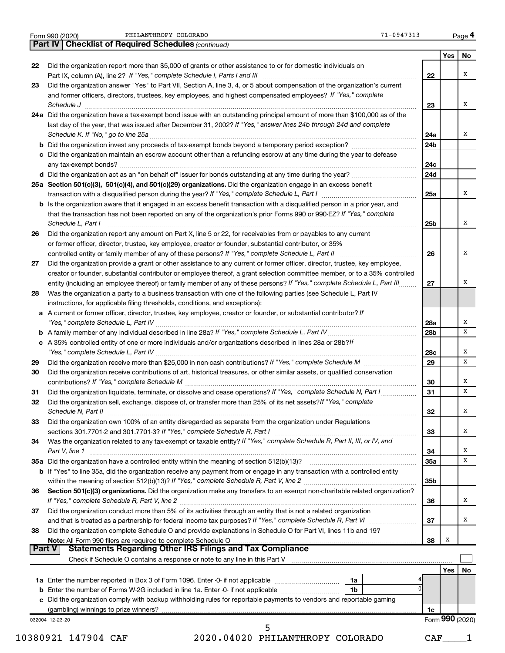|               |                                                                                                                                                                                                                                                                                                                                                                              |                 | Yes             | No     |
|---------------|------------------------------------------------------------------------------------------------------------------------------------------------------------------------------------------------------------------------------------------------------------------------------------------------------------------------------------------------------------------------------|-----------------|-----------------|--------|
| 22            | Did the organization report more than \$5,000 of grants or other assistance to or for domestic individuals on                                                                                                                                                                                                                                                                |                 |                 |        |
|               |                                                                                                                                                                                                                                                                                                                                                                              | 22              |                 | x      |
| 23            | Did the organization answer "Yes" to Part VII, Section A, line 3, 4, or 5 about compensation of the organization's current<br>and former officers, directors, trustees, key employees, and highest compensated employees? If "Yes," complete<br>Schedule J <b>Martin Communication Communication</b> Contract of the Communication Communication Communication Communication | 23              |                 | x      |
|               | 24a Did the organization have a tax-exempt bond issue with an outstanding principal amount of more than \$100,000 as of the                                                                                                                                                                                                                                                  |                 |                 |        |
|               | last day of the year, that was issued after December 31, 2002? If "Yes," answer lines 24b through 24d and complete                                                                                                                                                                                                                                                           |                 |                 |        |
|               |                                                                                                                                                                                                                                                                                                                                                                              | 24a             |                 | X      |
|               |                                                                                                                                                                                                                                                                                                                                                                              | 24b             |                 |        |
|               | c Did the organization maintain an escrow account other than a refunding escrow at any time during the year to defease                                                                                                                                                                                                                                                       | 24c             |                 |        |
|               |                                                                                                                                                                                                                                                                                                                                                                              | 24d             |                 |        |
|               | 25a Section 501(c)(3), 501(c)(4), and 501(c)(29) organizations. Did the organization engage in an excess benefit                                                                                                                                                                                                                                                             |                 |                 |        |
|               |                                                                                                                                                                                                                                                                                                                                                                              | 25a             |                 | x      |
|               | <b>b</b> Is the organization aware that it engaged in an excess benefit transaction with a disqualified person in a prior year, and                                                                                                                                                                                                                                          |                 |                 |        |
|               | that the transaction has not been reported on any of the organization's prior Forms 990 or 990-EZ? If "Yes," complete<br>Schedule L, Part I                                                                                                                                                                                                                                  | 25b             |                 | х      |
| 26            | Did the organization report any amount on Part X, line 5 or 22, for receivables from or payables to any current                                                                                                                                                                                                                                                              |                 |                 |        |
|               | or former officer, director, trustee, key employee, creator or founder, substantial contributor, or 35%                                                                                                                                                                                                                                                                      |                 |                 |        |
|               |                                                                                                                                                                                                                                                                                                                                                                              | 26              |                 | х      |
| 27            | Did the organization provide a grant or other assistance to any current or former officer, director, trustee, key employee,                                                                                                                                                                                                                                                  |                 |                 |        |
|               | creator or founder, substantial contributor or employee thereof, a grant selection committee member, or to a 35% controlled                                                                                                                                                                                                                                                  |                 |                 |        |
|               | entity (including an employee thereof) or family member of any of these persons? If "Yes," complete Schedule L, Part III                                                                                                                                                                                                                                                     | 27              |                 | х      |
| 28            | Was the organization a party to a business transaction with one of the following parties (see Schedule L, Part IV                                                                                                                                                                                                                                                            |                 |                 |        |
|               | instructions, for applicable filing thresholds, conditions, and exceptions):                                                                                                                                                                                                                                                                                                 |                 |                 |        |
|               | a A current or former officer, director, trustee, key employee, creator or founder, or substantial contributor? If                                                                                                                                                                                                                                                           |                 |                 |        |
|               |                                                                                                                                                                                                                                                                                                                                                                              | 28a             |                 | х      |
|               |                                                                                                                                                                                                                                                                                                                                                                              | 28b             |                 | X      |
|               | c A 35% controlled entity of one or more individuals and/or organizations described in lines 28a or 28b?If                                                                                                                                                                                                                                                                   |                 |                 |        |
| 29            |                                                                                                                                                                                                                                                                                                                                                                              | 28c<br>29       |                 | х<br>х |
| 30            | Did the organization receive contributions of art, historical treasures, or other similar assets, or qualified conservation                                                                                                                                                                                                                                                  |                 |                 |        |
|               |                                                                                                                                                                                                                                                                                                                                                                              | 30              |                 | х      |
| 31            | Did the organization liquidate, terminate, or dissolve and cease operations? If "Yes," complete Schedule N, Part I                                                                                                                                                                                                                                                           | 31              |                 | х      |
| 32            | Did the organization sell, exchange, dispose of, or transfer more than 25% of its net assets? If "Yes," complete                                                                                                                                                                                                                                                             |                 |                 |        |
|               | Schedule N, Part II                                                                                                                                                                                                                                                                                                                                                          | 32              |                 | Χ      |
| 33            | Did the organization own 100% of an entity disregarded as separate from the organization under Regulations                                                                                                                                                                                                                                                                   |                 |                 |        |
|               |                                                                                                                                                                                                                                                                                                                                                                              | 33              |                 | х      |
| 34            | Was the organization related to any tax-exempt or taxable entity? If "Yes," complete Schedule R, Part II, III, or IV, and                                                                                                                                                                                                                                                    |                 |                 |        |
|               | Part V, line 1                                                                                                                                                                                                                                                                                                                                                               | 34              |                 | х      |
|               |                                                                                                                                                                                                                                                                                                                                                                              | 35a             |                 | х      |
|               | b If "Yes" to line 35a, did the organization receive any payment from or engage in any transaction with a controlled entity                                                                                                                                                                                                                                                  | 35 <sub>b</sub> |                 |        |
| 36            | Section 501(c)(3) organizations. Did the organization make any transfers to an exempt non-charitable related organization?                                                                                                                                                                                                                                                   |                 |                 |        |
|               |                                                                                                                                                                                                                                                                                                                                                                              | 36              |                 | x      |
| 37            | Did the organization conduct more than 5% of its activities through an entity that is not a related organization                                                                                                                                                                                                                                                             |                 |                 |        |
|               |                                                                                                                                                                                                                                                                                                                                                                              | 37              |                 | х      |
| 38            | Did the organization complete Schedule O and provide explanations in Schedule O for Part VI, lines 11b and 19?                                                                                                                                                                                                                                                               |                 |                 |        |
|               |                                                                                                                                                                                                                                                                                                                                                                              | 38              | Х               |        |
| <b>Part V</b> | <b>Statements Regarding Other IRS Filings and Tax Compliance</b>                                                                                                                                                                                                                                                                                                             |                 |                 |        |
|               | Check if Schedule O contains a response or note to any line in this Part V [11] matter contains a container matter of the Schedule O contains a response or note to any line in this Part V [11] matter contains a contact of                                                                                                                                                |                 |                 |        |
|               |                                                                                                                                                                                                                                                                                                                                                                              |                 | Yes I           | No     |
|               |                                                                                                                                                                                                                                                                                                                                                                              |                 |                 |        |
|               | 1 <sub>b</sub>                                                                                                                                                                                                                                                                                                                                                               |                 |                 |        |
|               | c Did the organization comply with backup withholding rules for reportable payments to vendors and reportable gaming                                                                                                                                                                                                                                                         |                 |                 |        |
|               | 032004 12-23-20                                                                                                                                                                                                                                                                                                                                                              | 1c              | Form 990 (2020) |        |
|               |                                                                                                                                                                                                                                                                                                                                                                              |                 |                 |        |
|               | 10380921 147904 CAF<br>2020.04020 PHILANTHROPY COLORADO                                                                                                                                                                                                                                                                                                                      | CAF             |                 |        |

Form 990 (2020) PHILANTHROPY COLORADO **1999 120 COLORADO Page 1999 12** - 0947313 Page

**4**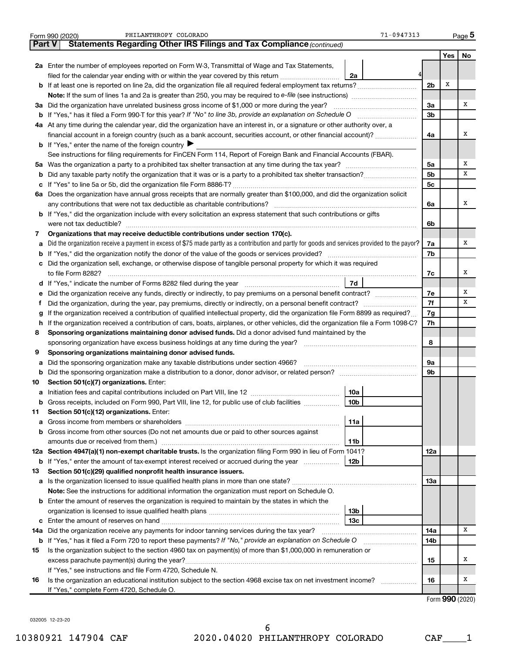|               | PHILANTHROPY COLORADO<br>$71 - 0947313$<br>Form 990 (2020)                                                                                      |                |                 | Page 5 |
|---------------|-------------------------------------------------------------------------------------------------------------------------------------------------|----------------|-----------------|--------|
| <b>Part V</b> | Statements Regarding Other IRS Filings and Tax Compliance (continued)                                                                           |                |                 |        |
|               |                                                                                                                                                 |                | Yes             | No     |
|               | 2a Enter the number of employees reported on Form W-3, Transmittal of Wage and Tax Statements,                                                  |                |                 |        |
|               | filed for the calendar year ending with or within the year covered by this return <i>manumumumum</i><br>2a                                      |                |                 |        |
|               |                                                                                                                                                 | 2 <sub>b</sub> | х               |        |
|               |                                                                                                                                                 |                |                 |        |
|               | 3a Did the organization have unrelated business gross income of \$1,000 or more during the year?                                                | За             |                 | х      |
|               |                                                                                                                                                 | 3 <sub>b</sub> |                 |        |
|               | 4a At any time during the calendar year, did the organization have an interest in, or a signature or other authority over, a                    |                |                 |        |
|               | financial account in a foreign country (such as a bank account, securities account, or other financial account)?                                | 4a             |                 | х      |
|               | <b>b</b> If "Yes," enter the name of the foreign country $\blacktriangleright$                                                                  |                |                 |        |
|               | See instructions for filing requirements for FinCEN Form 114, Report of Foreign Bank and Financial Accounts (FBAR).                             |                |                 |        |
|               |                                                                                                                                                 | 5a             |                 | х      |
| b             |                                                                                                                                                 | 5 <sub>b</sub> |                 | x      |
| c             |                                                                                                                                                 | 5 <sub>c</sub> |                 |        |
|               | 6a Does the organization have annual gross receipts that are normally greater than \$100,000, and did the organization solicit                  |                |                 |        |
|               |                                                                                                                                                 | 6а             |                 | х      |
|               | b If "Yes," did the organization include with every solicitation an express statement that such contributions or gifts                          |                |                 |        |
|               | were not tax deductible?                                                                                                                        | 6b             |                 |        |
| 7             | Organizations that may receive deductible contributions under section 170(c).                                                                   |                |                 |        |
| a             | Did the organization receive a payment in excess of \$75 made partly as a contribution and partly for goods and services provided to the payor? | 7a             |                 | х      |
| b             |                                                                                                                                                 | 7b             |                 |        |
|               | c Did the organization sell, exchange, or otherwise dispose of tangible personal property for which it was required                             |                |                 |        |
|               |                                                                                                                                                 | 7c             |                 | х      |
|               | <b>7d</b>                                                                                                                                       |                |                 |        |
| е             |                                                                                                                                                 | 7е             |                 | х      |
|               |                                                                                                                                                 | 7f             |                 | x      |
| g             | If the organization received a contribution of qualified intellectual property, did the organization file Form 8899 as required?                | 7g             |                 |        |
| h             | If the organization received a contribution of cars, boats, airplanes, or other vehicles, did the organization file a Form 1098-C?              | 7h             |                 |        |
| 8             | Sponsoring organizations maintaining donor advised funds. Did a donor advised fund maintained by the                                            |                |                 |        |
|               |                                                                                                                                                 | 8              |                 |        |
| 9             | Sponsoring organizations maintaining donor advised funds.                                                                                       |                |                 |        |
| а             |                                                                                                                                                 | 9a             |                 |        |
| b             |                                                                                                                                                 | 9b             |                 |        |
| 10            | Section 501(c)(7) organizations. Enter:                                                                                                         |                |                 |        |
|               | 10a                                                                                                                                             |                |                 |        |
| b             | Gross receipts, included on Form 990, Part VIII, line 12, for public use of club facilities<br>10 <sub>b</sub>                                  |                |                 |        |
| 11            | Section 501(c)(12) organizations. Enter:                                                                                                        |                |                 |        |
| a             | 11a                                                                                                                                             |                |                 |        |
| b             | Gross income from other sources (Do not net amounts due or paid to other sources against                                                        |                |                 |        |
|               | amounts due or received from them.)<br>11b                                                                                                      |                |                 |        |
|               | 12a Section 4947(a)(1) non-exempt charitable trusts. Is the organization filing Form 990 in lieu of Form 1041?                                  | 12a            |                 |        |
|               | 12 <sub>b</sub><br><b>b</b> If "Yes," enter the amount of tax-exempt interest received or accrued during the year                               |                |                 |        |
| 13            | Section 501(c)(29) qualified nonprofit health insurance issuers.                                                                                |                |                 |        |
|               |                                                                                                                                                 | 13a            |                 |        |
|               | Note: See the instructions for additional information the organization must report on Schedule O.                                               |                |                 |        |
|               | <b>b</b> Enter the amount of reserves the organization is required to maintain by the states in which the                                       |                |                 |        |
|               | 13 <sub>b</sub>                                                                                                                                 |                |                 |        |
|               | 13 <sub>c</sub>                                                                                                                                 |                |                 |        |
| 14a           | Did the organization receive any payments for indoor tanning services during the tax year?                                                      | 14a            |                 | х      |
|               | <b>b</b> If "Yes," has it filed a Form 720 to report these payments? If "No," provide an explanation on Schedule O                              | 14b            |                 |        |
| 15            | Is the organization subject to the section 4960 tax on payment(s) of more than \$1,000,000 in remuneration or                                   |                |                 |        |
|               | excess parachute payment(s) during the year?                                                                                                    | 15             |                 | х      |
|               | If "Yes," see instructions and file Form 4720, Schedule N.                                                                                      |                |                 |        |
| 16            | Is the organization an educational institution subject to the section 4968 excise tax on net investment income?                                 | 16             |                 | х      |
|               | If "Yes," complete Form 4720, Schedule O.                                                                                                       |                |                 |        |
|               |                                                                                                                                                 |                | Form 990 (2020) |        |

032005 12-23-20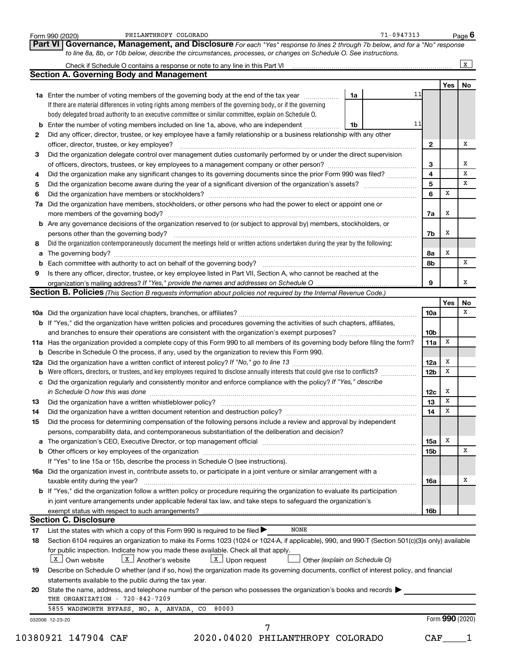|    | PHILANTHROPY COLORADO<br>Form 990 (2020)                                                                                                                                                                                       |    | $71 - 0947313$ |                  |                 | Page 6       |
|----|--------------------------------------------------------------------------------------------------------------------------------------------------------------------------------------------------------------------------------|----|----------------|------------------|-----------------|--------------|
|    | Governance, Management, and Disclosure For each "Yes" response to lines 2 through 7b below, and for a "No" response<br>Part VI                                                                                                 |    |                |                  |                 |              |
|    | to line 8a, 8b, or 10b below, describe the circumstances, processes, or changes on Schedule O. See instructions.                                                                                                               |    |                |                  |                 |              |
|    |                                                                                                                                                                                                                                |    |                |                  |                 | $\mathbf{x}$ |
|    | <b>Section A. Governing Body and Management</b>                                                                                                                                                                                |    |                |                  |                 |              |
|    |                                                                                                                                                                                                                                |    |                |                  | Yes             | No           |
|    | 1a Enter the number of voting members of the governing body at the end of the tax year                                                                                                                                         | 1a | 11             |                  |                 |              |
|    | If there are material differences in voting rights among members of the governing body, or if the governing                                                                                                                    |    |                |                  |                 |              |
|    | body delegated broad authority to an executive committee or similar committee, explain on Schedule O.                                                                                                                          |    |                |                  |                 |              |
|    | <b>b</b> Enter the number of voting members included on line 1a, above, who are independent                                                                                                                                    | 1b | 11             |                  |                 |              |
| 2  | Did any officer, director, trustee, or key employee have a family relationship or a business relationship with any other                                                                                                       |    |                |                  |                 |              |
|    | officer, director, trustee, or key employee?                                                                                                                                                                                   |    |                | $\mathbf{2}$     |                 | х            |
| 3  | Did the organization delegate control over management duties customarily performed by or under the direct supervision                                                                                                          |    |                |                  |                 |              |
|    |                                                                                                                                                                                                                                |    |                | 3                |                 | х            |
| 4  | Did the organization make any significant changes to its governing documents since the prior Form 990 was filed?                                                                                                               |    |                | 4                |                 | x            |
| 5  |                                                                                                                                                                                                                                |    |                | 5                |                 | x            |
| 6  |                                                                                                                                                                                                                                |    |                | 6                | x               |              |
| 7a | Did the organization have members, stockholders, or other persons who had the power to elect or appoint one or                                                                                                                 |    |                |                  |                 |              |
|    |                                                                                                                                                                                                                                |    |                | 7a               | х               |              |
|    | b Are any governance decisions of the organization reserved to (or subject to approval by) members, stockholders, or                                                                                                           |    |                |                  |                 |              |
|    | persons other than the governing body?                                                                                                                                                                                         |    |                | 7b               | х               |              |
| 8  | Did the organization contemporaneously document the meetings held or written actions undertaken during the year by the following:                                                                                              |    |                |                  |                 |              |
| а  |                                                                                                                                                                                                                                |    |                | 8а               | х               |              |
| b  |                                                                                                                                                                                                                                |    |                | 8b               |                 | х            |
| 9  | Is there any officer, director, trustee, or key employee listed in Part VII, Section A, who cannot be reached at the                                                                                                           |    |                |                  |                 |              |
|    |                                                                                                                                                                                                                                |    |                | 9                |                 | X            |
|    | <b>Section B. Policies</b> (This Section B requests information about policies not required by the Internal Revenue Code.)                                                                                                     |    |                |                  |                 |              |
|    |                                                                                                                                                                                                                                |    |                |                  | Yes             | No           |
|    |                                                                                                                                                                                                                                |    |                | <b>10a</b>       |                 | x            |
|    | b If "Yes," did the organization have written policies and procedures governing the activities of such chapters, affiliates,                                                                                                   |    |                |                  |                 |              |
|    |                                                                                                                                                                                                                                |    |                | 10 <sub>b</sub>  |                 |              |
|    | 11a Has the organization provided a complete copy of this Form 990 to all members of its governing body before filing the form?                                                                                                |    |                | 11a              | х               |              |
|    | <b>b</b> Describe in Schedule O the process, if any, used by the organization to review this Form 990.                                                                                                                         |    |                |                  |                 |              |
|    |                                                                                                                                                                                                                                |    |                | 12a              | X               |              |
| b  | Were officers, directors, or trustees, and key employees required to disclose annually interests that could give rise to conflicts?                                                                                            |    |                | 12 <sub>b</sub>  | x               |              |
|    | c Did the organization regularly and consistently monitor and enforce compliance with the policy? If "Yes," describe                                                                                                           |    |                |                  |                 |              |
|    |                                                                                                                                                                                                                                |    |                | 12c              | x               |              |
| 13 |                                                                                                                                                                                                                                |    |                | 13 <sub>13</sub> | $\mathbf x$     |              |
| 14 | Did the organization have a written document retention and destruction policy? [11] manufaction in the organization have a written document retention and destruction policy?                                                  |    |                | 14               | X               |              |
| 15 | Did the process for determining compensation of the following persons include a review and approval by independent                                                                                                             |    |                |                  |                 |              |
|    | persons, comparability data, and contemporaneous substantiation of the deliberation and decision?                                                                                                                              |    |                |                  |                 |              |
| a  | The organization's CEO, Executive Director, or top management official manufactured content of the organization's CEO, Executive Director, or top management official manufactured content of the organization's CEO, Executiv |    |                | 15a              | Х               |              |
|    |                                                                                                                                                                                                                                |    |                | 15 <sub>b</sub>  |                 | х            |
|    | If "Yes" to line 15a or 15b, describe the process in Schedule O (see instructions).                                                                                                                                            |    |                |                  |                 |              |
|    | 16a Did the organization invest in, contribute assets to, or participate in a joint venture or similar arrangement with a                                                                                                      |    |                |                  |                 |              |
|    | taxable entity during the year?                                                                                                                                                                                                |    |                | 16a              |                 | х            |
|    | b If "Yes," did the organization follow a written policy or procedure requiring the organization to evaluate its participation                                                                                                 |    |                |                  |                 |              |
|    | in joint venture arrangements under applicable federal tax law, and take steps to safeguard the organization's                                                                                                                 |    |                |                  |                 |              |
|    |                                                                                                                                                                                                                                |    |                | 16b              |                 |              |
|    | <b>Section C. Disclosure</b>                                                                                                                                                                                                   |    |                |                  |                 |              |
| 17 | <b>NONE</b><br>List the states with which a copy of this Form 990 is required to be filed >                                                                                                                                    |    |                |                  |                 |              |
| 18 | Section 6104 requires an organization to make its Forms 1023 (1024 or 1024-A, if applicable), 990, and 990-T (Section 501(c)(3)s only) available                                                                               |    |                |                  |                 |              |
|    | for public inspection. Indicate how you made these available. Check all that apply.                                                                                                                                            |    |                |                  |                 |              |
|    | $\boxed{\mathbf{x}}$ Another's website<br>$\boxed{\texttt{X}}$ Upon request<br>$X$ Own website<br>Other (explain on Schedule O)                                                                                                |    |                |                  |                 |              |
| 19 | Describe on Schedule O whether (and if so, how) the organization made its governing documents, conflict of interest policy, and financial                                                                                      |    |                |                  |                 |              |
|    | statements available to the public during the tax year.                                                                                                                                                                        |    |                |                  |                 |              |
| 20 | State the name, address, and telephone number of the person who possesses the organization's books and records                                                                                                                 |    |                |                  |                 |              |
|    | THE ORGANIZATION - 720-842-7209                                                                                                                                                                                                |    |                |                  |                 |              |
|    | 80003<br>5855 WADSWORTH BYPASS, NO. A, ARVADA,<br>CO                                                                                                                                                                           |    |                |                  |                 |              |
|    | 032006 12-23-20                                                                                                                                                                                                                |    |                |                  | Form 990 (2020) |              |
|    | 7                                                                                                                                                                                                                              |    |                |                  |                 |              |
|    | 10380921 147904 CAF<br>2020.04020 PHILANTHROPY COLORADO                                                                                                                                                                        |    |                | CAF              |                 |              |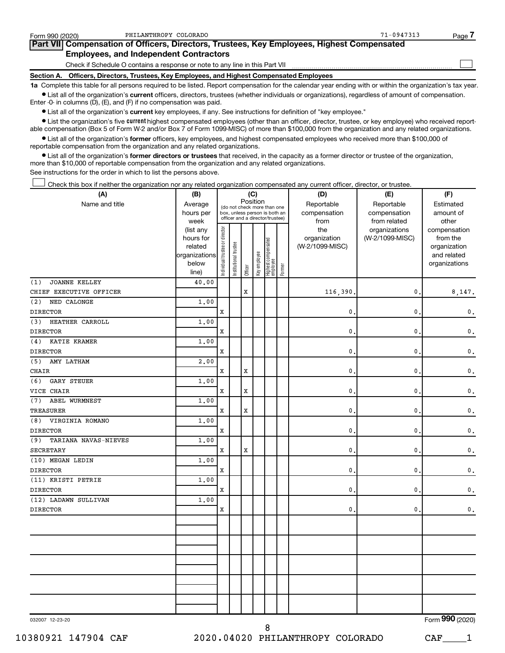| Form 990 (2020) | PHILANTHROPY COLORADO                                                                      | $71 - 0947313$ | Page |
|-----------------|--------------------------------------------------------------------------------------------|----------------|------|
|                 | Part VII Compensation of Officers, Directors, Trustees, Key Employees, Highest Compensated |                |      |
|                 | <b>Employees, and Independent Contractors</b>                                              |                |      |
|                 | Check if Schedule O contains a response or note to any line in this Part VII               |                |      |
|                 | Section A. Officers, Directors, Trustees, Key Employees, and Highest Compensated Employees |                |      |

**1a**  Complete this table for all persons required to be listed. Report compensation for the calendar year ending with or within the organization's tax year.  $\bullet$  List all of the organization's current officers, directors, trustees (whether individuals or organizations), regardless of amount of compensation.

Enter -0- in columns (D), (E), and (F) if no compensation was paid.

**•** List all of the organization's current key employees, if any. See instructions for definition of "key employee."

• List the organization's five *current* highest compensated employees (other than an officer, director, trustee, or key employee) who received reportable compensation (Box 5 of Form W-2 and/or Box 7 of Form 1099-MISC) of more than \$100,000 from the organization and any related organizations.

 $\bullet$  List all of the organization's former officers, key employees, and highest compensated employees who received more than \$100,000 of reportable compensation from the organization and any related organizations.

**•** List all of the organization's former directors or trustees that received, in the capacity as a former director or trustee of the organization, more than \$10,000 of reportable compensation from the organization and any related organizations.

See instructions for the order in which to list the persons above.

Check this box if neither the organization nor any related organization compensated any current officer, director, or trustee. †

| (A)                         | (B)                    | (C)                            |                                                                  |             |              |                                 |        | (D)                 | (E)                              | (F)                                               |
|-----------------------------|------------------------|--------------------------------|------------------------------------------------------------------|-------------|--------------|---------------------------------|--------|---------------------|----------------------------------|---------------------------------------------------|
| Name and title              | Average                |                                | (do not check more than one                                      |             | Position     |                                 |        | Reportable          | Reportable                       | Estimated                                         |
|                             | hours per              |                                | box, unless person is both an<br>officer and a director/trustee) |             |              |                                 |        | compensation        | compensation                     | amount of                                         |
|                             | week                   |                                |                                                                  |             |              |                                 |        | from                | from related                     | other                                             |
|                             | (list any<br>hours for |                                |                                                                  |             |              |                                 |        | the<br>organization | organizations<br>(W-2/1099-MISC) | compensation<br>from the                          |
|                             | related                |                                |                                                                  |             |              |                                 |        | (W-2/1099-MISC)     |                                  | organization                                      |
|                             | organizations          |                                |                                                                  |             |              |                                 |        |                     |                                  | and related                                       |
|                             | below                  | Individual trustee or director | Institutional trustee                                            |             | Key employee | Highest compensated<br>employee |        |                     |                                  | organizations                                     |
|                             | line)                  |                                |                                                                  | Officer     |              |                                 | Former |                     |                                  |                                                   |
| <b>JOANNE KELLEY</b><br>(1) | 40.00                  |                                |                                                                  |             |              |                                 |        |                     |                                  |                                                   |
| CHIEF EXECUTIVE OFFICER     |                        |                                |                                                                  | X           |              |                                 |        | 116,390             | 0                                | 8,147.                                            |
| (2)<br>NED CALONGE          | 1.00                   |                                |                                                                  |             |              |                                 |        |                     |                                  |                                                   |
| <b>DIRECTOR</b>             |                        | $\mathbf x$                    |                                                                  |             |              |                                 |        | 0                   | $\mathbf 0$                      | $\mathsf{0}\,.$                                   |
| HEATHER CARROLL<br>(3)      | 1,00                   |                                |                                                                  |             |              |                                 |        |                     |                                  |                                                   |
| <b>DIRECTOR</b>             |                        | X                              |                                                                  |             |              |                                 |        | 0                   | $\mathbf 0$                      | $\mathbf{0}$ .                                    |
| KATIE KRAMER<br>(4)         | 1.00                   |                                |                                                                  |             |              |                                 |        |                     |                                  |                                                   |
| <b>DIRECTOR</b>             |                        | $\mathbf x$                    |                                                                  |             |              |                                 |        | 0                   | 0                                | $\mathsf{0}\,.$                                   |
| (5)<br>AMY LATHAM           | 2,00                   |                                |                                                                  |             |              |                                 |        |                     |                                  |                                                   |
| CHAIR                       |                        | $\mathbf x$                    |                                                                  | X           |              |                                 |        | 0                   | 0                                | $\mathbf 0$ .                                     |
| (6)<br><b>GARY STEUER</b>   | 1.00                   |                                |                                                                  |             |              |                                 |        |                     |                                  |                                                   |
| VICE CHAIR                  |                        | $\mathbf x$                    |                                                                  | $\mathbf x$ |              |                                 |        | 0                   | $\mathbf 0$                      | $\mathsf{0}\,.$                                   |
| ABEL WURMNEST<br>(7)        | 1,00                   |                                |                                                                  |             |              |                                 |        |                     |                                  |                                                   |
| <b>TREASURER</b>            |                        | $\mathbf x$                    |                                                                  | X           |              |                                 |        | 0                   | $\pmb{0}$                        | $\mathbf{0}$ .                                    |
| VIRGINIA ROMANO<br>(8)      | 1.00                   |                                |                                                                  |             |              |                                 |        |                     |                                  |                                                   |
| <b>DIRECTOR</b>             |                        | $\mathbf x$                    |                                                                  |             |              |                                 |        | $\mathbf{0}$ .      | 0                                | $\mathbf 0$ .                                     |
| (9)<br>TARIANA NAVAS-NIEVES | 1.00                   |                                |                                                                  |             |              |                                 |        |                     |                                  |                                                   |
| <b>SECRETARY</b>            |                        | X                              |                                                                  | X           |              |                                 |        | 0                   | $\pmb{0}$                        | $\mathsf{0}\,.$                                   |
| (10) MEGAN LEDIN            | 1.00                   |                                |                                                                  |             |              |                                 |        |                     |                                  |                                                   |
| <b>DIRECTOR</b>             |                        | $\mathbf x$                    |                                                                  |             |              |                                 |        | 0                   | $\mathbf 0$                      | $\mathbf 0$ .                                     |
| (11) KRISTI PETRIE          | 1.00                   |                                |                                                                  |             |              |                                 |        |                     |                                  |                                                   |
| <b>DIRECTOR</b>             |                        | X                              |                                                                  |             |              |                                 |        | 0                   | $\pmb{0}$                        | $\mathsf{0}\,.$                                   |
| (12) LADAWN SULLIVAN        | 1.00                   |                                |                                                                  |             |              |                                 |        |                     |                                  |                                                   |
| <b>DIRECTOR</b>             |                        | X                              |                                                                  |             |              |                                 |        | 0                   | $\mathbf 0$                      | $\mathbf 0$ .                                     |
|                             |                        |                                |                                                                  |             |              |                                 |        |                     |                                  |                                                   |
|                             |                        |                                |                                                                  |             |              |                                 |        |                     |                                  |                                                   |
|                             |                        |                                |                                                                  |             |              |                                 |        |                     |                                  |                                                   |
|                             |                        |                                |                                                                  |             |              |                                 |        |                     |                                  |                                                   |
|                             |                        |                                |                                                                  |             |              |                                 |        |                     |                                  |                                                   |
|                             |                        |                                |                                                                  |             |              |                                 |        |                     |                                  |                                                   |
|                             |                        |                                |                                                                  |             |              |                                 |        |                     |                                  |                                                   |
|                             |                        |                                |                                                                  |             |              |                                 |        |                     |                                  |                                                   |
|                             |                        |                                |                                                                  |             |              |                                 |        |                     |                                  |                                                   |
|                             |                        |                                |                                                                  |             |              |                                 |        |                     |                                  |                                                   |
|                             |                        |                                |                                                                  |             |              |                                 |        |                     |                                  | $000 \times 000$<br>$\mathbf{r}$ and $\mathbf{r}$ |

032007 12-23-20

8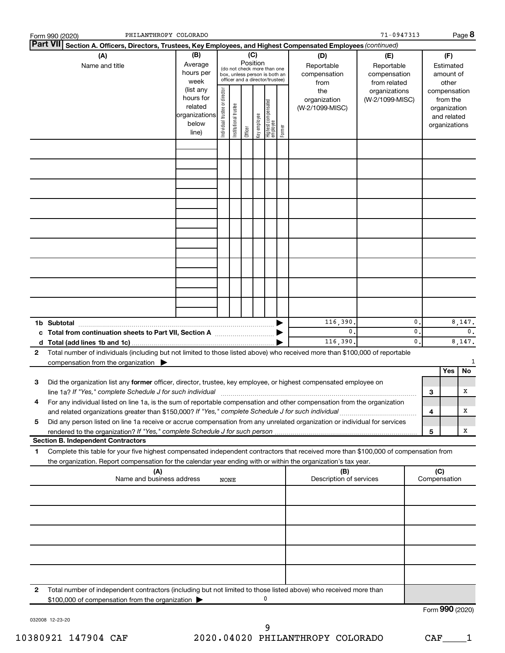|              | Form 990 (2020)                                                                                   |                                                                                                                                                                                                                                                                                                                                                         | PHILANTHROPY COLORADO |     |  |  |        |                                                                                     |                                                                                       |  |                                                                                                                    | 71-0947313 |                            |              | Page 8          |
|--------------|---------------------------------------------------------------------------------------------------|---------------------------------------------------------------------------------------------------------------------------------------------------------------------------------------------------------------------------------------------------------------------------------------------------------------------------------------------------------|-----------------------|-----|--|--|--------|-------------------------------------------------------------------------------------|---------------------------------------------------------------------------------------|--|--------------------------------------------------------------------------------------------------------------------|------------|----------------------------|--------------|-----------------|
|              |                                                                                                   | Part VII Section A. Officers, Directors, Trustees, Key Employees, and Highest Compensated Employees (continued)<br>(A)                                                                                                                                                                                                                                  |                       | (B) |  |  |        |                                                                                     |                                                                                       |  |                                                                                                                    |            |                            |              |                 |
|              |                                                                                                   | (C)<br>Position<br>Average<br>(do not check more than one<br>hours per<br>box, unless person is both an<br>officer and a director/trustee)<br>week<br>Individual trustee or director<br>(list any<br>hours for<br>  Highest compensated<br>  employee<br>Institutional trustee<br>related<br>organizations<br>Key employee<br>below<br>Officer<br>line) |                       |     |  |  | Former | (D)<br>Reportable<br>compensation<br>from<br>the<br>organization<br>(W-2/1099-MISC) | (E)<br>Reportable<br>compensation<br>from related<br>organizations<br>(W-2/1099-MISC) |  | (F)<br>Estimated<br>amount of<br>other<br>compensation<br>from the<br>organization<br>and related<br>organizations |            |                            |              |                 |
|              |                                                                                                   |                                                                                                                                                                                                                                                                                                                                                         |                       |     |  |  |        |                                                                                     |                                                                                       |  |                                                                                                                    |            |                            |              |                 |
|              |                                                                                                   |                                                                                                                                                                                                                                                                                                                                                         |                       |     |  |  |        |                                                                                     |                                                                                       |  |                                                                                                                    |            |                            |              |                 |
|              |                                                                                                   |                                                                                                                                                                                                                                                                                                                                                         |                       |     |  |  |        |                                                                                     |                                                                                       |  |                                                                                                                    |            |                            |              |                 |
|              |                                                                                                   |                                                                                                                                                                                                                                                                                                                                                         |                       |     |  |  |        |                                                                                     |                                                                                       |  |                                                                                                                    |            |                            |              |                 |
|              |                                                                                                   |                                                                                                                                                                                                                                                                                                                                                         |                       |     |  |  |        |                                                                                     |                                                                                       |  |                                                                                                                    |            |                            |              |                 |
|              |                                                                                                   |                                                                                                                                                                                                                                                                                                                                                         |                       |     |  |  |        |                                                                                     |                                                                                       |  |                                                                                                                    |            |                            |              |                 |
|              |                                                                                                   |                                                                                                                                                                                                                                                                                                                                                         |                       |     |  |  |        |                                                                                     |                                                                                       |  |                                                                                                                    |            |                            |              |                 |
|              |                                                                                                   |                                                                                                                                                                                                                                                                                                                                                         |                       |     |  |  |        |                                                                                     |                                                                                       |  |                                                                                                                    |            |                            |              |                 |
|              |                                                                                                   | c Total from continuation sheets to Part VII, Section A manufactured by                                                                                                                                                                                                                                                                                 |                       |     |  |  |        |                                                                                     |                                                                                       |  | 116,390.<br>$\mathbf{0}$ .                                                                                         |            | $\mathbf 0$<br>$\mathbf 0$ | 8,147.<br>0. |                 |
|              |                                                                                                   |                                                                                                                                                                                                                                                                                                                                                         |                       |     |  |  |        |                                                                                     |                                                                                       |  | 116,390.                                                                                                           |            | $\mathbf 0$ .              |              | 8,147.          |
| $\mathbf{2}$ |                                                                                                   | Total number of individuals (including but not limited to those listed above) who received more than \$100,000 of reportable<br>compensation from the organization $\blacktriangleright$                                                                                                                                                                |                       |     |  |  |        |                                                                                     |                                                                                       |  |                                                                                                                    |            |                            |              |                 |
|              |                                                                                                   |                                                                                                                                                                                                                                                                                                                                                         |                       |     |  |  |        |                                                                                     |                                                                                       |  |                                                                                                                    |            |                            | Yes          | No              |
| 3            |                                                                                                   | Did the organization list any former officer, director, trustee, key employee, or highest compensated employee on<br>line 1a? If "Yes," complete Schedule J for such individual                                                                                                                                                                         |                       |     |  |  |        |                                                                                     |                                                                                       |  |                                                                                                                    |            |                            | 3            | x               |
| 4            |                                                                                                   | For any individual listed on line 1a, is the sum of reportable compensation and other compensation from the organization                                                                                                                                                                                                                                |                       |     |  |  |        |                                                                                     |                                                                                       |  |                                                                                                                    |            |                            | 4            | X               |
| 5            |                                                                                                   | Did any person listed on line 1a receive or accrue compensation from any unrelated organization or individual for services                                                                                                                                                                                                                              |                       |     |  |  |        |                                                                                     |                                                                                       |  |                                                                                                                    |            |                            | 5            | x               |
|              |                                                                                                   | <b>Section B. Independent Contractors</b>                                                                                                                                                                                                                                                                                                               |                       |     |  |  |        |                                                                                     |                                                                                       |  |                                                                                                                    |            |                            |              |                 |
| 1            |                                                                                                   | Complete this table for your five highest compensated independent contractors that received more than \$100,000 of compensation from<br>the organization. Report compensation for the calendar year ending with or within the organization's tax year.                                                                                                  |                       |     |  |  |        |                                                                                     |                                                                                       |  |                                                                                                                    |            |                            |              |                 |
|              | (C)<br>(A)<br>(B)<br>Name and business address<br>Description of services<br>Compensation<br>NONE |                                                                                                                                                                                                                                                                                                                                                         |                       |     |  |  |        |                                                                                     |                                                                                       |  |                                                                                                                    |            |                            |              |                 |
|              |                                                                                                   |                                                                                                                                                                                                                                                                                                                                                         |                       |     |  |  |        |                                                                                     |                                                                                       |  |                                                                                                                    |            |                            |              |                 |
|              |                                                                                                   |                                                                                                                                                                                                                                                                                                                                                         |                       |     |  |  |        |                                                                                     |                                                                                       |  |                                                                                                                    |            |                            |              |                 |
|              |                                                                                                   |                                                                                                                                                                                                                                                                                                                                                         |                       |     |  |  |        |                                                                                     |                                                                                       |  |                                                                                                                    |            |                            |              |                 |
|              |                                                                                                   |                                                                                                                                                                                                                                                                                                                                                         |                       |     |  |  |        |                                                                                     |                                                                                       |  |                                                                                                                    |            |                            |              |                 |
| 2            |                                                                                                   | Total number of independent contractors (including but not limited to those listed above) who received more than<br>\$100,000 of compensation from the organization                                                                                                                                                                                     |                       |     |  |  |        |                                                                                     |                                                                                       |  |                                                                                                                    |            |                            |              |                 |
|              |                                                                                                   |                                                                                                                                                                                                                                                                                                                                                         |                       |     |  |  |        |                                                                                     |                                                                                       |  |                                                                                                                    |            |                            |              | Form 990 (2020) |

032008 12-23-20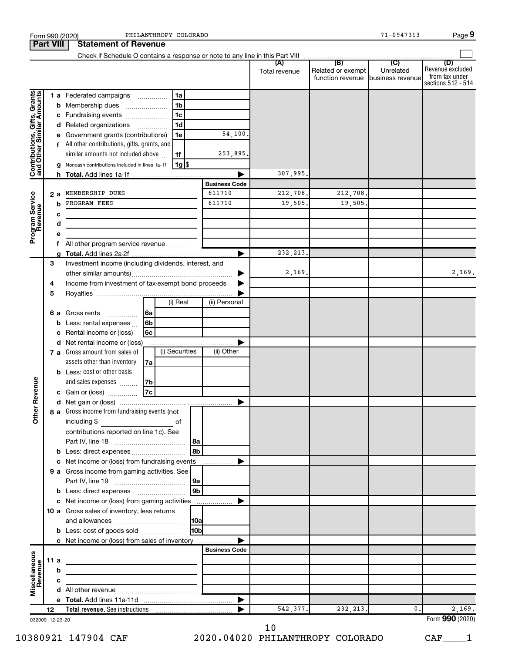| <b>Part VIII</b><br>(B)<br>$\overline{C}$<br>(A)<br>(D)<br>Revenue excluded<br>Related or exempt<br>Unrelated<br>Total revenue<br>from tax under<br>function revenue<br>business revenue<br>Contributions, Gifts, Grants<br>and Other Similar Amounts<br>1a<br>1 a Federated campaigns<br>1 <sub>b</sub><br><b>b</b> Membership dues<br>1c<br>c Fundraising events<br>1 <sub>d</sub><br>d Related organizations<br>54,100.<br>e Government grants (contributions)<br>1e<br>f All other contributions, gifts, grants, and<br>253,895.<br>similar amounts not included above<br>1f<br> 1g <br>Noncash contributions included in lines 1a-1f<br>g<br>307,995.<br>▶<br>h.<br><b>Business Code</b><br>212,708.<br>212,708.<br>611710<br>MEMBERSHIP DUES<br>Program Service<br>Revenue<br>2 a<br>19,505.<br>19,505.<br>PROGRAM FEES<br>611710<br>b<br>с<br>d<br><u> 1989 - Johann Barbara, martin amerikan basal dan berasal dalam basal dalam basal dalam basal dalam basal dala</u><br>е<br>All other program service revenue<br>f<br>232, 213.<br>▶<br>a<br>3<br>Investment income (including dividends, interest, and<br>2,169.<br>Income from investment of tax-exempt bond proceeds<br>4<br>5<br>(i) Real<br>(ii) Personal<br><b>6 a</b> Gross rents<br> 6a<br>.<br>6 <sub>b</sub><br>Less: rental expenses<br>b<br>6с<br>Rental income or (loss)<br>с<br>d Net rental income or (loss)<br>(i) Securities<br>(ii) Other<br>7 a Gross amount from sales of<br>assets other than inventory<br>7a<br><b>b</b> Less: cost or other basis<br>evenue<br>and sales expenses<br>7b<br>7c<br>c Gain or (loss)<br>Other F<br>8 a Gross income from fundraising events (not<br>including \$<br>$\overline{\phantom{a}}$ of<br>contributions reported on line 1c). See<br>8b<br>Less: direct expenses<br>b<br>Net income or (loss) from fundraising events<br>с<br>9 a Gross income from gaming activities. See<br>9b<br>c Net income or (loss) from gaming activities<br>▶<br>10 a Gross sales of inventory, less returns<br><b>HObl</b><br><b>b</b> Less: cost of goods sold<br>c Net income or (loss) from sales of inventory<br><b>Business Code</b><br>Miscellaneous<br>Revenue<br>11 a<br><u> 1989 - Johann John Stein, markin fan it ferstjer fan it ferstjer fan it ferstjer fan it ferstjer fan it fers</u><br>b<br>the control of the control of the control of the control of the control of<br>c<br><u> 1980 - Johann Barbara, martin a</u><br>542, 377.<br>232, 213.<br>$\mathbf{0}$ .<br>2,169.<br>12 <sup>2</sup><br>032009 12-23-20 |  |  | PHILANTHROPY COLORADO<br>Form 990 (2020) |  | $71 - 0947313$ | Page 9             |
|-----------------------------------------------------------------------------------------------------------------------------------------------------------------------------------------------------------------------------------------------------------------------------------------------------------------------------------------------------------------------------------------------------------------------------------------------------------------------------------------------------------------------------------------------------------------------------------------------------------------------------------------------------------------------------------------------------------------------------------------------------------------------------------------------------------------------------------------------------------------------------------------------------------------------------------------------------------------------------------------------------------------------------------------------------------------------------------------------------------------------------------------------------------------------------------------------------------------------------------------------------------------------------------------------------------------------------------------------------------------------------------------------------------------------------------------------------------------------------------------------------------------------------------------------------------------------------------------------------------------------------------------------------------------------------------------------------------------------------------------------------------------------------------------------------------------------------------------------------------------------------------------------------------------------------------------------------------------------------------------------------------------------------------------------------------------------------------------------------------------------------------------------------------------------------------------------------------------------------------------------------------------------------------------------------------------------------------------------------------------------------------------------------------------------------------------------------------------------------------------------------------------------------------------|--|--|------------------------------------------|--|----------------|--------------------|
|                                                                                                                                                                                                                                                                                                                                                                                                                                                                                                                                                                                                                                                                                                                                                                                                                                                                                                                                                                                                                                                                                                                                                                                                                                                                                                                                                                                                                                                                                                                                                                                                                                                                                                                                                                                                                                                                                                                                                                                                                                                                                                                                                                                                                                                                                                                                                                                                                                                                                                                                         |  |  | <b>Statement of Revenue</b>              |  |                |                    |
|                                                                                                                                                                                                                                                                                                                                                                                                                                                                                                                                                                                                                                                                                                                                                                                                                                                                                                                                                                                                                                                                                                                                                                                                                                                                                                                                                                                                                                                                                                                                                                                                                                                                                                                                                                                                                                                                                                                                                                                                                                                                                                                                                                                                                                                                                                                                                                                                                                                                                                                                         |  |  |                                          |  |                |                    |
|                                                                                                                                                                                                                                                                                                                                                                                                                                                                                                                                                                                                                                                                                                                                                                                                                                                                                                                                                                                                                                                                                                                                                                                                                                                                                                                                                                                                                                                                                                                                                                                                                                                                                                                                                                                                                                                                                                                                                                                                                                                                                                                                                                                                                                                                                                                                                                                                                                                                                                                                         |  |  |                                          |  |                | sections 512 - 514 |
|                                                                                                                                                                                                                                                                                                                                                                                                                                                                                                                                                                                                                                                                                                                                                                                                                                                                                                                                                                                                                                                                                                                                                                                                                                                                                                                                                                                                                                                                                                                                                                                                                                                                                                                                                                                                                                                                                                                                                                                                                                                                                                                                                                                                                                                                                                                                                                                                                                                                                                                                         |  |  |                                          |  |                |                    |
|                                                                                                                                                                                                                                                                                                                                                                                                                                                                                                                                                                                                                                                                                                                                                                                                                                                                                                                                                                                                                                                                                                                                                                                                                                                                                                                                                                                                                                                                                                                                                                                                                                                                                                                                                                                                                                                                                                                                                                                                                                                                                                                                                                                                                                                                                                                                                                                                                                                                                                                                         |  |  |                                          |  |                |                    |
|                                                                                                                                                                                                                                                                                                                                                                                                                                                                                                                                                                                                                                                                                                                                                                                                                                                                                                                                                                                                                                                                                                                                                                                                                                                                                                                                                                                                                                                                                                                                                                                                                                                                                                                                                                                                                                                                                                                                                                                                                                                                                                                                                                                                                                                                                                                                                                                                                                                                                                                                         |  |  |                                          |  |                |                    |
|                                                                                                                                                                                                                                                                                                                                                                                                                                                                                                                                                                                                                                                                                                                                                                                                                                                                                                                                                                                                                                                                                                                                                                                                                                                                                                                                                                                                                                                                                                                                                                                                                                                                                                                                                                                                                                                                                                                                                                                                                                                                                                                                                                                                                                                                                                                                                                                                                                                                                                                                         |  |  |                                          |  |                |                    |
|                                                                                                                                                                                                                                                                                                                                                                                                                                                                                                                                                                                                                                                                                                                                                                                                                                                                                                                                                                                                                                                                                                                                                                                                                                                                                                                                                                                                                                                                                                                                                                                                                                                                                                                                                                                                                                                                                                                                                                                                                                                                                                                                                                                                                                                                                                                                                                                                                                                                                                                                         |  |  |                                          |  |                |                    |
|                                                                                                                                                                                                                                                                                                                                                                                                                                                                                                                                                                                                                                                                                                                                                                                                                                                                                                                                                                                                                                                                                                                                                                                                                                                                                                                                                                                                                                                                                                                                                                                                                                                                                                                                                                                                                                                                                                                                                                                                                                                                                                                                                                                                                                                                                                                                                                                                                                                                                                                                         |  |  |                                          |  |                |                    |
|                                                                                                                                                                                                                                                                                                                                                                                                                                                                                                                                                                                                                                                                                                                                                                                                                                                                                                                                                                                                                                                                                                                                                                                                                                                                                                                                                                                                                                                                                                                                                                                                                                                                                                                                                                                                                                                                                                                                                                                                                                                                                                                                                                                                                                                                                                                                                                                                                                                                                                                                         |  |  |                                          |  |                |                    |
|                                                                                                                                                                                                                                                                                                                                                                                                                                                                                                                                                                                                                                                                                                                                                                                                                                                                                                                                                                                                                                                                                                                                                                                                                                                                                                                                                                                                                                                                                                                                                                                                                                                                                                                                                                                                                                                                                                                                                                                                                                                                                                                                                                                                                                                                                                                                                                                                                                                                                                                                         |  |  |                                          |  |                |                    |
|                                                                                                                                                                                                                                                                                                                                                                                                                                                                                                                                                                                                                                                                                                                                                                                                                                                                                                                                                                                                                                                                                                                                                                                                                                                                                                                                                                                                                                                                                                                                                                                                                                                                                                                                                                                                                                                                                                                                                                                                                                                                                                                                                                                                                                                                                                                                                                                                                                                                                                                                         |  |  |                                          |  |                |                    |
|                                                                                                                                                                                                                                                                                                                                                                                                                                                                                                                                                                                                                                                                                                                                                                                                                                                                                                                                                                                                                                                                                                                                                                                                                                                                                                                                                                                                                                                                                                                                                                                                                                                                                                                                                                                                                                                                                                                                                                                                                                                                                                                                                                                                                                                                                                                                                                                                                                                                                                                                         |  |  |                                          |  |                |                    |
|                                                                                                                                                                                                                                                                                                                                                                                                                                                                                                                                                                                                                                                                                                                                                                                                                                                                                                                                                                                                                                                                                                                                                                                                                                                                                                                                                                                                                                                                                                                                                                                                                                                                                                                                                                                                                                                                                                                                                                                                                                                                                                                                                                                                                                                                                                                                                                                                                                                                                                                                         |  |  |                                          |  |                |                    |
|                                                                                                                                                                                                                                                                                                                                                                                                                                                                                                                                                                                                                                                                                                                                                                                                                                                                                                                                                                                                                                                                                                                                                                                                                                                                                                                                                                                                                                                                                                                                                                                                                                                                                                                                                                                                                                                                                                                                                                                                                                                                                                                                                                                                                                                                                                                                                                                                                                                                                                                                         |  |  |                                          |  |                |                    |
|                                                                                                                                                                                                                                                                                                                                                                                                                                                                                                                                                                                                                                                                                                                                                                                                                                                                                                                                                                                                                                                                                                                                                                                                                                                                                                                                                                                                                                                                                                                                                                                                                                                                                                                                                                                                                                                                                                                                                                                                                                                                                                                                                                                                                                                                                                                                                                                                                                                                                                                                         |  |  |                                          |  |                |                    |
|                                                                                                                                                                                                                                                                                                                                                                                                                                                                                                                                                                                                                                                                                                                                                                                                                                                                                                                                                                                                                                                                                                                                                                                                                                                                                                                                                                                                                                                                                                                                                                                                                                                                                                                                                                                                                                                                                                                                                                                                                                                                                                                                                                                                                                                                                                                                                                                                                                                                                                                                         |  |  |                                          |  |                |                    |
|                                                                                                                                                                                                                                                                                                                                                                                                                                                                                                                                                                                                                                                                                                                                                                                                                                                                                                                                                                                                                                                                                                                                                                                                                                                                                                                                                                                                                                                                                                                                                                                                                                                                                                                                                                                                                                                                                                                                                                                                                                                                                                                                                                                                                                                                                                                                                                                                                                                                                                                                         |  |  |                                          |  |                |                    |
|                                                                                                                                                                                                                                                                                                                                                                                                                                                                                                                                                                                                                                                                                                                                                                                                                                                                                                                                                                                                                                                                                                                                                                                                                                                                                                                                                                                                                                                                                                                                                                                                                                                                                                                                                                                                                                                                                                                                                                                                                                                                                                                                                                                                                                                                                                                                                                                                                                                                                                                                         |  |  |                                          |  |                |                    |
|                                                                                                                                                                                                                                                                                                                                                                                                                                                                                                                                                                                                                                                                                                                                                                                                                                                                                                                                                                                                                                                                                                                                                                                                                                                                                                                                                                                                                                                                                                                                                                                                                                                                                                                                                                                                                                                                                                                                                                                                                                                                                                                                                                                                                                                                                                                                                                                                                                                                                                                                         |  |  |                                          |  |                |                    |
|                                                                                                                                                                                                                                                                                                                                                                                                                                                                                                                                                                                                                                                                                                                                                                                                                                                                                                                                                                                                                                                                                                                                                                                                                                                                                                                                                                                                                                                                                                                                                                                                                                                                                                                                                                                                                                                                                                                                                                                                                                                                                                                                                                                                                                                                                                                                                                                                                                                                                                                                         |  |  |                                          |  |                | 2,169.             |
|                                                                                                                                                                                                                                                                                                                                                                                                                                                                                                                                                                                                                                                                                                                                                                                                                                                                                                                                                                                                                                                                                                                                                                                                                                                                                                                                                                                                                                                                                                                                                                                                                                                                                                                                                                                                                                                                                                                                                                                                                                                                                                                                                                                                                                                                                                                                                                                                                                                                                                                                         |  |  |                                          |  |                |                    |
|                                                                                                                                                                                                                                                                                                                                                                                                                                                                                                                                                                                                                                                                                                                                                                                                                                                                                                                                                                                                                                                                                                                                                                                                                                                                                                                                                                                                                                                                                                                                                                                                                                                                                                                                                                                                                                                                                                                                                                                                                                                                                                                                                                                                                                                                                                                                                                                                                                                                                                                                         |  |  |                                          |  |                |                    |
|                                                                                                                                                                                                                                                                                                                                                                                                                                                                                                                                                                                                                                                                                                                                                                                                                                                                                                                                                                                                                                                                                                                                                                                                                                                                                                                                                                                                                                                                                                                                                                                                                                                                                                                                                                                                                                                                                                                                                                                                                                                                                                                                                                                                                                                                                                                                                                                                                                                                                                                                         |  |  |                                          |  |                |                    |
|                                                                                                                                                                                                                                                                                                                                                                                                                                                                                                                                                                                                                                                                                                                                                                                                                                                                                                                                                                                                                                                                                                                                                                                                                                                                                                                                                                                                                                                                                                                                                                                                                                                                                                                                                                                                                                                                                                                                                                                                                                                                                                                                                                                                                                                                                                                                                                                                                                                                                                                                         |  |  |                                          |  |                |                    |
|                                                                                                                                                                                                                                                                                                                                                                                                                                                                                                                                                                                                                                                                                                                                                                                                                                                                                                                                                                                                                                                                                                                                                                                                                                                                                                                                                                                                                                                                                                                                                                                                                                                                                                                                                                                                                                                                                                                                                                                                                                                                                                                                                                                                                                                                                                                                                                                                                                                                                                                                         |  |  |                                          |  |                |                    |
|                                                                                                                                                                                                                                                                                                                                                                                                                                                                                                                                                                                                                                                                                                                                                                                                                                                                                                                                                                                                                                                                                                                                                                                                                                                                                                                                                                                                                                                                                                                                                                                                                                                                                                                                                                                                                                                                                                                                                                                                                                                                                                                                                                                                                                                                                                                                                                                                                                                                                                                                         |  |  |                                          |  |                |                    |
|                                                                                                                                                                                                                                                                                                                                                                                                                                                                                                                                                                                                                                                                                                                                                                                                                                                                                                                                                                                                                                                                                                                                                                                                                                                                                                                                                                                                                                                                                                                                                                                                                                                                                                                                                                                                                                                                                                                                                                                                                                                                                                                                                                                                                                                                                                                                                                                                                                                                                                                                         |  |  |                                          |  |                |                    |
|                                                                                                                                                                                                                                                                                                                                                                                                                                                                                                                                                                                                                                                                                                                                                                                                                                                                                                                                                                                                                                                                                                                                                                                                                                                                                                                                                                                                                                                                                                                                                                                                                                                                                                                                                                                                                                                                                                                                                                                                                                                                                                                                                                                                                                                                                                                                                                                                                                                                                                                                         |  |  |                                          |  |                |                    |
|                                                                                                                                                                                                                                                                                                                                                                                                                                                                                                                                                                                                                                                                                                                                                                                                                                                                                                                                                                                                                                                                                                                                                                                                                                                                                                                                                                                                                                                                                                                                                                                                                                                                                                                                                                                                                                                                                                                                                                                                                                                                                                                                                                                                                                                                                                                                                                                                                                                                                                                                         |  |  |                                          |  |                |                    |
|                                                                                                                                                                                                                                                                                                                                                                                                                                                                                                                                                                                                                                                                                                                                                                                                                                                                                                                                                                                                                                                                                                                                                                                                                                                                                                                                                                                                                                                                                                                                                                                                                                                                                                                                                                                                                                                                                                                                                                                                                                                                                                                                                                                                                                                                                                                                                                                                                                                                                                                                         |  |  |                                          |  |                |                    |
|                                                                                                                                                                                                                                                                                                                                                                                                                                                                                                                                                                                                                                                                                                                                                                                                                                                                                                                                                                                                                                                                                                                                                                                                                                                                                                                                                                                                                                                                                                                                                                                                                                                                                                                                                                                                                                                                                                                                                                                                                                                                                                                                                                                                                                                                                                                                                                                                                                                                                                                                         |  |  |                                          |  |                |                    |
|                                                                                                                                                                                                                                                                                                                                                                                                                                                                                                                                                                                                                                                                                                                                                                                                                                                                                                                                                                                                                                                                                                                                                                                                                                                                                                                                                                                                                                                                                                                                                                                                                                                                                                                                                                                                                                                                                                                                                                                                                                                                                                                                                                                                                                                                                                                                                                                                                                                                                                                                         |  |  |                                          |  |                |                    |
|                                                                                                                                                                                                                                                                                                                                                                                                                                                                                                                                                                                                                                                                                                                                                                                                                                                                                                                                                                                                                                                                                                                                                                                                                                                                                                                                                                                                                                                                                                                                                                                                                                                                                                                                                                                                                                                                                                                                                                                                                                                                                                                                                                                                                                                                                                                                                                                                                                                                                                                                         |  |  |                                          |  |                |                    |
|                                                                                                                                                                                                                                                                                                                                                                                                                                                                                                                                                                                                                                                                                                                                                                                                                                                                                                                                                                                                                                                                                                                                                                                                                                                                                                                                                                                                                                                                                                                                                                                                                                                                                                                                                                                                                                                                                                                                                                                                                                                                                                                                                                                                                                                                                                                                                                                                                                                                                                                                         |  |  |                                          |  |                |                    |
|                                                                                                                                                                                                                                                                                                                                                                                                                                                                                                                                                                                                                                                                                                                                                                                                                                                                                                                                                                                                                                                                                                                                                                                                                                                                                                                                                                                                                                                                                                                                                                                                                                                                                                                                                                                                                                                                                                                                                                                                                                                                                                                                                                                                                                                                                                                                                                                                                                                                                                                                         |  |  |                                          |  |                |                    |
|                                                                                                                                                                                                                                                                                                                                                                                                                                                                                                                                                                                                                                                                                                                                                                                                                                                                                                                                                                                                                                                                                                                                                                                                                                                                                                                                                                                                                                                                                                                                                                                                                                                                                                                                                                                                                                                                                                                                                                                                                                                                                                                                                                                                                                                                                                                                                                                                                                                                                                                                         |  |  |                                          |  |                |                    |
|                                                                                                                                                                                                                                                                                                                                                                                                                                                                                                                                                                                                                                                                                                                                                                                                                                                                                                                                                                                                                                                                                                                                                                                                                                                                                                                                                                                                                                                                                                                                                                                                                                                                                                                                                                                                                                                                                                                                                                                                                                                                                                                                                                                                                                                                                                                                                                                                                                                                                                                                         |  |  |                                          |  |                |                    |
|                                                                                                                                                                                                                                                                                                                                                                                                                                                                                                                                                                                                                                                                                                                                                                                                                                                                                                                                                                                                                                                                                                                                                                                                                                                                                                                                                                                                                                                                                                                                                                                                                                                                                                                                                                                                                                                                                                                                                                                                                                                                                                                                                                                                                                                                                                                                                                                                                                                                                                                                         |  |  |                                          |  |                |                    |
|                                                                                                                                                                                                                                                                                                                                                                                                                                                                                                                                                                                                                                                                                                                                                                                                                                                                                                                                                                                                                                                                                                                                                                                                                                                                                                                                                                                                                                                                                                                                                                                                                                                                                                                                                                                                                                                                                                                                                                                                                                                                                                                                                                                                                                                                                                                                                                                                                                                                                                                                         |  |  |                                          |  |                |                    |
|                                                                                                                                                                                                                                                                                                                                                                                                                                                                                                                                                                                                                                                                                                                                                                                                                                                                                                                                                                                                                                                                                                                                                                                                                                                                                                                                                                                                                                                                                                                                                                                                                                                                                                                                                                                                                                                                                                                                                                                                                                                                                                                                                                                                                                                                                                                                                                                                                                                                                                                                         |  |  |                                          |  |                |                    |
|                                                                                                                                                                                                                                                                                                                                                                                                                                                                                                                                                                                                                                                                                                                                                                                                                                                                                                                                                                                                                                                                                                                                                                                                                                                                                                                                                                                                                                                                                                                                                                                                                                                                                                                                                                                                                                                                                                                                                                                                                                                                                                                                                                                                                                                                                                                                                                                                                                                                                                                                         |  |  |                                          |  |                |                    |
|                                                                                                                                                                                                                                                                                                                                                                                                                                                                                                                                                                                                                                                                                                                                                                                                                                                                                                                                                                                                                                                                                                                                                                                                                                                                                                                                                                                                                                                                                                                                                                                                                                                                                                                                                                                                                                                                                                                                                                                                                                                                                                                                                                                                                                                                                                                                                                                                                                                                                                                                         |  |  |                                          |  |                |                    |
|                                                                                                                                                                                                                                                                                                                                                                                                                                                                                                                                                                                                                                                                                                                                                                                                                                                                                                                                                                                                                                                                                                                                                                                                                                                                                                                                                                                                                                                                                                                                                                                                                                                                                                                                                                                                                                                                                                                                                                                                                                                                                                                                                                                                                                                                                                                                                                                                                                                                                                                                         |  |  |                                          |  |                |                    |
|                                                                                                                                                                                                                                                                                                                                                                                                                                                                                                                                                                                                                                                                                                                                                                                                                                                                                                                                                                                                                                                                                                                                                                                                                                                                                                                                                                                                                                                                                                                                                                                                                                                                                                                                                                                                                                                                                                                                                                                                                                                                                                                                                                                                                                                                                                                                                                                                                                                                                                                                         |  |  |                                          |  |                |                    |
|                                                                                                                                                                                                                                                                                                                                                                                                                                                                                                                                                                                                                                                                                                                                                                                                                                                                                                                                                                                                                                                                                                                                                                                                                                                                                                                                                                                                                                                                                                                                                                                                                                                                                                                                                                                                                                                                                                                                                                                                                                                                                                                                                                                                                                                                                                                                                                                                                                                                                                                                         |  |  |                                          |  |                |                    |
|                                                                                                                                                                                                                                                                                                                                                                                                                                                                                                                                                                                                                                                                                                                                                                                                                                                                                                                                                                                                                                                                                                                                                                                                                                                                                                                                                                                                                                                                                                                                                                                                                                                                                                                                                                                                                                                                                                                                                                                                                                                                                                                                                                                                                                                                                                                                                                                                                                                                                                                                         |  |  |                                          |  |                |                    |
|                                                                                                                                                                                                                                                                                                                                                                                                                                                                                                                                                                                                                                                                                                                                                                                                                                                                                                                                                                                                                                                                                                                                                                                                                                                                                                                                                                                                                                                                                                                                                                                                                                                                                                                                                                                                                                                                                                                                                                                                                                                                                                                                                                                                                                                                                                                                                                                                                                                                                                                                         |  |  |                                          |  |                |                    |
|                                                                                                                                                                                                                                                                                                                                                                                                                                                                                                                                                                                                                                                                                                                                                                                                                                                                                                                                                                                                                                                                                                                                                                                                                                                                                                                                                                                                                                                                                                                                                                                                                                                                                                                                                                                                                                                                                                                                                                                                                                                                                                                                                                                                                                                                                                                                                                                                                                                                                                                                         |  |  |                                          |  |                |                    |
|                                                                                                                                                                                                                                                                                                                                                                                                                                                                                                                                                                                                                                                                                                                                                                                                                                                                                                                                                                                                                                                                                                                                                                                                                                                                                                                                                                                                                                                                                                                                                                                                                                                                                                                                                                                                                                                                                                                                                                                                                                                                                                                                                                                                                                                                                                                                                                                                                                                                                                                                         |  |  |                                          |  |                |                    |
|                                                                                                                                                                                                                                                                                                                                                                                                                                                                                                                                                                                                                                                                                                                                                                                                                                                                                                                                                                                                                                                                                                                                                                                                                                                                                                                                                                                                                                                                                                                                                                                                                                                                                                                                                                                                                                                                                                                                                                                                                                                                                                                                                                                                                                                                                                                                                                                                                                                                                                                                         |  |  |                                          |  |                |                    |
|                                                                                                                                                                                                                                                                                                                                                                                                                                                                                                                                                                                                                                                                                                                                                                                                                                                                                                                                                                                                                                                                                                                                                                                                                                                                                                                                                                                                                                                                                                                                                                                                                                                                                                                                                                                                                                                                                                                                                                                                                                                                                                                                                                                                                                                                                                                                                                                                                                                                                                                                         |  |  |                                          |  |                |                    |
|                                                                                                                                                                                                                                                                                                                                                                                                                                                                                                                                                                                                                                                                                                                                                                                                                                                                                                                                                                                                                                                                                                                                                                                                                                                                                                                                                                                                                                                                                                                                                                                                                                                                                                                                                                                                                                                                                                                                                                                                                                                                                                                                                                                                                                                                                                                                                                                                                                                                                                                                         |  |  |                                          |  |                |                    |
|                                                                                                                                                                                                                                                                                                                                                                                                                                                                                                                                                                                                                                                                                                                                                                                                                                                                                                                                                                                                                                                                                                                                                                                                                                                                                                                                                                                                                                                                                                                                                                                                                                                                                                                                                                                                                                                                                                                                                                                                                                                                                                                                                                                                                                                                                                                                                                                                                                                                                                                                         |  |  |                                          |  |                |                    |
|                                                                                                                                                                                                                                                                                                                                                                                                                                                                                                                                                                                                                                                                                                                                                                                                                                                                                                                                                                                                                                                                                                                                                                                                                                                                                                                                                                                                                                                                                                                                                                                                                                                                                                                                                                                                                                                                                                                                                                                                                                                                                                                                                                                                                                                                                                                                                                                                                                                                                                                                         |  |  |                                          |  |                |                    |
|                                                                                                                                                                                                                                                                                                                                                                                                                                                                                                                                                                                                                                                                                                                                                                                                                                                                                                                                                                                                                                                                                                                                                                                                                                                                                                                                                                                                                                                                                                                                                                                                                                                                                                                                                                                                                                                                                                                                                                                                                                                                                                                                                                                                                                                                                                                                                                                                                                                                                                                                         |  |  |                                          |  |                | Form 990 (2020)    |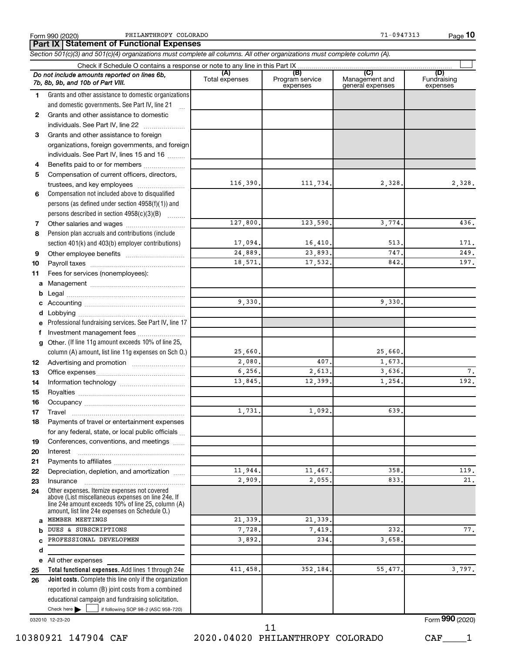Form 990 (2020) PHILANTHROPY COLORADO **1999 120 COLORADO 12 COLORADO 12 COLORADO** 11-0947313 Page

**Part IX Statement of Functional Expenses**

*Section 501(c)(3) and 501(c)(4) organizations must complete all columns. All other organizations must complete column (A).*

|              | Do not include amounts reported on lines 6b,<br>7b, 8b, 9b, and 10b of Part VIII.                                                                                                                          | (A)<br>Total expenses | (B)<br>Program service<br>expenses | (C)<br>Management and<br>general expenses | (D)<br>Fundraising<br>expenses    |  |  |  |  |  |  |
|--------------|------------------------------------------------------------------------------------------------------------------------------------------------------------------------------------------------------------|-----------------------|------------------------------------|-------------------------------------------|-----------------------------------|--|--|--|--|--|--|
| 1.           | Grants and other assistance to domestic organizations                                                                                                                                                      |                       |                                    |                                           |                                   |  |  |  |  |  |  |
|              | and domestic governments. See Part IV, line 21                                                                                                                                                             |                       |                                    |                                           |                                   |  |  |  |  |  |  |
| $\mathbf{2}$ | Grants and other assistance to domestic                                                                                                                                                                    |                       |                                    |                                           |                                   |  |  |  |  |  |  |
|              | individuals. See Part IV, line 22                                                                                                                                                                          |                       |                                    |                                           |                                   |  |  |  |  |  |  |
| 3            | Grants and other assistance to foreign                                                                                                                                                                     |                       |                                    |                                           |                                   |  |  |  |  |  |  |
|              | organizations, foreign governments, and foreign                                                                                                                                                            |                       |                                    |                                           |                                   |  |  |  |  |  |  |
|              | individuals. See Part IV, lines 15 and 16                                                                                                                                                                  |                       |                                    |                                           |                                   |  |  |  |  |  |  |
| 4            | Benefits paid to or for members                                                                                                                                                                            |                       |                                    |                                           |                                   |  |  |  |  |  |  |
| 5            | Compensation of current officers, directors,                                                                                                                                                               |                       |                                    |                                           |                                   |  |  |  |  |  |  |
|              | trustees, and key employees                                                                                                                                                                                | 116,390.              | 111,734.                           | 2,328.                                    | 2,328.                            |  |  |  |  |  |  |
| 6            | Compensation not included above to disqualified                                                                                                                                                            |                       |                                    |                                           |                                   |  |  |  |  |  |  |
|              | persons (as defined under section 4958(f)(1)) and                                                                                                                                                          |                       |                                    |                                           |                                   |  |  |  |  |  |  |
|              | persons described in section 4958(c)(3)(B)                                                                                                                                                                 |                       |                                    |                                           |                                   |  |  |  |  |  |  |
| 7            |                                                                                                                                                                                                            | 127,800.              | 123,590.                           | 3,774.                                    | 436.                              |  |  |  |  |  |  |
| 8            | Pension plan accruals and contributions (include                                                                                                                                                           |                       |                                    |                                           |                                   |  |  |  |  |  |  |
|              | section 401(k) and 403(b) employer contributions)                                                                                                                                                          | 17,094.               | 16,410.                            | 513                                       | 171.                              |  |  |  |  |  |  |
| 9            |                                                                                                                                                                                                            | 24,889.               | 23,893.                            | 747                                       | 249.                              |  |  |  |  |  |  |
| 10           |                                                                                                                                                                                                            | 18,571.               | 17,532.                            | 842                                       | 197.                              |  |  |  |  |  |  |
| 11           | Fees for services (nonemployees):                                                                                                                                                                          |                       |                                    |                                           |                                   |  |  |  |  |  |  |
| a            |                                                                                                                                                                                                            |                       |                                    |                                           |                                   |  |  |  |  |  |  |
| b            |                                                                                                                                                                                                            |                       |                                    |                                           |                                   |  |  |  |  |  |  |
| c            |                                                                                                                                                                                                            | 9,330                 |                                    | 9,330                                     |                                   |  |  |  |  |  |  |
| d            |                                                                                                                                                                                                            |                       |                                    |                                           |                                   |  |  |  |  |  |  |
| e            | Professional fundraising services. See Part IV, line 17                                                                                                                                                    |                       |                                    |                                           |                                   |  |  |  |  |  |  |
| f            | Investment management fees                                                                                                                                                                                 |                       |                                    |                                           |                                   |  |  |  |  |  |  |
| a            | Other. (If line 11g amount exceeds 10% of line 25,                                                                                                                                                         |                       |                                    |                                           |                                   |  |  |  |  |  |  |
|              | column (A) amount, list line 11g expenses on Sch O.)                                                                                                                                                       | 25,660.               |                                    | 25,660.                                   |                                   |  |  |  |  |  |  |
| 12           |                                                                                                                                                                                                            | 2,080.                | 407.                               | 1,673.                                    |                                   |  |  |  |  |  |  |
| 13           |                                                                                                                                                                                                            | 6, 256.               | 2,613.                             | 3,636.                                    | 7.                                |  |  |  |  |  |  |
| 14           |                                                                                                                                                                                                            | 13,845.               | 12,399                             | 1,254.                                    | 192.                              |  |  |  |  |  |  |
| 15           |                                                                                                                                                                                                            |                       |                                    |                                           |                                   |  |  |  |  |  |  |
| 16           |                                                                                                                                                                                                            |                       |                                    |                                           |                                   |  |  |  |  |  |  |
| 17           | Travel                                                                                                                                                                                                     | 1,731                 | 1,092                              | 639                                       |                                   |  |  |  |  |  |  |
| 18           | Payments of travel or entertainment expenses                                                                                                                                                               |                       |                                    |                                           |                                   |  |  |  |  |  |  |
|              | for any federal, state, or local public officials                                                                                                                                                          |                       |                                    |                                           |                                   |  |  |  |  |  |  |
| 19           | Conferences, conventions, and meetings                                                                                                                                                                     |                       |                                    |                                           |                                   |  |  |  |  |  |  |
| 20           | Interest                                                                                                                                                                                                   |                       |                                    |                                           |                                   |  |  |  |  |  |  |
| 21           |                                                                                                                                                                                                            |                       |                                    |                                           |                                   |  |  |  |  |  |  |
| 22           | Depreciation, depletion, and amortization                                                                                                                                                                  | 11,944.               | 11,467.                            | 358                                       | 119.                              |  |  |  |  |  |  |
| 23           | Insurance                                                                                                                                                                                                  | 2,909                 | 2,055                              | 833                                       | 21.                               |  |  |  |  |  |  |
| 24           | Other expenses. Itemize expenses not covered<br>above (List miscellaneous expenses on line 24e. If<br>line 24e amount exceeds 10% of line 25, column (A)<br>amount, list line 24e expenses on Schedule O.) |                       |                                    |                                           |                                   |  |  |  |  |  |  |
| a            | MEMBER MEETINGS                                                                                                                                                                                            | 21,339                | 21,339                             |                                           |                                   |  |  |  |  |  |  |
| b            | DUES & SUBSCRIPTIONS                                                                                                                                                                                       | 7,728.                | 7,419                              | 232                                       | 77.                               |  |  |  |  |  |  |
| C            | PROFESSIONAL DEVELOPMEN                                                                                                                                                                                    | 3,892.                | 234                                | 3,658                                     |                                   |  |  |  |  |  |  |
| d            |                                                                                                                                                                                                            |                       |                                    |                                           |                                   |  |  |  |  |  |  |
| е            | All other expenses                                                                                                                                                                                         |                       |                                    |                                           |                                   |  |  |  |  |  |  |
| 25           | Total functional expenses. Add lines 1 through 24e                                                                                                                                                         | 411,458.              | 352,184.                           | 55,477                                    | 3,797.                            |  |  |  |  |  |  |
| 26           | <b>Joint costs.</b> Complete this line only if the organization                                                                                                                                            |                       |                                    |                                           |                                   |  |  |  |  |  |  |
|              | reported in column (B) joint costs from a combined                                                                                                                                                         |                       |                                    |                                           |                                   |  |  |  |  |  |  |
|              | educational campaign and fundraising solicitation.                                                                                                                                                         |                       |                                    |                                           |                                   |  |  |  |  |  |  |
|              | Check here<br>if following SOP 98-2 (ASC 958-720)                                                                                                                                                          |                       |                                    |                                           |                                   |  |  |  |  |  |  |
|              |                                                                                                                                                                                                            |                       |                                    |                                           | $F_{\rm form}$ QQ $\Omega$ (2020) |  |  |  |  |  |  |

032010 12-23-20

10380921 147904 CAF 2020.04020 PHILANTHROPY COLORADO CAF\_\_\_\_1 11

Form (2020) **990**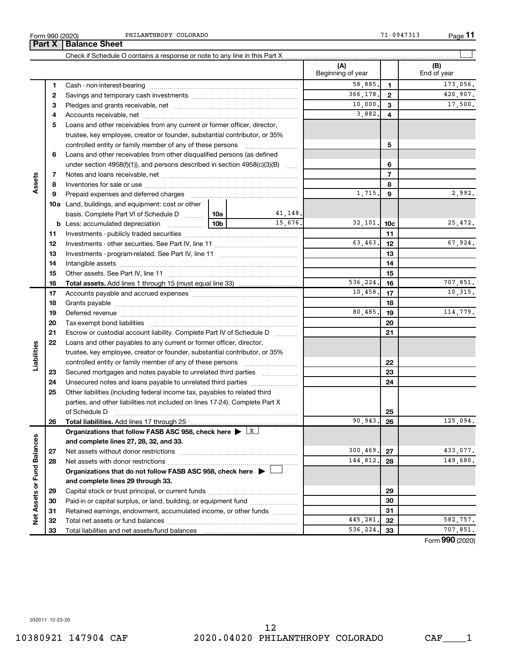|                             | Part X | <b>Balance Sheet</b>                                                                                                                                                                                                           |                                                                                 |         |                          |                |                    |
|-----------------------------|--------|--------------------------------------------------------------------------------------------------------------------------------------------------------------------------------------------------------------------------------|---------------------------------------------------------------------------------|---------|--------------------------|----------------|--------------------|
|                             |        |                                                                                                                                                                                                                                |                                                                                 |         |                          |                |                    |
|                             |        |                                                                                                                                                                                                                                |                                                                                 |         | (A)<br>Beginning of year |                | (B)<br>End of year |
|                             | 1      |                                                                                                                                                                                                                                |                                                                                 | 58,885. | 1                        | 173,056.       |                    |
|                             | 2      |                                                                                                                                                                                                                                |                                                                                 |         | 366,178.                 | 2              | 420,907.           |
|                             | 3      |                                                                                                                                                                                                                                |                                                                                 |         | 10,000.                  | 3              | 17,500.            |
|                             | 4      |                                                                                                                                                                                                                                |                                                                                 |         | 3,882.                   | 4              |                    |
|                             | 5      | Loans and other receivables from any current or former officer, director,                                                                                                                                                      |                                                                                 |         |                          |                |                    |
|                             |        | trustee, key employee, creator or founder, substantial contributor, or 35%                                                                                                                                                     |                                                                                 |         |                          |                |                    |
|                             |        |                                                                                                                                                                                                                                |                                                                                 |         |                          | 5              |                    |
|                             | 6      | Loans and other receivables from other disqualified persons (as defined                                                                                                                                                        |                                                                                 |         |                          |                |                    |
|                             |        | under section 4958(f)(1)), and persons described in section 4958(c)(3)(B)                                                                                                                                                      |                                                                                 |         |                          | 6              |                    |
|                             | 7      |                                                                                                                                                                                                                                |                                                                                 |         |                          | $\overline{7}$ |                    |
| Assets                      | 8      |                                                                                                                                                                                                                                |                                                                                 |         |                          | 8              |                    |
|                             | 9      | Prepaid expenses and deferred charges [11] matter continuum matter and referred charges [11] matter continuum matter continuum matter and continuum matter continuum matter continuum matter continuum matter continuum matter |                                                                                 |         | 1,715.                   | 9              | 2,992.             |
|                             |        | <b>10a</b> Land, buildings, and equipment: cost or other                                                                                                                                                                       |                                                                                 |         |                          |                |                    |
|                             |        | basis. Complete Part VI of Schedule D    10a                                                                                                                                                                                   |                                                                                 | 41,148. |                          |                |                    |
|                             |        |                                                                                                                                                                                                                                |                                                                                 | 15.676. | 32,101.                  | 10c            | 25,472.            |
|                             | 11     |                                                                                                                                                                                                                                |                                                                                 |         |                          | 11             |                    |
|                             | 12     |                                                                                                                                                                                                                                |                                                                                 |         | 63,463.                  | 12             | 67,924.            |
|                             | 13     |                                                                                                                                                                                                                                |                                                                                 | 13      |                          |                |                    |
|                             | 14     |                                                                                                                                                                                                                                |                                                                                 |         | 14                       |                |                    |
|                             | 15     |                                                                                                                                                                                                                                |                                                                                 |         |                          | 15             |                    |
|                             | 16     |                                                                                                                                                                                                                                |                                                                                 |         | 536,224.                 | 16             | 707,851.           |
|                             | 17     |                                                                                                                                                                                                                                |                                                                                 |         | 10,458.                  | 17             | 10,315.            |
|                             | 18     |                                                                                                                                                                                                                                |                                                                                 | 18      |                          |                |                    |
|                             | 19     |                                                                                                                                                                                                                                | 80,485.                                                                         | 19      | 114,779.                 |                |                    |
|                             | 20     |                                                                                                                                                                                                                                |                                                                                 |         |                          | 20             |                    |
|                             | 21     | Escrow or custodial account liability. Complete Part IV of Schedule D                                                                                                                                                          |                                                                                 |         |                          | 21             |                    |
| Liabilities                 | 22     | Loans and other payables to any current or former officer, director,                                                                                                                                                           |                                                                                 |         |                          |                |                    |
|                             |        | trustee, key employee, creator or founder, substantial contributor, or 35%                                                                                                                                                     |                                                                                 |         |                          |                |                    |
|                             |        | controlled entity or family member of any of these persons                                                                                                                                                                     |                                                                                 |         |                          | 22             |                    |
|                             | 23     | Secured mortgages and notes payable to unrelated third parties                                                                                                                                                                 |                                                                                 |         |                          | 23             |                    |
|                             | 24     |                                                                                                                                                                                                                                |                                                                                 |         |                          | 24             |                    |
|                             | 25     | Other liabilities (including federal income tax, payables to related third                                                                                                                                                     |                                                                                 |         |                          |                |                    |
|                             |        | parties, and other liabilities not included on lines 17-24). Complete Part X<br>of Schedule D                                                                                                                                  |                                                                                 |         |                          |                |                    |
|                             | 26     | <b>Total liabilities.</b> Add lines 17 through 25                                                                                                                                                                              |                                                                                 |         | 90.943.                  | 25<br>26       | 125,094.           |
|                             |        | Organizations that follow FASB ASC 958, check here $\blacktriangleright \boxed{X}$                                                                                                                                             |                                                                                 |         |                          |                |                    |
|                             |        | and complete lines 27, 28, 32, and 33.                                                                                                                                                                                         |                                                                                 |         |                          |                |                    |
|                             | 27     |                                                                                                                                                                                                                                |                                                                                 |         | 300,469.                 | 27             | 433,077.           |
|                             | 28     |                                                                                                                                                                                                                                |                                                                                 |         | 144,812.                 | 28             | 149,680.           |
|                             |        |                                                                                                                                                                                                                                | Organizations that do not follow FASB ASC 958, check here $\blacktriangleright$ |         |                          |                |                    |
|                             |        | and complete lines 29 through 33.                                                                                                                                                                                              |                                                                                 |         |                          |                |                    |
| Net Assets or Fund Balances | 29     |                                                                                                                                                                                                                                |                                                                                 |         |                          | 29             |                    |
|                             | 30     | Paid-in or capital surplus, or land, building, or equipment fund                                                                                                                                                               |                                                                                 |         |                          | 30             |                    |
|                             | 31     | Retained earnings, endowment, accumulated income, or other funds                                                                                                                                                               |                                                                                 |         |                          | 31             |                    |
|                             | 32     |                                                                                                                                                                                                                                |                                                                                 |         | 445, 281.                | 32             | 582,757.           |
|                             | 33     |                                                                                                                                                                                                                                |                                                                                 |         | 536,224.                 | 33             | 707,851.           |
|                             |        |                                                                                                                                                                                                                                |                                                                                 |         |                          |                |                    |

Form (2020) **990**

032011 12-23-20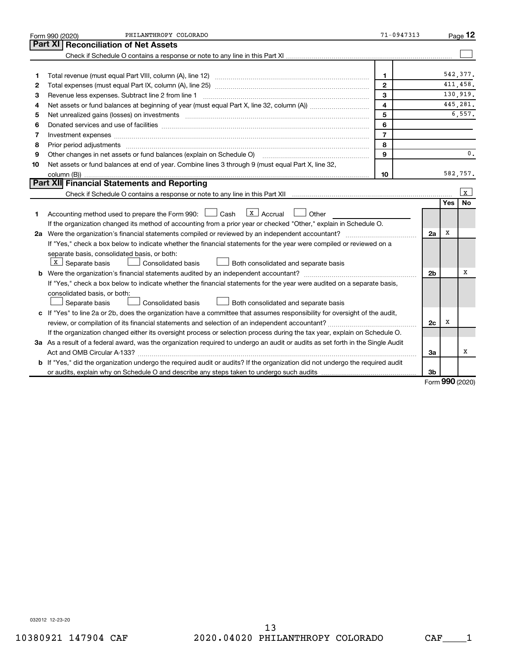|    | PHILANTHROPY COLORADO<br>Form 990 (2020)                                                                                                                                                                                       | 71-0947313     |                |                 | Page 12   |
|----|--------------------------------------------------------------------------------------------------------------------------------------------------------------------------------------------------------------------------------|----------------|----------------|-----------------|-----------|
|    | Part XI<br><b>Reconciliation of Net Assets</b>                                                                                                                                                                                 |                |                |                 |           |
|    |                                                                                                                                                                                                                                |                |                |                 |           |
|    |                                                                                                                                                                                                                                |                |                |                 |           |
| 1  |                                                                                                                                                                                                                                | $\mathbf{1}$   |                |                 | 542.377.  |
| 2  |                                                                                                                                                                                                                                | $\mathbf{2}$   |                |                 | 411.458.  |
| З  | Revenue less expenses. Subtract line 2 from line 1                                                                                                                                                                             | 3              |                |                 | 130,919.  |
| 4  |                                                                                                                                                                                                                                | 4              |                |                 | 445,281.  |
| 5  | Net unrealized gains (losses) on investments [11] matter in the contract of the contract of the contract of the contract of the contract of the contract of the contract of the contract of the contract of the contract of th | 5              |                |                 | 6,557.    |
| 6  |                                                                                                                                                                                                                                | 6              |                |                 |           |
| 7  | Investment expenses www.communication.com/www.communication.com/www.communication.com/www.communication.com                                                                                                                    | $\overline{7}$ |                |                 |           |
| 8  | Prior period adjustments www.communication.communication.communication.com/                                                                                                                                                    | 8              |                |                 |           |
| 9  | Other changes in net assets or fund balances (explain on Schedule O)                                                                                                                                                           | 9              |                |                 | 0.        |
| 10 | Net assets or fund balances at end of year. Combine lines 3 through 9 (must equal Part X, line 32,                                                                                                                             |                |                |                 |           |
|    |                                                                                                                                                                                                                                | 10             |                |                 | 582,757.  |
|    | Part XII Financial Statements and Reporting                                                                                                                                                                                    |                |                |                 |           |
|    |                                                                                                                                                                                                                                |                |                |                 | x         |
|    |                                                                                                                                                                                                                                |                |                | Yes             | <b>No</b> |
| 1  | $X$ Accrual<br>Accounting method used to prepare the Form 990: [130] Cash<br>Other                                                                                                                                             |                |                |                 |           |
|    | If the organization changed its method of accounting from a prior year or checked "Other," explain in Schedule O.                                                                                                              |                |                |                 |           |
|    | 2a Were the organization's financial statements compiled or reviewed by an independent accountant?                                                                                                                             |                | 2a             | х               |           |
|    | If "Yes," check a box below to indicate whether the financial statements for the year were compiled or reviewed on a                                                                                                           |                |                |                 |           |
|    | separate basis, consolidated basis, or both:                                                                                                                                                                                   |                |                |                 |           |
|    | X   Separate basis<br>Consolidated basis<br>Both consolidated and separate basis                                                                                                                                               |                |                |                 |           |
|    |                                                                                                                                                                                                                                |                | 2 <sub>b</sub> |                 | х         |
|    | If "Yes," check a box below to indicate whether the financial statements for the year were audited on a separate basis,                                                                                                        |                |                |                 |           |
|    | consolidated basis, or both:                                                                                                                                                                                                   |                |                |                 |           |
|    | Consolidated basis<br>Separate basis<br>Both consolidated and separate basis                                                                                                                                                   |                |                |                 |           |
|    | c If "Yes" to line 2a or 2b, does the organization have a committee that assumes responsibility for oversight of the audit,                                                                                                    |                |                |                 |           |
|    | review, or compilation of its financial statements and selection of an independent accountant?                                                                                                                                 |                | 2c             | X               |           |
|    | If the organization changed either its oversight process or selection process during the tax year, explain on Schedule O.                                                                                                      |                |                |                 |           |
|    | 3a As a result of a federal award, was the organization required to undergo an audit or audits as set forth in the Single Audit                                                                                                |                |                |                 | x         |
|    |                                                                                                                                                                                                                                |                | За             |                 |           |
|    | <b>b</b> If "Yes," did the organization undergo the required audit or audits? If the organization did not undergo the required audit                                                                                           |                |                |                 |           |
|    |                                                                                                                                                                                                                                |                | 3b             | $000 \text{ m}$ |           |

Form (2020) **990**

032012 12-23-20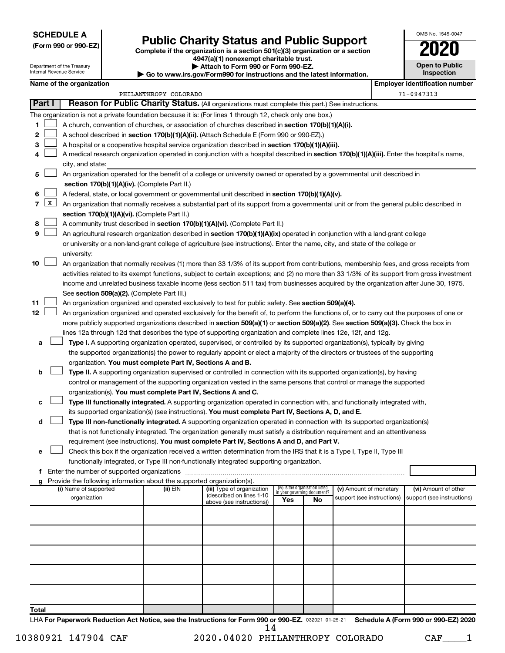**SCHEDULE A**

Department of the Treasury Internal Revenue Service

# Form 990 or 990-EZ) **Public Charity Status and Public Support**<br>
Complete if the organization is a section 501(c)(3) organization or a section<br> **2020**

**4947(a)(1) nonexempt charitable trust.**

**| Attach to Form 990 or Form 990-EZ.** 

**| Go to www.irs.gov/Form990 for instructions and the latest information.**

| OMB No 1545-0047                    |
|-------------------------------------|
| 17<br>U                             |
| <b>Open to Public</b><br>Inspection |
|                                     |

 $\Box$ 

|        | Name of the organization<br><b>Employer identification number</b> |                                                                                                                                              |                       |                                                       |     |                                   |                            |  |                            |  |
|--------|-------------------------------------------------------------------|----------------------------------------------------------------------------------------------------------------------------------------------|-----------------------|-------------------------------------------------------|-----|-----------------------------------|----------------------------|--|----------------------------|--|
|        |                                                                   |                                                                                                                                              | PHILANTHROPY COLORADO |                                                       |     |                                   |                            |  | 71-0947313                 |  |
| Part I |                                                                   | Reason for Public Charity Status. (All organizations must complete this part.) See instructions.                                             |                       |                                                       |     |                                   |                            |  |                            |  |
|        |                                                                   | The organization is not a private foundation because it is: (For lines 1 through 12, check only one box.)                                    |                       |                                                       |     |                                   |                            |  |                            |  |
| 1      |                                                                   | A church, convention of churches, or association of churches described in <b>section 170(b)(1)(A)(i).</b>                                    |                       |                                                       |     |                                   |                            |  |                            |  |
| 2      |                                                                   | A school described in section 170(b)(1)(A)(ii). (Attach Schedule E (Form 990 or 990-EZ).)                                                    |                       |                                                       |     |                                   |                            |  |                            |  |
| 3      |                                                                   | A hospital or a cooperative hospital service organization described in section 170(b)(1)(A)(iii).                                            |                       |                                                       |     |                                   |                            |  |                            |  |
| 4      |                                                                   | A medical research organization operated in conjunction with a hospital described in section 170(b)(1)(A)(iii). Enter the hospital's name,   |                       |                                                       |     |                                   |                            |  |                            |  |
|        |                                                                   | city, and state:                                                                                                                             |                       |                                                       |     |                                   |                            |  |                            |  |
| 5      |                                                                   | An organization operated for the benefit of a college or university owned or operated by a governmental unit described in                    |                       |                                                       |     |                                   |                            |  |                            |  |
|        |                                                                   | section 170(b)(1)(A)(iv). (Complete Part II.)                                                                                                |                       |                                                       |     |                                   |                            |  |                            |  |
| 6      |                                                                   | A federal, state, or local government or governmental unit described in section 170(b)(1)(A)(v).                                             |                       |                                                       |     |                                   |                            |  |                            |  |
| 7      | $\mathbf{X}$                                                      | An organization that normally receives a substantial part of its support from a governmental unit or from the general public described in    |                       |                                                       |     |                                   |                            |  |                            |  |
|        |                                                                   | section 170(b)(1)(A)(vi). (Complete Part II.)                                                                                                |                       |                                                       |     |                                   |                            |  |                            |  |
| 8      |                                                                   | A community trust described in section 170(b)(1)(A)(vi). (Complete Part II.)                                                                 |                       |                                                       |     |                                   |                            |  |                            |  |
| 9      |                                                                   | An agricultural research organization described in section 170(b)(1)(A)(ix) operated in conjunction with a land-grant college                |                       |                                                       |     |                                   |                            |  |                            |  |
|        |                                                                   | or university or a non-land-grant college of agriculture (see instructions). Enter the name, city, and state of the college or               |                       |                                                       |     |                                   |                            |  |                            |  |
|        |                                                                   | university:                                                                                                                                  |                       |                                                       |     |                                   |                            |  |                            |  |
| 10     |                                                                   | An organization that normally receives (1) more than 33 1/3% of its support from contributions, membership fees, and gross receipts from     |                       |                                                       |     |                                   |                            |  |                            |  |
|        |                                                                   | activities related to its exempt functions, subject to certain exceptions; and (2) no more than 33 1/3% of its support from gross investment |                       |                                                       |     |                                   |                            |  |                            |  |
|        |                                                                   | income and unrelated business taxable income (less section 511 tax) from businesses acquired by the organization after June 30, 1975.        |                       |                                                       |     |                                   |                            |  |                            |  |
|        |                                                                   | See section 509(a)(2). (Complete Part III.)                                                                                                  |                       |                                                       |     |                                   |                            |  |                            |  |
| 11     |                                                                   | An organization organized and operated exclusively to test for public safety. See section 509(a)(4).                                         |                       |                                                       |     |                                   |                            |  |                            |  |
| 12     |                                                                   | An organization organized and operated exclusively for the benefit of, to perform the functions of, or to carry out the purposes of one or   |                       |                                                       |     |                                   |                            |  |                            |  |
|        |                                                                   | more publicly supported organizations described in section 509(a)(1) or section 509(a)(2). See section 509(a)(3). Check the box in           |                       |                                                       |     |                                   |                            |  |                            |  |
|        |                                                                   | lines 12a through 12d that describes the type of supporting organization and complete lines 12e, 12f, and 12g.                               |                       |                                                       |     |                                   |                            |  |                            |  |
| а      |                                                                   | Type I. A supporting organization operated, supervised, or controlled by its supported organization(s), typically by giving                  |                       |                                                       |     |                                   |                            |  |                            |  |
|        |                                                                   | the supported organization(s) the power to regularly appoint or elect a majority of the directors or trustees of the supporting              |                       |                                                       |     |                                   |                            |  |                            |  |
|        |                                                                   | organization. You must complete Part IV, Sections A and B.                                                                                   |                       |                                                       |     |                                   |                            |  |                            |  |
| b      |                                                                   | Type II. A supporting organization supervised or controlled in connection with its supported organization(s), by having                      |                       |                                                       |     |                                   |                            |  |                            |  |
|        |                                                                   | control or management of the supporting organization vested in the same persons that control or manage the supported                         |                       |                                                       |     |                                   |                            |  |                            |  |
|        |                                                                   | organization(s). You must complete Part IV, Sections A and C.                                                                                |                       |                                                       |     |                                   |                            |  |                            |  |
| с      |                                                                   | Type III functionally integrated. A supporting organization operated in connection with, and functionally integrated with,                   |                       |                                                       |     |                                   |                            |  |                            |  |
|        |                                                                   | its supported organization(s) (see instructions). You must complete Part IV, Sections A, D, and E.                                           |                       |                                                       |     |                                   |                            |  |                            |  |
| d      |                                                                   | Type III non-functionally integrated. A supporting organization operated in connection with its supported organization(s)                    |                       |                                                       |     |                                   |                            |  |                            |  |
|        |                                                                   | that is not functionally integrated. The organization generally must satisfy a distribution requirement and an attentiveness                 |                       |                                                       |     |                                   |                            |  |                            |  |
|        |                                                                   | requirement (see instructions). You must complete Part IV, Sections A and D, and Part V.                                                     |                       |                                                       |     |                                   |                            |  |                            |  |
| е      |                                                                   | Check this box if the organization received a written determination from the IRS that it is a Type I, Type II, Type III                      |                       |                                                       |     |                                   |                            |  |                            |  |
| f      |                                                                   | functionally integrated, or Type III non-functionally integrated supporting organization.                                                    |                       |                                                       |     |                                   |                            |  |                            |  |
| g      |                                                                   | Provide the following information about the supported organization(s).                                                                       |                       |                                                       |     |                                   |                            |  |                            |  |
|        |                                                                   | (i) Name of supported                                                                                                                        | (ii) EIN              | (iii) Type of organization                            |     | (iv) Is the organization listed   | (v) Amount of monetary     |  | (vi) Amount of other       |  |
|        |                                                                   | organization                                                                                                                                 |                       | (described on lines 1-10<br>above (see instructions)) | Yes | in your governing document?<br>No | support (see instructions) |  | support (see instructions) |  |
|        |                                                                   |                                                                                                                                              |                       |                                                       |     |                                   |                            |  |                            |  |
|        |                                                                   |                                                                                                                                              |                       |                                                       |     |                                   |                            |  |                            |  |
|        |                                                                   |                                                                                                                                              |                       |                                                       |     |                                   |                            |  |                            |  |
|        |                                                                   |                                                                                                                                              |                       |                                                       |     |                                   |                            |  |                            |  |
|        |                                                                   |                                                                                                                                              |                       |                                                       |     |                                   |                            |  |                            |  |
|        |                                                                   |                                                                                                                                              |                       |                                                       |     |                                   |                            |  |                            |  |
|        |                                                                   |                                                                                                                                              |                       |                                                       |     |                                   |                            |  |                            |  |
|        |                                                                   |                                                                                                                                              |                       |                                                       |     |                                   |                            |  |                            |  |
|        |                                                                   |                                                                                                                                              |                       |                                                       |     |                                   |                            |  |                            |  |
|        |                                                                   |                                                                                                                                              |                       |                                                       |     |                                   |                            |  |                            |  |
| Total  |                                                                   |                                                                                                                                              |                       |                                                       |     |                                   |                            |  |                            |  |

LHA For Paperwork Reduction Act Notice, see the Instructions for Form 990 or 990-EZ. 032021 01-25-21 Schedule A (Form 990 or 990-EZ) 2020 14

10380921 147904 CAF 2020.04020 PHILANTHROPY COLORADO CAF\_\_\_\_1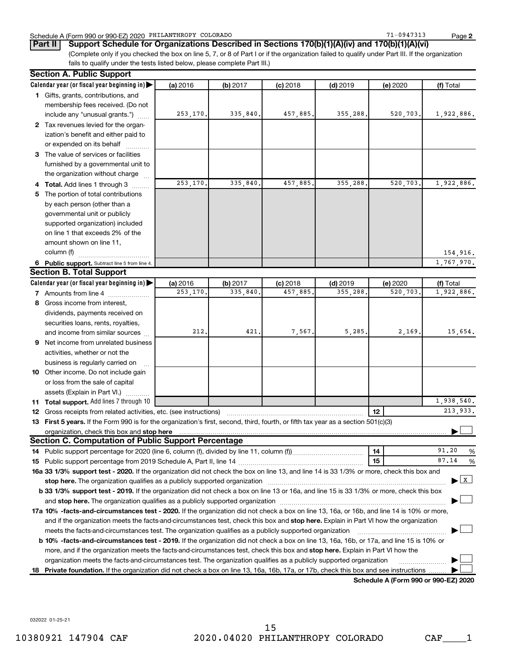#### Schedule A (Form 990 or 990-EZ) 2020 PHILANTHROPY COLORADO 71 0947313 Page

**2**

(Complete only if you checked the box on line 5, 7, or 8 of Part I or if the organization failed to qualify under Part III. If the organization fails to qualify under the tests listed below, please complete Part III.) **Part II Support Schedule for Organizations Described in Sections 170(b)(1)(A)(iv) and 170(b)(1)(A)(vi)**

|     | <b>Section A. Public Support</b>                                                                                                                                                                                                                                                                                                                                          |          |          |            |            |                                      |              |
|-----|---------------------------------------------------------------------------------------------------------------------------------------------------------------------------------------------------------------------------------------------------------------------------------------------------------------------------------------------------------------------------|----------|----------|------------|------------|--------------------------------------|--------------|
|     | Calendar year (or fiscal year beginning in)                                                                                                                                                                                                                                                                                                                               | (a) 2016 | (b) 2017 | $(c)$ 2018 | $(d)$ 2019 | (e) 2020                             | (f) Total    |
|     | 1 Gifts, grants, contributions, and                                                                                                                                                                                                                                                                                                                                       |          |          |            |            |                                      |              |
|     | membership fees received. (Do not                                                                                                                                                                                                                                                                                                                                         |          |          |            |            |                                      |              |
|     | include any "unusual grants.")                                                                                                                                                                                                                                                                                                                                            | 253,170. | 335,840. | 457,885.   | 355,288.   | 520,703.                             | 1,922,886.   |
|     | 2 Tax revenues levied for the organ-                                                                                                                                                                                                                                                                                                                                      |          |          |            |            |                                      |              |
|     | ization's benefit and either paid to                                                                                                                                                                                                                                                                                                                                      |          |          |            |            |                                      |              |
|     | or expended on its behalf                                                                                                                                                                                                                                                                                                                                                 |          |          |            |            |                                      |              |
|     | 3 The value of services or facilities                                                                                                                                                                                                                                                                                                                                     |          |          |            |            |                                      |              |
|     | furnished by a governmental unit to                                                                                                                                                                                                                                                                                                                                       |          |          |            |            |                                      |              |
|     | the organization without charge                                                                                                                                                                                                                                                                                                                                           |          |          |            |            |                                      |              |
|     | <b>Total.</b> Add lines 1 through 3                                                                                                                                                                                                                                                                                                                                       | 253,170. | 335,840. | 457,885.   | 355,288.   | 520,703.                             | 1,922,886.   |
| 5.  | The portion of total contributions                                                                                                                                                                                                                                                                                                                                        |          |          |            |            |                                      |              |
|     | by each person (other than a                                                                                                                                                                                                                                                                                                                                              |          |          |            |            |                                      |              |
|     | governmental unit or publicly                                                                                                                                                                                                                                                                                                                                             |          |          |            |            |                                      |              |
|     | supported organization) included                                                                                                                                                                                                                                                                                                                                          |          |          |            |            |                                      |              |
|     | on line 1 that exceeds 2% of the                                                                                                                                                                                                                                                                                                                                          |          |          |            |            |                                      |              |
|     | amount shown on line 11,                                                                                                                                                                                                                                                                                                                                                  |          |          |            |            |                                      |              |
|     | column (f)                                                                                                                                                                                                                                                                                                                                                                |          |          |            |            |                                      | 154,916.     |
|     | 6 Public support. Subtract line 5 from line 4.                                                                                                                                                                                                                                                                                                                            |          |          |            |            |                                      | 1,767,970.   |
|     | <b>Section B. Total Support</b>                                                                                                                                                                                                                                                                                                                                           |          |          |            |            |                                      |              |
|     | Calendar year (or fiscal year beginning in)                                                                                                                                                                                                                                                                                                                               | (a) 2016 | (b) 2017 | $(c)$ 2018 | $(d)$ 2019 | (e) 2020                             | (f) Total    |
|     | 7 Amounts from line 4                                                                                                                                                                                                                                                                                                                                                     | 253,170. | 335,840. | 457,885.   | 355,288.   | 520,703                              | 1,922,886.   |
| 8   | Gross income from interest,                                                                                                                                                                                                                                                                                                                                               |          |          |            |            |                                      |              |
|     | dividends, payments received on                                                                                                                                                                                                                                                                                                                                           |          |          |            |            |                                      |              |
|     | securities loans, rents, royalties,                                                                                                                                                                                                                                                                                                                                       |          |          |            |            |                                      |              |
|     | and income from similar sources                                                                                                                                                                                                                                                                                                                                           | 212.     | 421,     | 7,567.     | 5,285.     | 2,169.                               | 15,654.      |
| 9   | Net income from unrelated business                                                                                                                                                                                                                                                                                                                                        |          |          |            |            |                                      |              |
|     | activities, whether or not the                                                                                                                                                                                                                                                                                                                                            |          |          |            |            |                                      |              |
|     | business is regularly carried on                                                                                                                                                                                                                                                                                                                                          |          |          |            |            |                                      |              |
|     | 10 Other income. Do not include gain                                                                                                                                                                                                                                                                                                                                      |          |          |            |            |                                      |              |
|     |                                                                                                                                                                                                                                                                                                                                                                           |          |          |            |            |                                      |              |
|     | or loss from the sale of capital                                                                                                                                                                                                                                                                                                                                          |          |          |            |            |                                      |              |
|     | assets (Explain in Part VI.)                                                                                                                                                                                                                                                                                                                                              |          |          |            |            |                                      | 1,938,540.   |
| 11. | Total support. Add lines 7 through 10                                                                                                                                                                                                                                                                                                                                     |          |          |            |            |                                      | 213,933.     |
| 12  | Gross receipts from related activities, etc. (see instructions)                                                                                                                                                                                                                                                                                                           |          |          |            |            | 12                                   |              |
|     | 13 First 5 years. If the Form 990 is for the organization's first, second, third, fourth, or fifth tax year as a section 501(c)(3)<br>organization, check this box and stop here                                                                                                                                                                                          |          |          |            |            |                                      |              |
|     | <b>Section C. Computation of Public Support Percentage</b>                                                                                                                                                                                                                                                                                                                |          |          |            |            |                                      |              |
|     |                                                                                                                                                                                                                                                                                                                                                                           |          |          |            |            | 14                                   | 91.20<br>%   |
|     |                                                                                                                                                                                                                                                                                                                                                                           |          |          |            |            | 15                                   | 87.14<br>%   |
|     | 16a 33 1/3% support test - 2020. If the organization did not check the box on line 13, and line 14 is 33 1/3% or more, check this box and                                                                                                                                                                                                                                 |          |          |            |            |                                      |              |
|     |                                                                                                                                                                                                                                                                                                                                                                           |          |          |            |            |                                      | $\mathbf{x}$ |
|     | stop here. The organization qualifies as a publicly supported organization manufaction manufacture content of the organization manufacture content of the organization of the state of the state of the state of the state of<br>b 33 1/3% support test - 2019. If the organization did not check a box on line 13 or 16a, and line 15 is 33 1/3% or more, check this box |          |          |            |            |                                      |              |
|     |                                                                                                                                                                                                                                                                                                                                                                           |          |          |            |            |                                      |              |
|     | and stop here. The organization qualifies as a publicly supported organization manufaction manufacture content                                                                                                                                                                                                                                                            |          |          |            |            |                                      |              |
|     | 17a 10% -facts-and-circumstances test - 2020. If the organization did not check a box on line 13, 16a, or 16b, and line 14 is 10% or more,                                                                                                                                                                                                                                |          |          |            |            |                                      |              |
|     | and if the organization meets the facts-and-circumstances test, check this box and stop here. Explain in Part VI how the organization                                                                                                                                                                                                                                     |          |          |            |            |                                      |              |
|     | meets the facts-and-circumstances test. The organization qualifies as a publicly supported organization                                                                                                                                                                                                                                                                   |          |          |            |            |                                      |              |
|     | b 10% -facts-and-circumstances test - 2019. If the organization did not check a box on line 13, 16a, 16b, or 17a, and line 15 is 10% or                                                                                                                                                                                                                                   |          |          |            |            |                                      |              |
|     | more, and if the organization meets the facts-and-circumstances test, check this box and stop here. Explain in Part VI how the                                                                                                                                                                                                                                            |          |          |            |            |                                      |              |
|     | organization meets the facts-and-circumstances test. The organization qualifies as a publicly supported organization                                                                                                                                                                                                                                                      |          |          |            |            |                                      |              |
| 18. | Private foundation. If the organization did not check a box on line 13, 16a, 16b, 17a, or 17b, check this box and see instructions                                                                                                                                                                                                                                        |          |          |            |            | Schodule A (Form 000 or 000 F7) 2020 |              |

**Schedule A (Form 990 or 990-EZ) 2020**

032022 01-25-21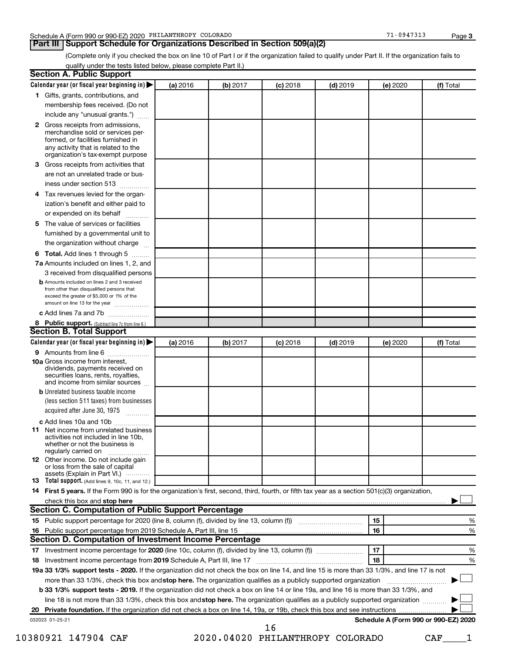**Part III Support Schedule for Organizations Described in Section 509(a)(2)** 

(Complete only if you checked the box on line 10 of Part I or if the organization failed to qualify under Part II. If the organization fails to qualify under the tests listed below, please complete Part II.)

|    | Calendar year (or fiscal year beginning in)                                                                                                                                                                                    | (a) 2016 | (b) 2017 | $(c)$ 2018                       | $(d)$ 2019 |    | (e) 2020 | (f) Total                            |   |
|----|--------------------------------------------------------------------------------------------------------------------------------------------------------------------------------------------------------------------------------|----------|----------|----------------------------------|------------|----|----------|--------------------------------------|---|
|    | 1 Gifts, grants, contributions, and                                                                                                                                                                                            |          |          |                                  |            |    |          |                                      |   |
|    | membership fees received. (Do not                                                                                                                                                                                              |          |          |                                  |            |    |          |                                      |   |
|    | include any "unusual grants.")                                                                                                                                                                                                 |          |          |                                  |            |    |          |                                      |   |
|    | 2 Gross receipts from admissions,<br>merchandise sold or services per-<br>formed, or facilities furnished in<br>any activity that is related to the<br>organization's tax-exempt purpose                                       |          |          |                                  |            |    |          |                                      |   |
| 3. | Gross receipts from activities that                                                                                                                                                                                            |          |          |                                  |            |    |          |                                      |   |
|    | are not an unrelated trade or bus-                                                                                                                                                                                             |          |          |                                  |            |    |          |                                      |   |
|    | iness under section 513                                                                                                                                                                                                        |          |          |                                  |            |    |          |                                      |   |
| 4  | Tax revenues levied for the organ-                                                                                                                                                                                             |          |          |                                  |            |    |          |                                      |   |
|    | ization's benefit and either paid to<br>or expended on its behalf<br>.                                                                                                                                                         |          |          |                                  |            |    |          |                                      |   |
| 5. | The value of services or facilities                                                                                                                                                                                            |          |          |                                  |            |    |          |                                      |   |
|    | furnished by a governmental unit to<br>the organization without charge                                                                                                                                                         |          |          |                                  |            |    |          |                                      |   |
|    |                                                                                                                                                                                                                                |          |          |                                  |            |    |          |                                      |   |
| 6  | Total. Add lines 1 through 5                                                                                                                                                                                                   |          |          |                                  |            |    |          |                                      |   |
|    | 7a Amounts included on lines 1, 2, and                                                                                                                                                                                         |          |          |                                  |            |    |          |                                      |   |
|    | 3 received from disqualified persons<br><b>b</b> Amounts included on lines 2 and 3 received                                                                                                                                    |          |          |                                  |            |    |          |                                      |   |
|    | from other than disqualified persons that<br>exceed the greater of \$5,000 or 1% of the<br>amount on line 13 for the year                                                                                                      |          |          |                                  |            |    |          |                                      |   |
|    | c Add lines 7a and 7b                                                                                                                                                                                                          |          |          |                                  |            |    |          |                                      |   |
|    | 8 Public support. (Subtract line 7c from line 6.)                                                                                                                                                                              |          |          |                                  |            |    |          |                                      |   |
|    | <b>Section B. Total Support</b>                                                                                                                                                                                                |          |          |                                  |            |    |          |                                      |   |
|    | Calendar year (or fiscal year beginning in)                                                                                                                                                                                    | (a) 2016 | (b) 2017 | $(c)$ 2018                       | $(d)$ 2019 |    | (e) 2020 | (f) Total                            |   |
|    | 9 Amounts from line 6                                                                                                                                                                                                          |          |          |                                  |            |    |          |                                      |   |
|    | <b>10a</b> Gross income from interest,<br>dividends, payments received on<br>securities loans, rents, royalties,<br>and income from similar sources                                                                            |          |          |                                  |            |    |          |                                      |   |
|    | <b>b</b> Unrelated business taxable income                                                                                                                                                                                     |          |          |                                  |            |    |          |                                      |   |
|    | (less section 511 taxes) from businesses<br>acquired after June 30, 1975                                                                                                                                                       |          |          |                                  |            |    |          |                                      |   |
|    | c Add lines 10a and 10b                                                                                                                                                                                                        |          |          |                                  |            |    |          |                                      |   |
| 11 | Net income from unrelated business<br>activities not included in line 10b.<br>whether or not the business is<br>regularly carried on                                                                                           |          |          |                                  |            |    |          |                                      |   |
|    | <b>12</b> Other income. Do not include gain<br>or loss from the sale of capital<br>assets (Explain in Part VI.)                                                                                                                |          |          |                                  |            |    |          |                                      |   |
|    | <b>13</b> Total support. (Add lines 9, 10c, 11, and 12.)                                                                                                                                                                       |          |          |                                  |            |    |          |                                      |   |
|    | 14 First 5 years. If the Form 990 is for the organization's first, second, third, fourth, or fifth tax year as a section 501(c)(3) organization,                                                                               |          |          |                                  |            |    |          |                                      |   |
|    | check this box and stop here measurements and stop here and stop here are all the substitutions of the state of the state of the state of the state of the state of the state of the state of the state of the state of the st |          |          |                                  |            |    |          |                                      |   |
|    | <b>Section C. Computation of Public Support Percentage</b>                                                                                                                                                                     |          |          |                                  |            |    |          |                                      |   |
|    |                                                                                                                                                                                                                                |          |          |                                  |            | 15 |          |                                      | % |
|    |                                                                                                                                                                                                                                |          |          |                                  |            | 16 |          |                                      | % |
|    | Section D. Computation of Investment Income Percentage                                                                                                                                                                         |          |          |                                  |            |    |          |                                      |   |
|    |                                                                                                                                                                                                                                |          |          |                                  |            | 17 |          |                                      | % |
|    |                                                                                                                                                                                                                                |          |          |                                  |            | 18 |          |                                      | % |
|    | 19a 33 1/3% support tests - 2020. If the organization did not check the box on line 14, and line 15 is more than 33 1/3%, and line 17 is not                                                                                   |          |          |                                  |            |    |          |                                      |   |
|    | more than 33 1/3%, check this box and stop here. The organization qualifies as a publicly supported organization                                                                                                               |          |          |                                  |            |    |          |                                      |   |
|    | <b>b 33 1/3% support tests - 2019.</b> If the organization did not check a box on line 14 or line 19a, and line 16 is more than 33 1/3%, and                                                                                   |          |          |                                  |            |    |          |                                      |   |
|    | line 18 is not more than 33 1/3%, check this box and stop here. The organization qualifies as a publicly supported organization                                                                                                |          |          |                                  |            |    |          |                                      |   |
|    |                                                                                                                                                                                                                                |          |          |                                  |            |    |          |                                      |   |
|    | 032023 01-25-21                                                                                                                                                                                                                |          |          | 16                               |            |    |          | Schedule A (Form 990 or 990-EZ) 2020 |   |
|    | 10380921 147904 CAF                                                                                                                                                                                                            |          |          | 2020.04020 PHILANTHROPY COLORADO |            |    |          | CAF                                  |   |
|    |                                                                                                                                                                                                                                |          |          |                                  |            |    |          |                                      |   |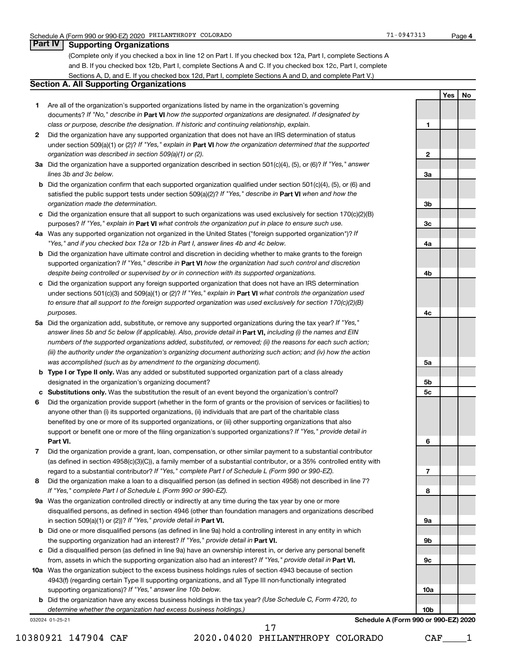# **Part IV Supporting Organizations**

(Complete only if you checked a box in line 12 on Part I. If you checked box 12a, Part I, complete Sections A and B. If you checked box 12b, Part I, complete Sections A and C. If you checked box 12c, Part I, complete Sections A, D, and E. If you checked box 12d, Part I, complete Sections A and D, and complete Part V.)

# **Section A. All Supporting Organizations**

- **1** Are all of the organization's supported organizations listed by name in the organization's governing documents? If "No," describe in Part VI how the supported organizations are designated. If designated by *class or purpose, describe the designation. If historic and continuing relationship, explain.*
- **2** Did the organization have any supported organization that does not have an IRS determination of status under section 509(a)(1) or (2)? If "Yes," explain in Part **VI** how the organization determined that the supported *organization was described in section 509(a)(1) or (2).*
- **3a** Did the organization have a supported organization described in section 501(c)(4), (5), or (6)? If "Yes," answer *lines 3b and 3c below.*
- **b** Did the organization confirm that each supported organization qualified under section 501(c)(4), (5), or (6) and satisfied the public support tests under section 509(a)(2)? If "Yes," describe in Part VI when and how the *organization made the determination.*
- **c** Did the organization ensure that all support to such organizations was used exclusively for section 170(c)(2)(B) purposes? If "Yes," explain in Part VI what controls the organization put in place to ensure such use.
- **4 a** *If* Was any supported organization not organized in the United States ("foreign supported organization")? *"Yes," and if you checked box 12a or 12b in Part I, answer lines 4b and 4c below.*
- **b** Did the organization have ultimate control and discretion in deciding whether to make grants to the foreign supported organization? If "Yes," describe in Part VI how the organization had such control and discretion *despite being controlled or supervised by or in connection with its supported organizations.*
- **c** Did the organization support any foreign supported organization that does not have an IRS determination under sections 501(c)(3) and 509(a)(1) or (2)? If "Yes," explain in Part VI what controls the organization used *to ensure that all support to the foreign supported organization was used exclusively for section 170(c)(2)(B) purposes.*
- **5a** Did the organization add, substitute, or remove any supported organizations during the tax year? If "Yes," answer lines 5b and 5c below (if applicable). Also, provide detail in **Part VI,** including (i) the names and EIN *numbers of the supported organizations added, substituted, or removed; (ii) the reasons for each such action; (iii) the authority under the organization's organizing document authorizing such action; and (iv) how the action was accomplished (such as by amendment to the organizing document).*
- **b** Type I or Type II only. Was any added or substituted supported organization part of a class already designated in the organization's organizing document?
- **c Substitutions only.**  Was the substitution the result of an event beyond the organization's control?
- **6** Did the organization provide support (whether in the form of grants or the provision of services or facilities) to **Part VI.** support or benefit one or more of the filing organization's supported organizations? If "Yes," provide detail in anyone other than (i) its supported organizations, (ii) individuals that are part of the charitable class benefited by one or more of its supported organizations, or (iii) other supporting organizations that also
- **7** Did the organization provide a grant, loan, compensation, or other similar payment to a substantial contributor regard to a substantial contributor? If "Yes," complete Part I of Schedule L (Form 990 or 990-EZ). (as defined in section 4958(c)(3)(C)), a family member of a substantial contributor, or a 35% controlled entity with
- **8** Did the organization make a loan to a disqualified person (as defined in section 4958) not described in line 7? *If "Yes," complete Part I of Schedule L (Form 990 or 990-EZ).*
- **9 a** Was the organization controlled directly or indirectly at any time during the tax year by one or more in section 509(a)(1) or (2))? If "Yes," provide detail in **Part VI.** disqualified persons, as defined in section 4946 (other than foundation managers and organizations described
- **b** Did one or more disqualified persons (as defined in line 9a) hold a controlling interest in any entity in which the supporting organization had an interest? If "Yes," provide detail in Part VI.
- **c** Did a disqualified person (as defined in line 9a) have an ownership interest in, or derive any personal benefit from, assets in which the supporting organization also had an interest? If "Yes," provide detail in Part VI.
- **10 a** Was the organization subject to the excess business holdings rules of section 4943 because of section supporting organizations)? If "Yes," answer line 10b below. 4943(f) (regarding certain Type II supporting organizations, and all Type III non-functionally integrated
	- **b** Did the organization have any excess business holdings in the tax year? (Use Schedule C, Form 4720, to *determine whether the organization had excess business holdings.)*

032024 01-25-21



**Schedule A (Form 990 or 990-EZ) 2020**

10380921 147904 CAF 2020.04020 PHILANTHROPY COLORADO CAF\_\_\_\_1

17

**1**

**2**

**3a**

**Yes No**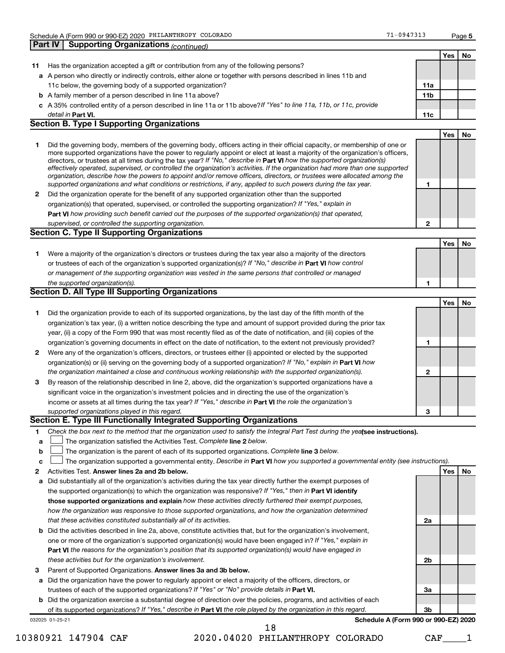|              | <b>Supporting Organizations (continued)</b><br><b>Part IV</b>                                                                                                                                                                                                                                                                                                                                                                                                                                                                                                                                                                                                                                                                                                            |                 |     |           |
|--------------|--------------------------------------------------------------------------------------------------------------------------------------------------------------------------------------------------------------------------------------------------------------------------------------------------------------------------------------------------------------------------------------------------------------------------------------------------------------------------------------------------------------------------------------------------------------------------------------------------------------------------------------------------------------------------------------------------------------------------------------------------------------------------|-----------------|-----|-----------|
|              |                                                                                                                                                                                                                                                                                                                                                                                                                                                                                                                                                                                                                                                                                                                                                                          |                 | Yes | No.       |
| 11           | Has the organization accepted a gift or contribution from any of the following persons?                                                                                                                                                                                                                                                                                                                                                                                                                                                                                                                                                                                                                                                                                  |                 |     |           |
|              | a A person who directly or indirectly controls, either alone or together with persons described in lines 11b and                                                                                                                                                                                                                                                                                                                                                                                                                                                                                                                                                                                                                                                         |                 |     |           |
|              | 11c below, the governing body of a supported organization?                                                                                                                                                                                                                                                                                                                                                                                                                                                                                                                                                                                                                                                                                                               | 11a             |     |           |
|              | <b>b</b> A family member of a person described in line 11a above?                                                                                                                                                                                                                                                                                                                                                                                                                                                                                                                                                                                                                                                                                                        | 11 <sub>b</sub> |     |           |
|              | c A 35% controlled entity of a person described in line 11a or 11b above? If "Yes" to line 11a, 11b, or 11c, provide                                                                                                                                                                                                                                                                                                                                                                                                                                                                                                                                                                                                                                                     |                 |     |           |
|              | detail in Part VI.                                                                                                                                                                                                                                                                                                                                                                                                                                                                                                                                                                                                                                                                                                                                                       | 11c             |     |           |
|              | <b>Section B. Type I Supporting Organizations</b>                                                                                                                                                                                                                                                                                                                                                                                                                                                                                                                                                                                                                                                                                                                        |                 |     |           |
|              |                                                                                                                                                                                                                                                                                                                                                                                                                                                                                                                                                                                                                                                                                                                                                                          |                 | Yes | <b>No</b> |
| 1.           | Did the governing body, members of the governing body, officers acting in their official capacity, or membership of one or<br>more supported organizations have the power to regularly appoint or elect at least a majority of the organization's officers,<br>directors, or trustees at all times during the tax year? If "No," describe in Part VI how the supported organization(s)<br>effectively operated, supervised, or controlled the organization's activities. If the organization had more than one supported<br>organization, describe how the powers to appoint and/or remove officers, directors, or trustees were allocated among the<br>supported organizations and what conditions or restrictions, if any, applied to such powers during the tax year. | 1               |     |           |
| 2            | Did the organization operate for the benefit of any supported organization other than the supported                                                                                                                                                                                                                                                                                                                                                                                                                                                                                                                                                                                                                                                                      |                 |     |           |
|              | organization(s) that operated, supervised, or controlled the supporting organization? If "Yes," explain in                                                                                                                                                                                                                                                                                                                                                                                                                                                                                                                                                                                                                                                               |                 |     |           |
|              | Part VI how providing such benefit carried out the purposes of the supported organization(s) that operated,                                                                                                                                                                                                                                                                                                                                                                                                                                                                                                                                                                                                                                                              |                 |     |           |
|              | supervised, or controlled the supporting organization.                                                                                                                                                                                                                                                                                                                                                                                                                                                                                                                                                                                                                                                                                                                   | $\mathbf{2}$    |     |           |
|              | Section C. Type II Supporting Organizations                                                                                                                                                                                                                                                                                                                                                                                                                                                                                                                                                                                                                                                                                                                              |                 |     |           |
|              |                                                                                                                                                                                                                                                                                                                                                                                                                                                                                                                                                                                                                                                                                                                                                                          |                 | Yes | No        |
| 1.           | Were a majority of the organization's directors or trustees during the tax year also a majority of the directors                                                                                                                                                                                                                                                                                                                                                                                                                                                                                                                                                                                                                                                         |                 |     |           |
|              | or trustees of each of the organization's supported organization(s)? If "No," describe in Part VI how control                                                                                                                                                                                                                                                                                                                                                                                                                                                                                                                                                                                                                                                            |                 |     |           |
|              | or management of the supporting organization was vested in the same persons that controlled or managed                                                                                                                                                                                                                                                                                                                                                                                                                                                                                                                                                                                                                                                                   |                 |     |           |
|              | the supported organization(s).                                                                                                                                                                                                                                                                                                                                                                                                                                                                                                                                                                                                                                                                                                                                           | 1               |     |           |
|              | Section D. All Type III Supporting Organizations                                                                                                                                                                                                                                                                                                                                                                                                                                                                                                                                                                                                                                                                                                                         |                 |     |           |
|              |                                                                                                                                                                                                                                                                                                                                                                                                                                                                                                                                                                                                                                                                                                                                                                          |                 | Yes | No        |
| 1.           | Did the organization provide to each of its supported organizations, by the last day of the fifth month of the                                                                                                                                                                                                                                                                                                                                                                                                                                                                                                                                                                                                                                                           |                 |     |           |
|              | organization's tax year, (i) a written notice describing the type and amount of support provided during the prior tax                                                                                                                                                                                                                                                                                                                                                                                                                                                                                                                                                                                                                                                    |                 |     |           |
|              | year, (ii) a copy of the Form 990 that was most recently filed as of the date of notification, and (iii) copies of the                                                                                                                                                                                                                                                                                                                                                                                                                                                                                                                                                                                                                                                   |                 |     |           |
|              | organization's governing documents in effect on the date of notification, to the extent not previously provided?                                                                                                                                                                                                                                                                                                                                                                                                                                                                                                                                                                                                                                                         | 1               |     |           |
| $\mathbf{2}$ | Were any of the organization's officers, directors, or trustees either (i) appointed or elected by the supported                                                                                                                                                                                                                                                                                                                                                                                                                                                                                                                                                                                                                                                         |                 |     |           |
|              | organization(s) or (ii) serving on the governing body of a supported organization? If "No," explain in <b>Part VI</b> how                                                                                                                                                                                                                                                                                                                                                                                                                                                                                                                                                                                                                                                |                 |     |           |
|              | the organization maintained a close and continuous working relationship with the supported organization(s).                                                                                                                                                                                                                                                                                                                                                                                                                                                                                                                                                                                                                                                              | $\mathbf{2}$    |     |           |
| 3            | By reason of the relationship described in line 2, above, did the organization's supported organizations have a                                                                                                                                                                                                                                                                                                                                                                                                                                                                                                                                                                                                                                                          |                 |     |           |
|              | significant voice in the organization's investment policies and in directing the use of the organization's                                                                                                                                                                                                                                                                                                                                                                                                                                                                                                                                                                                                                                                               |                 |     |           |
|              | income or assets at all times during the tax year? If "Yes," describe in Part VI the role the organization's                                                                                                                                                                                                                                                                                                                                                                                                                                                                                                                                                                                                                                                             |                 |     |           |
|              | supported organizations played in this regard.                                                                                                                                                                                                                                                                                                                                                                                                                                                                                                                                                                                                                                                                                                                           | 3               |     |           |
|              | Section E. Type III Functionally Integrated Supporting Organizations                                                                                                                                                                                                                                                                                                                                                                                                                                                                                                                                                                                                                                                                                                     |                 |     |           |
| 1            | Check the box next to the method that the organization used to satisfy the Integral Part Test during the yealsee instructions).                                                                                                                                                                                                                                                                                                                                                                                                                                                                                                                                                                                                                                          |                 |     |           |
| a            | The organization satisfied the Activities Test. Complete line 2 below.                                                                                                                                                                                                                                                                                                                                                                                                                                                                                                                                                                                                                                                                                                   |                 |     |           |
| b            | The organization is the parent of each of its supported organizations. Complete line 3 below.                                                                                                                                                                                                                                                                                                                                                                                                                                                                                                                                                                                                                                                                            |                 |     |           |
| c            | The organization supported a governmental entity. Describe in Part VI how you supported a governmental entity (see instructions).                                                                                                                                                                                                                                                                                                                                                                                                                                                                                                                                                                                                                                        |                 |     |           |
| 2            | Activities Test. Answer lines 2a and 2b below.                                                                                                                                                                                                                                                                                                                                                                                                                                                                                                                                                                                                                                                                                                                           |                 | Yes | No        |
| а            | Did substantially all of the organization's activities during the tax year directly further the exempt purposes of                                                                                                                                                                                                                                                                                                                                                                                                                                                                                                                                                                                                                                                       |                 |     |           |
|              | the supported organization(s) to which the organization was responsive? If "Yes," then in Part VI identify                                                                                                                                                                                                                                                                                                                                                                                                                                                                                                                                                                                                                                                               |                 |     |           |
|              | those supported organizations and explain how these activities directly furthered their exempt purposes,                                                                                                                                                                                                                                                                                                                                                                                                                                                                                                                                                                                                                                                                 |                 |     |           |
|              | how the organization was responsive to those supported organizations, and how the organization determined                                                                                                                                                                                                                                                                                                                                                                                                                                                                                                                                                                                                                                                                |                 |     |           |

- *that these activities constituted substantially all of its activities.*
- **b** Did the activities described in line 2a, above, constitute activities that, but for the organization's involvement, **Part VI**  *the reasons for the organization's position that its supported organization(s) would have engaged in* one or more of the organization's supported organization(s) would have been engaged in? If "Yes," explain in *these activities but for the organization's involvement.*
- 3 Parent of Supported Organizations. Answer lines 3a and 3b below.
- **a** Did the organization have the power to regularly appoint or elect a majority of the officers, directors, or trustees of each of the supported organizations? If "Yes" or "No" provide details in Part VI.
- **b** Did the organization exercise a substantial degree of direction over the policies, programs, and activities of each of its supported organizations? If "Yes," describe in Part VI the role played by the organization in this regard.

032025 01-25-21

**Schedule A (Form 990 or 990-EZ) 2020**

**2a**

**2b**

**3a**

**3b**

10380921 147904 CAF 2020.04020 PHILANTHROPY COLORADO CAF\_\_\_\_1

18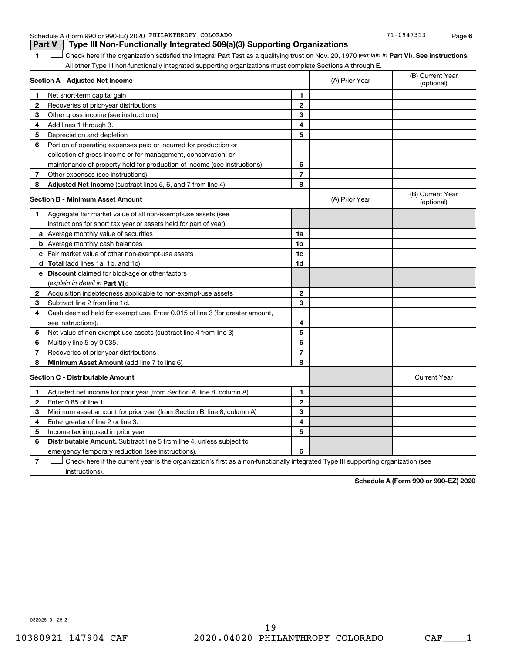Schedule A (Form 990 or 990-EZ) 2020 PHILANTHROPY COLORADO 71 0947313 Page

**Part V Type III Non-Functionally Integrated 509(a)(3) Supporting Organizations** 

**6**

1 **Letter See instructions.** Check here if the organization satisfied the Integral Part Test as a qualifying trust on Nov. 20, 1970 (*explain in* Part **VI**). See instructions. All other Type III non-functionally integrated supporting organizations must complete Sections A through E.

|   | Section A - Adjusted Net Income                                                                                                   | (A) Prior Year | (B) Current Year<br>(optional) |                                |
|---|-----------------------------------------------------------------------------------------------------------------------------------|----------------|--------------------------------|--------------------------------|
| 1 | Net short-term capital gain                                                                                                       | 1              |                                |                                |
| 2 | Recoveries of prior-year distributions                                                                                            | $\mathbf{2}$   |                                |                                |
| 3 | Other gross income (see instructions)                                                                                             | 3              |                                |                                |
| 4 | Add lines 1 through 3.                                                                                                            | 4              |                                |                                |
| 5 | Depreciation and depletion                                                                                                        | 5              |                                |                                |
| 6 | Portion of operating expenses paid or incurred for production or                                                                  |                |                                |                                |
|   | collection of gross income or for management, conservation, or                                                                    |                |                                |                                |
|   | maintenance of property held for production of income (see instructions)                                                          | 6              |                                |                                |
| 7 | Other expenses (see instructions)                                                                                                 | $\overline{7}$ |                                |                                |
| 8 | Adjusted Net Income (subtract lines 5, 6, and 7 from line 4)                                                                      | 8              |                                |                                |
|   | <b>Section B - Minimum Asset Amount</b>                                                                                           |                | (A) Prior Year                 | (B) Current Year<br>(optional) |
| 1 | Aggregate fair market value of all non-exempt-use assets (see                                                                     |                |                                |                                |
|   | instructions for short tax year or assets held for part of year):                                                                 |                |                                |                                |
|   | a Average monthly value of securities                                                                                             | 1a             |                                |                                |
|   | <b>b</b> Average monthly cash balances                                                                                            | 1 <sub>b</sub> |                                |                                |
|   | c Fair market value of other non-exempt-use assets                                                                                | 1 <sub>c</sub> |                                |                                |
|   | d Total (add lines 1a, 1b, and 1c)                                                                                                | 1d             |                                |                                |
|   | e Discount claimed for blockage or other factors                                                                                  |                |                                |                                |
|   | (explain in detail in Part VI):                                                                                                   |                |                                |                                |
| 2 | Acquisition indebtedness applicable to non-exempt-use assets                                                                      | $\mathbf{2}$   |                                |                                |
| 3 | Subtract line 2 from line 1d.                                                                                                     | 3              |                                |                                |
| 4 | Cash deemed held for exempt use. Enter 0.015 of line 3 (for greater amount,                                                       |                |                                |                                |
|   | see instructions).                                                                                                                | 4              |                                |                                |
| 5 | Net value of non-exempt-use assets (subtract line 4 from line 3)                                                                  | 5              |                                |                                |
| 6 | Multiply line 5 by 0.035.                                                                                                         | 6              |                                |                                |
| 7 | Recoveries of prior-year distributions                                                                                            | $\overline{7}$ |                                |                                |
| 8 | Minimum Asset Amount (add line 7 to line 6)                                                                                       | 8              |                                |                                |
|   | <b>Section C - Distributable Amount</b>                                                                                           |                |                                | <b>Current Year</b>            |
| 1 | Adjusted net income for prior year (from Section A, line 8, column A)                                                             | 1              |                                |                                |
| 2 | Enter 0.85 of line 1.                                                                                                             | $\mathbf{2}$   |                                |                                |
| з | Minimum asset amount for prior year (from Section B, line 8, column A)                                                            | 3              |                                |                                |
| 4 | Enter greater of line 2 or line 3.                                                                                                | 4              |                                |                                |
| 5 | Income tax imposed in prior year                                                                                                  | 5              |                                |                                |
| 6 | <b>Distributable Amount.</b> Subtract line 5 from line 4, unless subject to                                                       |                |                                |                                |
|   | emergency temporary reduction (see instructions).                                                                                 | 6              |                                |                                |
| 7 | Check here if the current year is the organization's first as a non-functionally integrated Type III supporting organization (see |                |                                |                                |

instructions).

**Schedule A (Form 990 or 990-EZ) 2020**

032026 01-25-21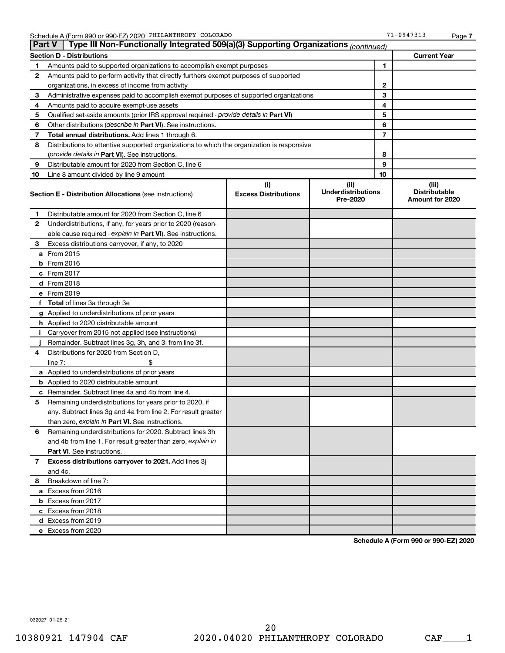| <b>Part V</b> | Type III Non-Functionally Integrated 509(a)(3) Supporting Organizations (continued)        |                             |                                       |    |                                         |
|---------------|--------------------------------------------------------------------------------------------|-----------------------------|---------------------------------------|----|-----------------------------------------|
|               | <b>Section D - Distributions</b>                                                           |                             |                                       |    | <b>Current Year</b>                     |
| 1             | Amounts paid to supported organizations to accomplish exempt purposes                      | 1                           |                                       |    |                                         |
| 2             | Amounts paid to perform activity that directly furthers exempt purposes of supported       |                             |                                       |    |                                         |
|               | organizations, in excess of income from activity                                           | $\mathbf{2}$                |                                       |    |                                         |
| 3             | Administrative expenses paid to accomplish exempt purposes of supported organizations      |                             |                                       | 3  |                                         |
| 4             | Amounts paid to acquire exempt-use assets                                                  |                             |                                       | 4  |                                         |
| 5             | Qualified set-aside amounts (prior IRS approval required - provide details in Part VI)     |                             |                                       | 5  |                                         |
| 6             | Other distributions ( <i>describe in Part VI</i> ). See instructions.                      |                             |                                       | 6  |                                         |
| 7             | Total annual distributions. Add lines 1 through 6.                                         |                             |                                       | 7  |                                         |
| 8             | Distributions to attentive supported organizations to which the organization is responsive |                             |                                       |    |                                         |
|               | ( <i>provide details in Part VI</i> ). See instructions.                                   |                             |                                       | 8  |                                         |
| 9             | Distributable amount for 2020 from Section C, line 6                                       |                             |                                       | 9  |                                         |
| 10            | Line 8 amount divided by line 9 amount                                                     |                             |                                       | 10 |                                         |
|               |                                                                                            | (i)                         | (iii)                                 |    | (iii)                                   |
|               | <b>Section E - Distribution Allocations (see instructions)</b>                             | <b>Excess Distributions</b> | <b>Underdistributions</b><br>Pre-2020 |    | <b>Distributable</b><br>Amount for 2020 |
| 1             | Distributable amount for 2020 from Section C, line 6                                       |                             |                                       |    |                                         |
| 2             | Underdistributions, if any, for years prior to 2020 (reason-                               |                             |                                       |    |                                         |
|               | able cause required - explain in Part VI). See instructions.                               |                             |                                       |    |                                         |
| 3             | Excess distributions carryover, if any, to 2020                                            |                             |                                       |    |                                         |
|               | a From 2015                                                                                |                             |                                       |    |                                         |
|               | <b>b</b> From 2016                                                                         |                             |                                       |    |                                         |
|               | c From 2017                                                                                |                             |                                       |    |                                         |
|               | d From 2018                                                                                |                             |                                       |    |                                         |
|               | e From 2019                                                                                |                             |                                       |    |                                         |
|               | f Total of lines 3a through 3e                                                             |                             |                                       |    |                                         |
|               | g Applied to underdistributions of prior years                                             |                             |                                       |    |                                         |
|               | h Applied to 2020 distributable amount                                                     |                             |                                       |    |                                         |
| Ť.            | Carryover from 2015 not applied (see instructions)                                         |                             |                                       |    |                                         |
|               | Remainder. Subtract lines 3g, 3h, and 3i from line 3f.                                     |                             |                                       |    |                                         |
| 4             | Distributions for 2020 from Section D,                                                     |                             |                                       |    |                                         |
|               | line $7:$                                                                                  |                             |                                       |    |                                         |
|               | a Applied to underdistributions of prior years                                             |                             |                                       |    |                                         |
|               | <b>b</b> Applied to 2020 distributable amount                                              |                             |                                       |    |                                         |
|               | c Remainder. Subtract lines 4a and 4b from line 4.                                         |                             |                                       |    |                                         |
| 5             | Remaining underdistributions for years prior to 2020, if                                   |                             |                                       |    |                                         |
|               | any. Subtract lines 3g and 4a from line 2. For result greater                              |                             |                                       |    |                                         |
|               | than zero, explain in Part VI. See instructions.                                           |                             |                                       |    |                                         |
| 6             | Remaining underdistributions for 2020. Subtract lines 3h                                   |                             |                                       |    |                                         |
|               | and 4b from line 1. For result greater than zero, explain in                               |                             |                                       |    |                                         |
|               | <b>Part VI.</b> See instructions.                                                          |                             |                                       |    |                                         |
| 7             | Excess distributions carryover to 2021. Add lines 3j                                       |                             |                                       |    |                                         |
|               | and 4c.                                                                                    |                             |                                       |    |                                         |
| 8             | Breakdown of line 7:                                                                       |                             |                                       |    |                                         |
|               | a Excess from 2016                                                                         |                             |                                       |    |                                         |
|               | <b>b</b> Excess from 2017                                                                  |                             |                                       |    |                                         |
|               | c Excess from 2018                                                                         |                             |                                       |    |                                         |
|               | d Excess from 2019                                                                         |                             |                                       |    |                                         |
|               | e Excess from 2020                                                                         |                             |                                       |    |                                         |

**Schedule A (Form 990 or 990-EZ) 2020**

032027 01-25-21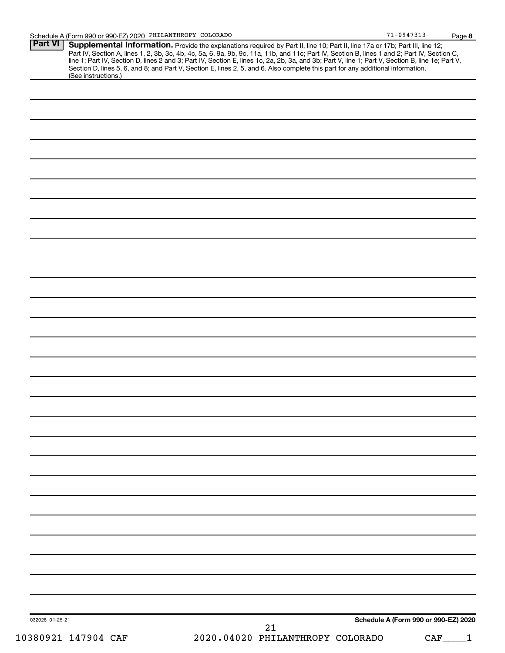| (See instructions.) | <b>Supplemental Information.</b> Provide the explanations required by Part II, line 10; Part II, line 17a or 17b; Part III, line 12;<br>Part IV, Section A, lines 1, 2, 3b, 3c, 4b, 4c, 5a, 6, 9a, 9b, 9c, 11a, 11b, and 11c; Part IV,<br>Section D, lines 5, 6, and 8; and Part V, Section E, lines 2, 5, and 6. Also complete this part for any additional information. |    |                                      |  |
|---------------------|---------------------------------------------------------------------------------------------------------------------------------------------------------------------------------------------------------------------------------------------------------------------------------------------------------------------------------------------------------------------------|----|--------------------------------------|--|
|                     |                                                                                                                                                                                                                                                                                                                                                                           |    |                                      |  |
|                     |                                                                                                                                                                                                                                                                                                                                                                           |    |                                      |  |
|                     |                                                                                                                                                                                                                                                                                                                                                                           |    |                                      |  |
|                     |                                                                                                                                                                                                                                                                                                                                                                           |    |                                      |  |
|                     |                                                                                                                                                                                                                                                                                                                                                                           |    |                                      |  |
|                     |                                                                                                                                                                                                                                                                                                                                                                           |    |                                      |  |
|                     |                                                                                                                                                                                                                                                                                                                                                                           |    |                                      |  |
|                     |                                                                                                                                                                                                                                                                                                                                                                           |    |                                      |  |
|                     |                                                                                                                                                                                                                                                                                                                                                                           |    |                                      |  |
|                     |                                                                                                                                                                                                                                                                                                                                                                           |    |                                      |  |
|                     |                                                                                                                                                                                                                                                                                                                                                                           |    |                                      |  |
|                     |                                                                                                                                                                                                                                                                                                                                                                           |    |                                      |  |
|                     |                                                                                                                                                                                                                                                                                                                                                                           |    |                                      |  |
|                     |                                                                                                                                                                                                                                                                                                                                                                           |    |                                      |  |
|                     |                                                                                                                                                                                                                                                                                                                                                                           |    |                                      |  |
|                     |                                                                                                                                                                                                                                                                                                                                                                           |    |                                      |  |
|                     |                                                                                                                                                                                                                                                                                                                                                                           |    |                                      |  |
|                     |                                                                                                                                                                                                                                                                                                                                                                           |    |                                      |  |
|                     |                                                                                                                                                                                                                                                                                                                                                                           |    |                                      |  |
|                     |                                                                                                                                                                                                                                                                                                                                                                           |    |                                      |  |
|                     |                                                                                                                                                                                                                                                                                                                                                                           |    |                                      |  |
|                     |                                                                                                                                                                                                                                                                                                                                                                           |    |                                      |  |
|                     |                                                                                                                                                                                                                                                                                                                                                                           |    |                                      |  |
|                     |                                                                                                                                                                                                                                                                                                                                                                           |    |                                      |  |
|                     |                                                                                                                                                                                                                                                                                                                                                                           |    |                                      |  |
|                     |                                                                                                                                                                                                                                                                                                                                                                           |    |                                      |  |
|                     |                                                                                                                                                                                                                                                                                                                                                                           |    |                                      |  |
|                     |                                                                                                                                                                                                                                                                                                                                                                           |    |                                      |  |
|                     |                                                                                                                                                                                                                                                                                                                                                                           |    |                                      |  |
|                     |                                                                                                                                                                                                                                                                                                                                                                           |    |                                      |  |
|                     |                                                                                                                                                                                                                                                                                                                                                                           |    |                                      |  |
|                     |                                                                                                                                                                                                                                                                                                                                                                           |    |                                      |  |
|                     |                                                                                                                                                                                                                                                                                                                                                                           |    |                                      |  |
|                     |                                                                                                                                                                                                                                                                                                                                                                           |    |                                      |  |
|                     |                                                                                                                                                                                                                                                                                                                                                                           |    |                                      |  |
|                     |                                                                                                                                                                                                                                                                                                                                                                           |    |                                      |  |
|                     |                                                                                                                                                                                                                                                                                                                                                                           |    |                                      |  |
|                     |                                                                                                                                                                                                                                                                                                                                                                           |    |                                      |  |
|                     |                                                                                                                                                                                                                                                                                                                                                                           |    |                                      |  |
|                     |                                                                                                                                                                                                                                                                                                                                                                           |    |                                      |  |
|                     |                                                                                                                                                                                                                                                                                                                                                                           |    | Schedule A (Form 990 or 990-EZ) 2020 |  |
| 032028 01-25-21     |                                                                                                                                                                                                                                                                                                                                                                           | 21 |                                      |  |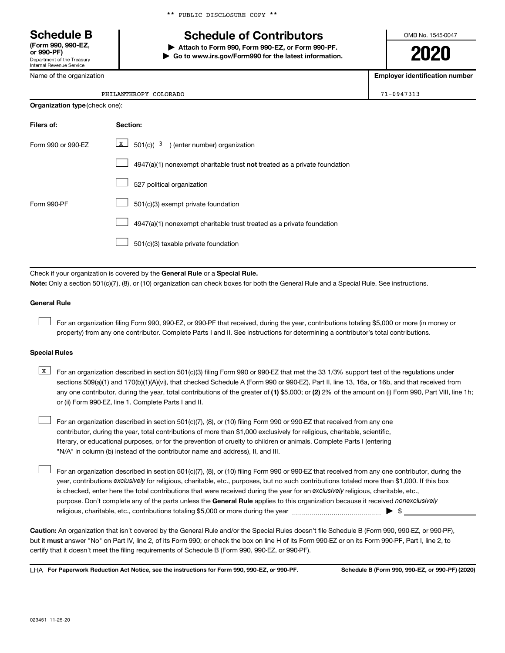\*\* PUBLIC DISCLOSURE COPY \*\*

# **Schedule B Schedule of Contributors**

**or 990-PF) | Attach to Form 990, Form 990-EZ, or Form 990-PF. | Go to www.irs.gov/Form990 for the latest information.** OMB No. 1545-0047

**2020**

**Employer identification number**

| (Form 990, 990-EZ,<br>or 990-PF)                       |
|--------------------------------------------------------|
| Department of the Treasury<br>Internal Revenue Service |

Name of the organization

| <b>Organization type (check one):</b> |                                                                           |  |  |  |
|---------------------------------------|---------------------------------------------------------------------------|--|--|--|
| Filers of:                            | Section:                                                                  |  |  |  |
| Form 990 or 990-EZ                    | $X$ 501(c)( 3) (enter number) organization                                |  |  |  |
|                                       | 4947(a)(1) nonexempt charitable trust not treated as a private foundation |  |  |  |
|                                       | 527 political organization                                                |  |  |  |
| Form 990-PF                           | 501(c)(3) exempt private foundation                                       |  |  |  |
|                                       | 4947(a)(1) nonexempt charitable trust treated as a private foundation     |  |  |  |
|                                       | 501(c)(3) taxable private foundation                                      |  |  |  |

Check if your organization is covered by the General Rule or a Special Rule.

**Note:**  Only a section 501(c)(7), (8), or (10) organization can check boxes for both the General Rule and a Special Rule. See instructions.

#### **General Rule**

 $\Box$ 

 $\Box$ 

For an organization filing Form 990, 990-EZ, or 990-PF that received, during the year, contributions totaling \$5,000 or more (in money or property) from any one contributor. Complete Parts I and II. See instructions for determining a contributor's total contributions.

#### **Special Rules**

any one contributor, during the year, total contributions of the greater of (1) \$5,000; or (2) 2% of the amount on (i) Form 990, Part VIII, line 1h; **K** For an organization described in section 501(c)(3) filing Form 990 or 990-EZ that met the 33 1/3% support test of the regulations under sections 509(a)(1) and 170(b)(1)(A)(vi), that checked Schedule A (Form 990 or 990-EZ), Part II, line 13, 16a, or 16b, and that received from or (ii) Form 990-EZ, line 1. Complete Parts I and II.

For an organization described in section 501(c)(7), (8), or (10) filing Form 990 or 990-EZ that received from any one contributor, during the year, total contributions of more than \$1,000 exclusively for religious, charitable, scientific, literary, or educational purposes, or for the prevention of cruelty to children or animals. Complete Parts I (entering "N/A" in column (b) instead of the contributor name and address), II, and III.  $\Box$ 

purpose. Don't complete any of the parts unless the General Rule applies to this organization because it received nonexclusively year, contributions exclusively for religious, charitable, etc., purposes, but no such contributions totaled more than \$1,000. If this box is checked, enter here the total contributions that were received during the year for an exclusively religious, charitable, etc., For an organization described in section 501(c)(7), (8), or (10) filing Form 990 or 990-EZ that received from any one contributor, during the religious, charitable, etc., contributions totaling \$5,000 or more during the year  $~\ldots\ldots\ldots\ldots\ldots\ldots\ldots\ldots\ldots\blacktriangleright~$ \$

**Caution:**  An organization that isn't covered by the General Rule and/or the Special Rules doesn't file Schedule B (Form 990, 990-EZ, or 990-PF),  **must** but it answer "No" on Part IV, line 2, of its Form 990; or check the box on line H of its Form 990-EZ or on its Form 990-PF, Part I, line 2, to certify that it doesn't meet the filing requirements of Schedule B (Form 990, 990-EZ, or 990-PF).

**For Paperwork Reduction Act Notice, see the instructions for Form 990, 990-EZ, or 990-PF. Schedule B (Form 990, 990-EZ, or 990-PF) (2020)** LHA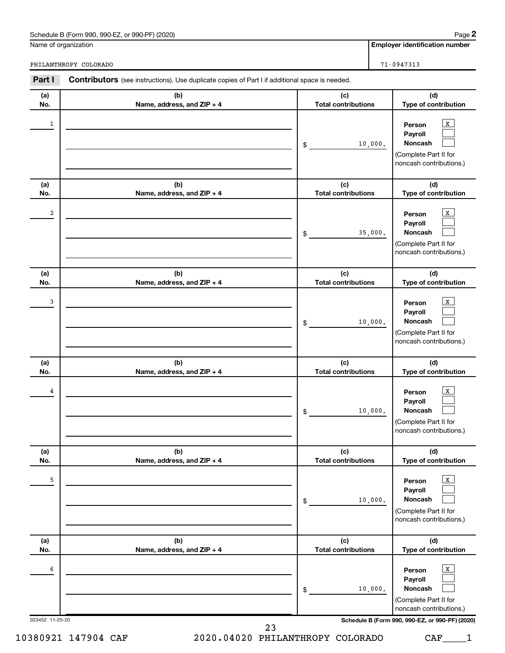Name of organization

**Employer identification number**

PHILANTHROPY COLORADO **71-0947313** 

| Part I               | <b>Contributors</b> (see instructions). Use duplicate copies of Part I if additional space is needed. |                                   |                                                                                                                                                    |
|----------------------|-------------------------------------------------------------------------------------------------------|-----------------------------------|----------------------------------------------------------------------------------------------------------------------------------------------------|
| (a)<br>No.           | (b)<br>Name, address, and ZIP + 4                                                                     | (c)<br><b>Total contributions</b> | (d)<br>Type of contribution                                                                                                                        |
| $\mathbf{1}$         |                                                                                                       | 10,000.<br>$$\circ$$              | $\,$ X $\,$<br>Person<br>Payroll<br>Noncash<br>(Complete Part II for<br>noncash contributions.)                                                    |
| (a)<br>No.           | (b)<br>Name, address, and ZIP + 4                                                                     | (c)<br><b>Total contributions</b> | (d)<br>Type of contribution                                                                                                                        |
| $\boldsymbol{2}$     |                                                                                                       | 35,000.<br>$\frac{1}{2}$          | $\mathbf{x}$<br>Person<br>Payroll<br>Noncash<br>(Complete Part II for<br>noncash contributions.)                                                   |
| (a)<br>No.           | (b)<br>Name, address, and ZIP + 4                                                                     | (c)<br><b>Total contributions</b> | (d)<br>Type of contribution                                                                                                                        |
| 3                    |                                                                                                       | 10,000.<br>\$                     | $\mathbf{x}$<br>Person<br>Payroll<br>Noncash<br>(Complete Part II for<br>noncash contributions.)                                                   |
| (a)<br>No.           | (b)<br>Name, address, and ZIP + 4                                                                     | (c)<br><b>Total contributions</b> | (d)<br>Type of contribution                                                                                                                        |
| 4                    |                                                                                                       | 10,000.<br>\$                     | $\,$ X $\,$<br>Person<br>Payroll<br>Noncash<br>(Complete Part II for<br>noncash contributions.)                                                    |
| (a)<br>No.           | (b)<br>Name, address, and ZIP + 4                                                                     | (c)<br><b>Total contributions</b> | (d)<br>Type of contribution                                                                                                                        |
| 5                    |                                                                                                       | 10,000.<br>\$                     | $\,$ X $\,$<br>Person<br>Payroll<br>Noncash<br>(Complete Part II for<br>noncash contributions.)                                                    |
| (a)<br>No.           | (b)<br>Name, address, and ZIP + 4                                                                     | (c)<br><b>Total contributions</b> | (d)<br>Type of contribution                                                                                                                        |
| 6<br>023452 11-25-20 |                                                                                                       | 10,000.<br>\$                     | $\,$ X $\,$<br>Person<br>Payroll<br>Noncash<br>(Complete Part II for<br>noncash contributions.)<br>Schedule B (Form 990, 990-EZ, or 990-PF) (2020) |
|                      |                                                                                                       | 23                                |                                                                                                                                                    |

10380921 147904 CAF 2020.04020 PHILANTHROPY COLORADO CAF\_\_\_\_1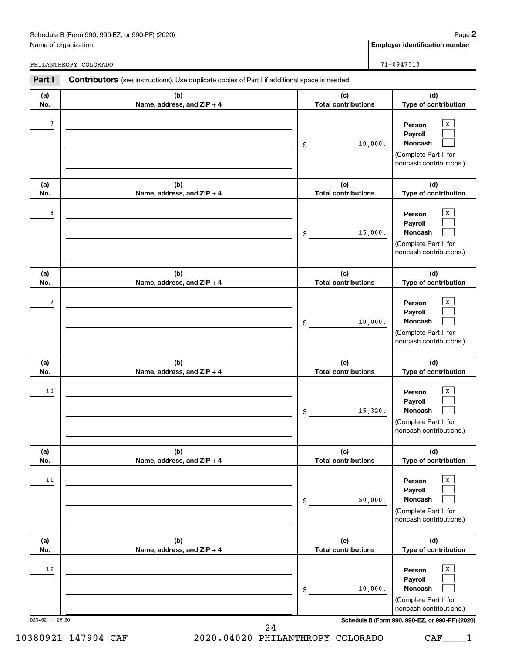Name of organization

**Employer identification number**

PHILANTHROPY COLORADO **71-0947313** 

| Part I                | <b>Contributors</b> (see instructions). Use duplicate copies of Part I if additional space is needed. |                                   |                                                                                                                                                    |
|-----------------------|-------------------------------------------------------------------------------------------------------|-----------------------------------|----------------------------------------------------------------------------------------------------------------------------------------------------|
| (a)<br>No.            | (b)<br>Name, address, and ZIP + 4                                                                     | (c)<br><b>Total contributions</b> | (d)<br>Type of contribution                                                                                                                        |
| $\overline{7}$        |                                                                                                       | 10,000.<br>\$                     | $\,$ X $\,$<br>Person<br>Payroll<br>Noncash<br>(Complete Part II for<br>noncash contributions.)                                                    |
| (a)<br>No.            | (b)<br>Name, address, and ZIP + 4                                                                     | (c)<br><b>Total contributions</b> | (d)<br>Type of contribution                                                                                                                        |
| 8                     |                                                                                                       | 15,000.<br>\$                     | $\,$ X $\,$<br>Person<br>Payroll<br>Noncash<br>(Complete Part II for<br>noncash contributions.)                                                    |
| (a)<br>No.            | (b)<br>Name, address, and ZIP + 4                                                                     | (c)<br><b>Total contributions</b> | (d)<br>Type of contribution                                                                                                                        |
| 9                     |                                                                                                       | 10,000.<br>\$                     | $\,$ X $\,$<br>Person<br>Payroll<br>Noncash<br>(Complete Part II for<br>noncash contributions.)                                                    |
| (a)<br>No.            | (b)<br>Name, address, and ZIP + 4                                                                     | (c)<br><b>Total contributions</b> | (d)<br>Type of contribution                                                                                                                        |
| 10                    |                                                                                                       | 15,320.<br>\$                     | $\,$ X $\,$<br>Person<br>Payroll<br>Noncash<br>(Complete Part II for<br>noncash contributions.)                                                    |
| (a)<br>No.            | (b)<br>Name, address, and ZIP + 4                                                                     | (c)<br><b>Total contributions</b> | (d)<br>Type of contribution                                                                                                                        |
| 11                    |                                                                                                       | 50,000.<br>\$                     | $\,$ X $\,$<br>Person<br>Payroll<br>Noncash<br>(Complete Part II for<br>noncash contributions.)                                                    |
| (a)<br>No.            | (b)<br>Name, address, and ZIP + 4                                                                     | (c)<br><b>Total contributions</b> | (d)<br>Type of contribution                                                                                                                        |
| 12<br>023452 11-25-20 |                                                                                                       | 10,000.<br>\$                     | $\,$ X $\,$<br>Person<br>Payroll<br>Noncash<br>(Complete Part II for<br>noncash contributions.)<br>Schedule B (Form 990, 990-EZ, or 990-PF) (2020) |
|                       |                                                                                                       | 24                                |                                                                                                                                                    |

10380921 147904 CAF 2020.04020 PHILANTHROPY COLORADO CAF\_\_\_\_1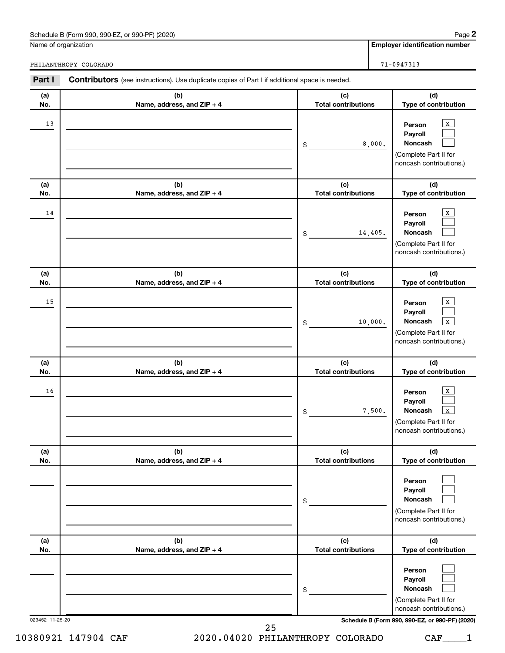Name of organization

PHILANTHROPY COLORADO **71-0947313** 

**Employer identification number**

| Part I     | <b>Contributors</b> (see instructions). Use duplicate copies of Part I if additional space is needed. |                                   |                                                                                                                 |
|------------|-------------------------------------------------------------------------------------------------------|-----------------------------------|-----------------------------------------------------------------------------------------------------------------|
| (a)<br>No. | (b)<br>Name, address, and ZIP + 4                                                                     | (c)<br><b>Total contributions</b> | (d)<br>Type of contribution                                                                                     |
| 13         |                                                                                                       | 8,000.<br>\$                      | $\mathbf{X}$<br>Person<br>Payroll<br>Noncash<br>(Complete Part II for<br>noncash contributions.)                |
| (a)<br>No. | (b)<br>Name, address, and ZIP + 4                                                                     | (c)<br><b>Total contributions</b> | (d)<br>Type of contribution                                                                                     |
| 14         |                                                                                                       | 14,405.<br>\$                     | $\mathbf X$<br>Person<br>Payroll<br>Noncash<br>(Complete Part II for<br>noncash contributions.)                 |
| (a)<br>No. | (b)<br>Name, address, and ZIP + 4                                                                     | (c)<br><b>Total contributions</b> | (d)<br>Type of contribution                                                                                     |
| 15         |                                                                                                       | 10,000.<br>\$                     | X<br>Person<br>Payroll<br>Noncash<br>$\mathbf{x}$<br>(Complete Part II for<br>noncash contributions.)           |
| (a)<br>No. | (b)<br>Name, address, and ZIP + 4                                                                     | (c)<br><b>Total contributions</b> | (d)<br>Type of contribution                                                                                     |
| 16         |                                                                                                       | 7,500.<br>\$                      | $\,$ X $\,$<br>Person<br>Payroll<br>Noncash<br>$\mathbf{x}$<br>(Complete Part II for<br>noncash contributions.) |
| (a)<br>No. | (b)<br>Name, address, and ZIP + 4                                                                     | (c)<br><b>Total contributions</b> | (d)<br>Type of contribution                                                                                     |
|            |                                                                                                       | \$                                | Person<br>Payroll<br>Noncash<br>(Complete Part II for<br>noncash contributions.)                                |
| (a)        | (b)                                                                                                   | (c)<br><b>Total contributions</b> | (d)<br>Type of contribution                                                                                     |
| No.        | Name, address, and ZIP + 4                                                                            |                                   |                                                                                                                 |
|            |                                                                                                       | \$                                | Person<br>Payroll<br>Noncash<br>(Complete Part II for<br>noncash contributions.)                                |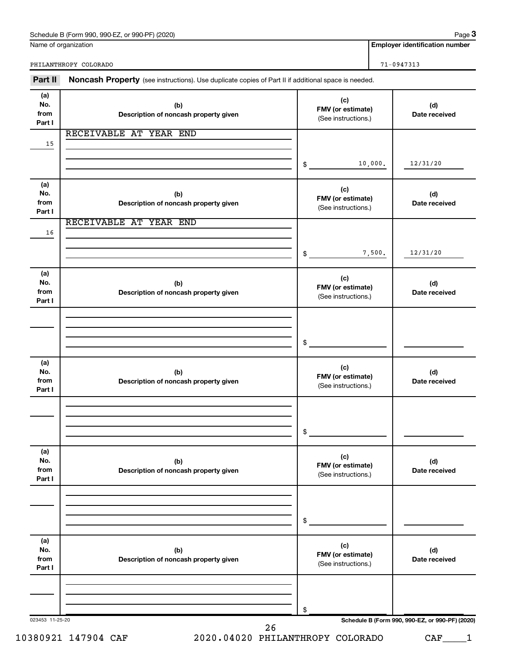Name of organization

**3**

**Employer identification number**

PHILANTHROPY COLORADO **71-0947313** 

| Part II                      | Noncash Property (see instructions). Use duplicate copies of Part II if additional space is needed. |                                                 |                                                 |  |  |
|------------------------------|-----------------------------------------------------------------------------------------------------|-------------------------------------------------|-------------------------------------------------|--|--|
| (a)<br>No.<br>from<br>Part I | (b)<br>Description of noncash property given                                                        | (c)<br>FMV (or estimate)<br>(See instructions.) | (d)<br>Date received                            |  |  |
| 15                           | RECEIVABLE AT YEAR END                                                                              |                                                 |                                                 |  |  |
|                              |                                                                                                     | 10,000.<br>\$                                   | 12/31/20                                        |  |  |
| (a)<br>No.<br>from<br>Part I | (b)<br>Description of noncash property given                                                        | (c)<br>FMV (or estimate)<br>(See instructions.) | (d)<br>Date received                            |  |  |
| 16                           | RECEIVABLE AT YEAR END                                                                              |                                                 |                                                 |  |  |
|                              |                                                                                                     | 7,500.<br>\$                                    | 12/31/20                                        |  |  |
| (a)<br>No.<br>from<br>Part I | (b)<br>Description of noncash property given                                                        | (c)<br>FMV (or estimate)<br>(See instructions.) | (d)<br>Date received                            |  |  |
|                              |                                                                                                     |                                                 |                                                 |  |  |
|                              |                                                                                                     | \$                                              |                                                 |  |  |
| (a)<br>No.<br>from<br>Part I | (b)<br>Description of noncash property given                                                        | (c)<br>FMV (or estimate)<br>(See instructions.) | (d)<br>Date received                            |  |  |
|                              |                                                                                                     |                                                 |                                                 |  |  |
|                              |                                                                                                     | \$                                              |                                                 |  |  |
| (a)<br>No.<br>from<br>Part I | (b)<br>Description of noncash property given                                                        | (c)<br>FMV (or estimate)<br>(See instructions.) | (d)<br>Date received                            |  |  |
|                              |                                                                                                     |                                                 |                                                 |  |  |
|                              |                                                                                                     | \$                                              |                                                 |  |  |
| (a)<br>No.<br>from<br>Part I | (b)<br>Description of noncash property given                                                        | (c)<br>FMV (or estimate)<br>(See instructions.) | (d)<br>Date received                            |  |  |
|                              |                                                                                                     |                                                 |                                                 |  |  |
|                              |                                                                                                     | \$                                              |                                                 |  |  |
| 023453 11-25-20              | 26                                                                                                  |                                                 | Schedule B (Form 990, 990-EZ, or 990-PF) (2020) |  |  |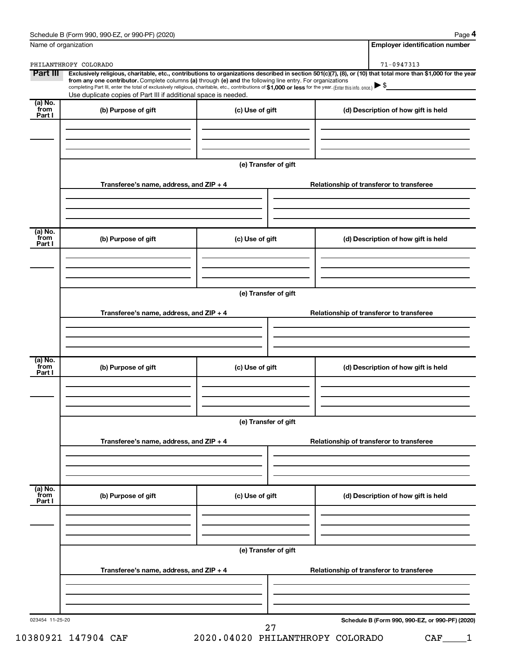| Schedule B (Form 990, 990-EZ, or 990-PF) (2020) | Page |
|-------------------------------------------------|------|
|-------------------------------------------------|------|

**4**

| (a) No.<br>from<br>Part I |                                         | Use duplicate copies of Part III if additional space is needed. | completing Part III, enter the total of exclusively religious, charitable, etc., contributions of \$1,000 or less for the year. (Enter this info. once.)<br><u> 1989 - Johann Barbara, martin a</u> |
|---------------------------|-----------------------------------------|-----------------------------------------------------------------|-----------------------------------------------------------------------------------------------------------------------------------------------------------------------------------------------------|
|                           | (b) Purpose of gift                     | (c) Use of gift                                                 | (d) Description of how gift is held                                                                                                                                                                 |
|                           |                                         | (e) Transfer of gift                                            |                                                                                                                                                                                                     |
|                           | Transferee's name, address, and ZIP + 4 |                                                                 | Relationship of transferor to transferee                                                                                                                                                            |
| (a) No.<br>from<br>Part I | (b) Purpose of gift                     | (c) Use of gift                                                 | (d) Description of how gift is held                                                                                                                                                                 |
|                           | Transferee's name, address, and ZIP + 4 | (e) Transfer of gift                                            | Relationship of transferor to transferee                                                                                                                                                            |
| (a) No.<br>from<br>Part I | (b) Purpose of gift                     | (c) Use of gift                                                 | (d) Description of how gift is held                                                                                                                                                                 |
|                           |                                         | (e) Transfer of gift                                            |                                                                                                                                                                                                     |
|                           | Transferee's name, address, and ZIP + 4 |                                                                 | Relationship of transferor to transferee                                                                                                                                                            |
| (a) No.<br>from<br>Part I | (b) Purpose of gift                     | (c) Use of gift                                                 | (d) Description of how gift is held                                                                                                                                                                 |
|                           |                                         | (e) Transfer of gift                                            |                                                                                                                                                                                                     |
|                           | Transferee's name, address, and ZIP + 4 |                                                                 | Relationship of transferor to transferee                                                                                                                                                            |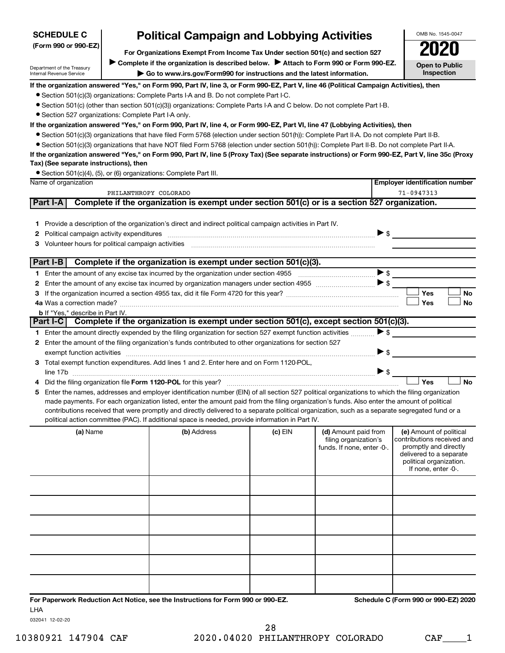| <b>SCHEDULE C</b><br>(Form 990 or 990-EZ)                     | <b>Political Campaign and Lobbying Activities</b><br>For Organizations Exempt From Income Tax Under section 501(c) and section 527                                                 | OMB No. 1545-0047<br>2020           |
|---------------------------------------------------------------|------------------------------------------------------------------------------------------------------------------------------------------------------------------------------------|-------------------------------------|
| Department of the Treasury<br><b>Internal Revenue Service</b> | ▶ Complete if the organization is described below. ▶ Attach to Form 990 or Form 990-EZ.<br>$\triangleright$ Go to www.irs.gov/Form990 for instructions and the latest information. | <b>Open to Public</b><br>Inspection |
|                                                               | If the organization answered "Yes," on Form 990, Part IV, line 3, or Form 990-EZ, Part V, line 46 (Political Campaign Activities), then                                            |                                     |
|                                                               | • Section 501(c)(3) organizations: Complete Parts I-A and B. Do not complete Part I-C.                                                                                             |                                     |
|                                                               | • Section 501(c) (other than section 501(c)(3)) organizations: Complete Parts I-A and C below. Do not complete Part I-B.                                                           |                                     |
|                                                               | • Section 527 organizations: Complete Part I-A only.                                                                                                                               |                                     |
|                                                               | If the organization answered "Yes," on Form 990, Part IV, line 4, or Form 990-EZ, Part VI, line 47 (Lobbying Activities), then                                                     |                                     |
|                                                               | • Section 501(c)(3) organizations that have filed Form 5768 (election under section 501(h)): Complete Part II-A. Do not complete Part II-B.                                        |                                     |
|                                                               | • Section 501(c)(3) organizations that have NOT filed Form 5768 (election under section 501(h)): Complete Part II-B. Do not complete Part II-A.                                    |                                     |
|                                                               | If the organization answered "Yes," on Form 990, Part IV, line 5 (Proxy Tax) (See separate instructions) or Form 990-EZ, Part V, line 35c (Proxy                                   |                                     |
| Tax) (See separate instructions), then                        |                                                                                                                                                                                    |                                     |
|                                                               |                                                                                                                                                                                    |                                     |

• Section 501(c)(4), (5), or (6) organizations: Complete Part III.

|    | , ,, ,, , ,,<br>Name of organization                                                                                                                                                                                                                                                                                                                                                        | <b>Employer identification number</b>                                                         |           |                                                                             |                                                                                                                                                             |
|----|---------------------------------------------------------------------------------------------------------------------------------------------------------------------------------------------------------------------------------------------------------------------------------------------------------------------------------------------------------------------------------------------|-----------------------------------------------------------------------------------------------|-----------|-----------------------------------------------------------------------------|-------------------------------------------------------------------------------------------------------------------------------------------------------------|
|    | PHILANTHROPY COLORADO                                                                                                                                                                                                                                                                                                                                                                       |                                                                                               |           |                                                                             | $71 - 0947313$                                                                                                                                              |
|    | <b>Part I-A</b>                                                                                                                                                                                                                                                                                                                                                                             | Complete if the organization is exempt under section 501(c) or is a section 527 organization. |           |                                                                             |                                                                                                                                                             |
|    | 1 Provide a description of the organization's direct and indirect political campaign activities in Part IV.<br>2 Political campaign activity expenditures<br>Volunteer hours for political campaign activities [11] [12] www.communically.communically control of the control of the control of the control of the control of the control of the control of the control of the control of t | $\bullet$                                                                                     |           |                                                                             |                                                                                                                                                             |
|    | Part I-B                                                                                                                                                                                                                                                                                                                                                                                    | Complete if the organization is exempt under section 501(c)(3).                               |           |                                                                             |                                                                                                                                                             |
|    |                                                                                                                                                                                                                                                                                                                                                                                             |                                                                                               |           |                                                                             |                                                                                                                                                             |
|    |                                                                                                                                                                                                                                                                                                                                                                                             |                                                                                               |           |                                                                             |                                                                                                                                                             |
|    |                                                                                                                                                                                                                                                                                                                                                                                             |                                                                                               |           |                                                                             | Yes<br><b>No</b>                                                                                                                                            |
|    |                                                                                                                                                                                                                                                                                                                                                                                             |                                                                                               |           |                                                                             | Yes<br><b>No</b>                                                                                                                                            |
|    | <b>b</b> If "Yes," describe in Part IV.                                                                                                                                                                                                                                                                                                                                                     |                                                                                               |           |                                                                             |                                                                                                                                                             |
|    | <b>Part I-C</b>                                                                                                                                                                                                                                                                                                                                                                             | Complete if the organization is exempt under section 501(c), except section 501(c)(3).        |           |                                                                             |                                                                                                                                                             |
|    | 1 Enter the amount directly expended by the filing organization for section 527 exempt function activities                                                                                                                                                                                                                                                                                  |                                                                                               |           |                                                                             | $\blacktriangleright$ \$                                                                                                                                    |
| 2  | Enter the amount of the filing organization's funds contributed to other organizations for section 527                                                                                                                                                                                                                                                                                      |                                                                                               |           |                                                                             |                                                                                                                                                             |
|    |                                                                                                                                                                                                                                                                                                                                                                                             |                                                                                               |           |                                                                             | $\blacktriangleright$ \$                                                                                                                                    |
|    | 3 Total exempt function expenditures. Add lines 1 and 2. Enter here and on Form 1120-POL.                                                                                                                                                                                                                                                                                                   |                                                                                               |           |                                                                             |                                                                                                                                                             |
|    |                                                                                                                                                                                                                                                                                                                                                                                             |                                                                                               |           |                                                                             | Yes<br>No                                                                                                                                                   |
| 5. | Enter the names, addresses and employer identification number (EIN) of all section 527 political organizations to which the filing organization                                                                                                                                                                                                                                             |                                                                                               |           |                                                                             |                                                                                                                                                             |
|    | made payments. For each organization listed, enter the amount paid from the filing organization's funds. Also enter the amount of political                                                                                                                                                                                                                                                 |                                                                                               |           |                                                                             |                                                                                                                                                             |
|    | contributions received that were promptly and directly delivered to a separate political organization, such as a separate segregated fund or a                                                                                                                                                                                                                                              |                                                                                               |           |                                                                             |                                                                                                                                                             |
|    | political action committee (PAC). If additional space is needed, provide information in Part IV.                                                                                                                                                                                                                                                                                            |                                                                                               |           |                                                                             |                                                                                                                                                             |
|    | (a) Name                                                                                                                                                                                                                                                                                                                                                                                    | (b) Address                                                                                   | $(c)$ EIN | (d) Amount paid from<br>filing organization's<br>funds. If none, enter -0-. | (e) Amount of political<br>contributions received and<br>promptly and directly<br>delivered to a separate<br>political organization.<br>If none, enter -0-. |
|    |                                                                                                                                                                                                                                                                                                                                                                                             |                                                                                               |           |                                                                             |                                                                                                                                                             |
|    |                                                                                                                                                                                                                                                                                                                                                                                             |                                                                                               |           |                                                                             |                                                                                                                                                             |
|    |                                                                                                                                                                                                                                                                                                                                                                                             |                                                                                               |           |                                                                             |                                                                                                                                                             |

**For Paperwork Reduction Act Notice, see the Instructions for Form 990 or 990-EZ. Schedule C (Form 990 or 990-EZ) 2020** LHA

032041 12-02-20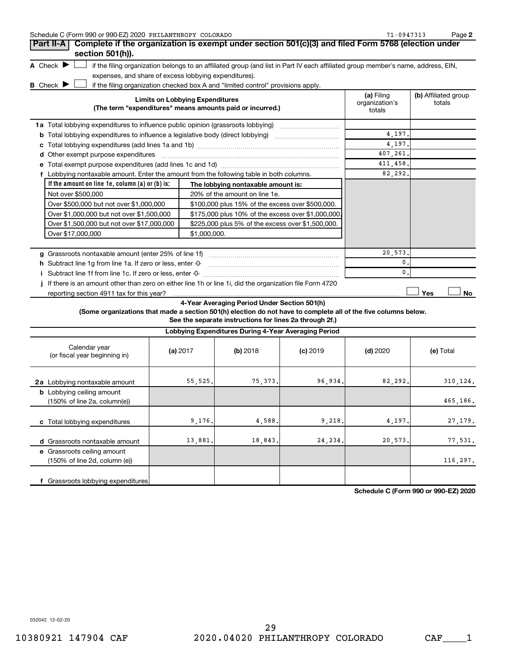| Schedule C (Form 990 or 990-EZ) 2020 PHILANTHROPY COLORADO                       | $71 - 0947313$                                                                                                                    | Page 2                                 |                                |
|----------------------------------------------------------------------------------|-----------------------------------------------------------------------------------------------------------------------------------|----------------------------------------|--------------------------------|
|                                                                                  | Part II-A   Complete if the organization is exempt under section 501(c)(3) and filed Form 5768 (election under                    |                                        |                                |
| section 501(h)).                                                                 |                                                                                                                                   |                                        |                                |
| A Check $\blacktriangleright$                                                    | if the filing organization belongs to an affiliated group (and list in Part IV each affiliated group member's name, address, EIN, |                                        |                                |
| expenses, and share of excess lobbying expenditures).                            |                                                                                                                                   |                                        |                                |
| <b>B</b> Check $\blacktriangleright$                                             | if the filing organization checked box A and "limited control" provisions apply.                                                  |                                        |                                |
|                                                                                  | <b>Limits on Lobbying Expenditures</b><br>(The term "expenditures" means amounts paid or incurred.)                               | (a) Filing<br>organization's<br>totals | (b) Affiliated group<br>totals |
| 1a Total lobbying expenditures to influence public opinion (grassroots lobbying) |                                                                                                                                   |                                        |                                |
| b                                                                                | Total lobbying expenditures to influence a legislative body (direct lobbying)                                                     | 4,197.                                 |                                |
|                                                                                  |                                                                                                                                   | 4,197.                                 |                                |
| Other exempt purpose expenditures<br>d                                           |                                                                                                                                   | 407,261.                               |                                |
|                                                                                  |                                                                                                                                   | 411,458.                               |                                |
|                                                                                  | Lobbying nontaxable amount. Enter the amount from the following table in both columns.                                            | 82,292.                                |                                |
| If the amount on line 1e, column (a) or (b) is:                                  | The lobbying nontaxable amount is:                                                                                                |                                        |                                |
| Not over \$500,000                                                               | 20% of the amount on line 1e.                                                                                                     |                                        |                                |
| Over \$500,000 but not over \$1,000,000                                          | \$100,000 plus 15% of the excess over \$500,000.                                                                                  |                                        |                                |
| Over \$1,000,000 but not over \$1,500,000                                        | \$175,000 plus 10% of the excess over \$1,000,000.                                                                                |                                        |                                |
| Over \$1,500,000 but not over \$17,000,000                                       | \$225,000 plus 5% of the excess over \$1,500,000.                                                                                 |                                        |                                |
| Over \$17,000,000                                                                | \$1,000.000.                                                                                                                      |                                        |                                |
|                                                                                  |                                                                                                                                   |                                        |                                |
| Grassroots nontaxable amount (enter 25% of line 1f)<br>q                         |                                                                                                                                   | 20,573.                                |                                |
| Subtract line 1q from line 1a. If zero or less, enter -0-                        |                                                                                                                                   | $\mathbf{0}$ .                         |                                |
|                                                                                  |                                                                                                                                   | $\mathbf{0}$ .                         |                                |
|                                                                                  | If there is an amount other than zero on either line 1h or line 1i, did the organization file Form 4720                           |                                        | Yes<br>No                      |

**4-Year Averaging Period Under Section 501(h)**

**(Some organizations that made a section 501(h) election do not have to complete all of the five columns below.**

**See the separate instructions for lines 2a through 2f.)**

| Lobbying Expenditures During 4-Year Averaging Period                                |          |          |            |            |           |  |  |
|-------------------------------------------------------------------------------------|----------|----------|------------|------------|-----------|--|--|
| Calendar year<br>(or fiscal year beginning in)                                      | (a) 2017 | (b) 2018 | $(c)$ 2019 | $(d)$ 2020 | (e) Total |  |  |
| 2a Lobbying nontaxable amount                                                       | 55, 525. | 75, 373. | 96,934.    | 82, 292.   | 310,124.  |  |  |
| <b>b</b> Lobbying ceiling amount<br>$(150\% \text{ of line } 2a, \text{column}(e))$ |          |          |            |            | 465,186.  |  |  |
| c Total lobbying expenditures                                                       | 9,176.   | 4,588.   | 9,218.     | 4,197.     | 27, 179.  |  |  |
| Grassroots nontaxable amount<br>d                                                   | 13,881.  | 18,843.  | 24, 234.   | 20,573.    | 77,531.   |  |  |
| e Grassroots ceiling amount<br>$(150\% \text{ of line } 2d, \text{ column } (e))$   |          |          |            |            | 116,297.  |  |  |
| Grassroots lobbying expenditures                                                    |          |          |            |            |           |  |  |

**Schedule C (Form 990 or 990-EZ) 2020**

032042 12-02-20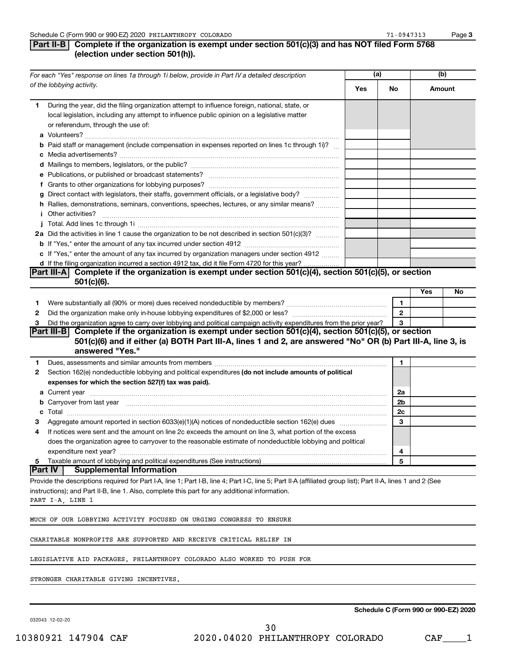# **Part II-B Complete if the organization is exempt under section 501(c)(3) and has NOT filed Form 5768 (election under section 501(h)).**

|    | For each "Yes" response on lines 1a through 1i below, provide in Part IV a detailed description                                                                                                                                |     | (a)          |        | (b) |  |
|----|--------------------------------------------------------------------------------------------------------------------------------------------------------------------------------------------------------------------------------|-----|--------------|--------|-----|--|
|    | of the lobbying activity.                                                                                                                                                                                                      | Yes | No           | Amount |     |  |
| 1. | During the year, did the filing organization attempt to influence foreign, national, state, or                                                                                                                                 |     |              |        |     |  |
|    | local legislation, including any attempt to influence public opinion on a legislative matter                                                                                                                                   |     |              |        |     |  |
|    | or referendum, through the use of:                                                                                                                                                                                             |     |              |        |     |  |
|    |                                                                                                                                                                                                                                |     |              |        |     |  |
|    | <b>b</b> Paid staff or management (include compensation in expenses reported on lines 1c through 1i)?                                                                                                                          |     |              |        |     |  |
|    |                                                                                                                                                                                                                                |     |              |        |     |  |
|    |                                                                                                                                                                                                                                |     |              |        |     |  |
|    |                                                                                                                                                                                                                                |     |              |        |     |  |
|    |                                                                                                                                                                                                                                |     |              |        |     |  |
|    | g Direct contact with legislators, their staffs, government officials, or a legislative body?                                                                                                                                  |     |              |        |     |  |
|    | h Rallies, demonstrations, seminars, conventions, speeches, lectures, or any similar means?                                                                                                                                    |     |              |        |     |  |
|    | <b>i</b> Other activities?                                                                                                                                                                                                     |     |              |        |     |  |
|    | 2a Did the activities in line 1 cause the organization to be not described in section 501(c)(3)?                                                                                                                               |     |              |        |     |  |
|    |                                                                                                                                                                                                                                |     |              |        |     |  |
|    | c If "Yes," enter the amount of any tax incurred by organization managers under section 4912                                                                                                                                   |     |              |        |     |  |
|    | d If the filing organization incurred a section 4912 tax, did it file Form 4720 for this year?                                                                                                                                 |     |              |        |     |  |
|    | Part III-A Complete if the organization is exempt under section 501(c)(4), section 501(c)(5), or section                                                                                                                       |     |              |        |     |  |
|    | $501(c)(6)$ .                                                                                                                                                                                                                  |     |              |        |     |  |
|    |                                                                                                                                                                                                                                |     |              | Yes    | No  |  |
| 1  |                                                                                                                                                                                                                                |     | 1            |        |     |  |
| 2  |                                                                                                                                                                                                                                |     | $\mathbf{2}$ |        |     |  |
| з  | Did the organization agree to carry over lobbying and political campaign activity expenditures from the prior year?                                                                                                            |     | 3            |        |     |  |
|    | Part III-B Complete if the organization is exempt under section 501(c)(4), section 501(c)(5), or section                                                                                                                       |     |              |        |     |  |
|    | 501(c)(6) and if either (a) BOTH Part III-A, lines 1 and 2, are answered "No" OR (b) Part III-A, line 3, is                                                                                                                    |     |              |        |     |  |
|    | answered "Yes."                                                                                                                                                                                                                |     |              |        |     |  |
| 1  | Dues, assessments and similar amounts from members [11] matter contracts and similar amounts from members [11] matter contracts and similar amounts from members [11] matter contracts and similar amounts from members [11] m |     | 1            |        |     |  |
| 2  | Section 162(e) nondeductible lobbying and political expenditures (do not include amounts of political                                                                                                                          |     |              |        |     |  |
|    | expenses for which the section 527(f) tax was paid).                                                                                                                                                                           |     |              |        |     |  |
|    |                                                                                                                                                                                                                                |     | 2a           |        |     |  |
|    | b Carryover from last year manufactured and contain a series of the contract of the contract of the contract of the contract of the contract of the contract of the contract of the contract of the contract of the contract o |     | 2b           |        |     |  |
|    |                                                                                                                                                                                                                                |     | 2c           |        |     |  |
| з  |                                                                                                                                                                                                                                |     | 3            |        |     |  |
| 4  | If notices were sent and the amount on line 2c exceeds the amount on line 3, what portion of the excess                                                                                                                        |     |              |        |     |  |
|    | does the organization agree to carryover to the reasonable estimate of nondeductible lobbying and political                                                                                                                    |     |              |        |     |  |
|    | expenditure next year?                                                                                                                                                                                                         |     | 4            |        |     |  |
| 5  | Taxable amount of lobbying and political expenditures (See instructions)                                                                                                                                                       |     | 5            |        |     |  |
|    | <b>Part IV</b><br><b>Supplemental Information</b>                                                                                                                                                                              |     |              |        |     |  |
|    | Provide the descriptions required for Part I-A, line 1; Part I-B, line 4; Part I-C, line 5; Part II-A (affiliated group list); Part II-A, lines 1 and 2 (See                                                                   |     |              |        |     |  |
|    | instructions); and Part II-B, line 1. Also, complete this part for any additional information.                                                                                                                                 |     |              |        |     |  |
|    | PART I-A, LINE 1                                                                                                                                                                                                               |     |              |        |     |  |
|    |                                                                                                                                                                                                                                |     |              |        |     |  |
|    | MUCH OF OUR LOBBYING ACTIVITY FOCUSED ON URGING CONGRESS TO ENSURE                                                                                                                                                             |     |              |        |     |  |
|    | CHARITABLE NONPROFITS ARE SUPPORTED AND RECEIVE CRITICAL RELIEF IN                                                                                                                                                             |     |              |        |     |  |
|    |                                                                                                                                                                                                                                |     |              |        |     |  |
|    | LEGISLATIVE AID PACKAGES. PHILANTHROPY COLORADO ALSO WORKED TO PUSH FOR                                                                                                                                                        |     |              |        |     |  |
|    |                                                                                                                                                                                                                                |     |              |        |     |  |

STRONGER CHARITABLE GIVING INCENTIVES.

032043 12-02-20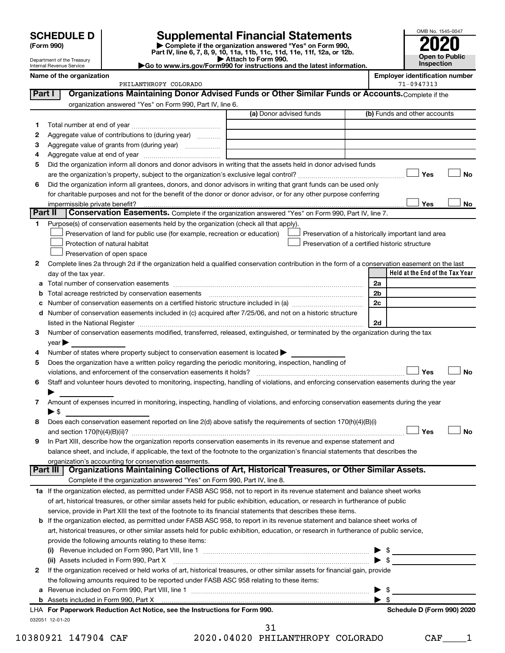Department of the Treasury Internal Revenue Service

| (Form 990) |  |
|------------|--|
|------------|--|

# **SCHEDULE D Supplemental Financial Statements**<br> **Form 990 2020**<br> **Part IV** line 6.7.8.9.10, 11a, 11b, 11d, 11d, 11d, 11d, 11d, 12a, 0r, 12b

**(Form 990) | Complete if the organization answered "Yes" on Form 990, Part IV, line 6, 7, 8, 9, 10, 11a, 11b, 11c, 11d, 11e, 11f, 12a, or 12b.**

**| Attach to Form 990. |Go to www.irs.gov/Form990 for instructions and the latest information.**



| PHILANTHROPY | COLORADO | 0947313<br>$-11$ |
|--------------|----------|------------------|

**Name of the organization Employer identification number**

|         | Organizations Maintaining Donor Advised Funds or Other Similar Funds or Accounts. Complete if the<br>Part I                                    |                         |  |                                                    |  |  |
|---------|------------------------------------------------------------------------------------------------------------------------------------------------|-------------------------|--|----------------------------------------------------|--|--|
|         | organization answered "Yes" on Form 990, Part IV, line 6.                                                                                      |                         |  |                                                    |  |  |
|         |                                                                                                                                                | (a) Donor advised funds |  | (b) Funds and other accounts                       |  |  |
| 1.      |                                                                                                                                                |                         |  |                                                    |  |  |
| 2       | Aggregate value of contributions to (during year)                                                                                              |                         |  |                                                    |  |  |
| з       |                                                                                                                                                |                         |  |                                                    |  |  |
| 4       |                                                                                                                                                |                         |  |                                                    |  |  |
| 5       | Did the organization inform all donors and donor advisors in writing that the assets held in donor advised funds                               |                         |  |                                                    |  |  |
|         |                                                                                                                                                |                         |  | Yes<br>No                                          |  |  |
| 6       | Did the organization inform all grantees, donors, and donor advisors in writing that grant funds can be used only                              |                         |  |                                                    |  |  |
|         | for charitable purposes and not for the benefit of the donor or donor advisor, or for any other purpose conferring                             |                         |  |                                                    |  |  |
|         | impermissible private benefit?                                                                                                                 |                         |  | Yes<br>No                                          |  |  |
| Part II | Conservation Easements. Complete if the organization answered "Yes" on Form 990, Part IV, line 7.                                              |                         |  |                                                    |  |  |
| 1.      | Purpose(s) of conservation easements held by the organization (check all that apply).                                                          |                         |  |                                                    |  |  |
|         | Preservation of land for public use (for example, recreation or education)                                                                     |                         |  | Preservation of a historically important land area |  |  |
|         | Protection of natural habitat                                                                                                                  |                         |  | Preservation of a certified historic structure     |  |  |
|         | Preservation of open space                                                                                                                     |                         |  |                                                    |  |  |
| 2       | Complete lines 2a through 2d if the organization held a qualified conservation contribution in the form of a conservation easement on the last |                         |  |                                                    |  |  |
|         | day of the tax year.                                                                                                                           |                         |  | Held at the End of the Tax Year                    |  |  |
| a       |                                                                                                                                                |                         |  | 2a                                                 |  |  |
| b       | Total acreage restricted by conservation easements                                                                                             |                         |  | 2b                                                 |  |  |
| с       | Number of conservation easements on a certified historic structure included in (a) manufacture included in (a)                                 |                         |  | 2c                                                 |  |  |
|         | d Number of conservation easements included in (c) acquired after 7/25/06, and not on a historic structure                                     |                         |  |                                                    |  |  |
|         |                                                                                                                                                |                         |  | 2d                                                 |  |  |
| 3       | Number of conservation easements modified, transferred, released, extinguished, or terminated by the organization during the tax               |                         |  |                                                    |  |  |
|         | year                                                                                                                                           |                         |  |                                                    |  |  |
|         | Number of states where property subject to conservation easement is located >                                                                  |                         |  |                                                    |  |  |
| 5       | Does the organization have a written policy regarding the periodic monitoring, inspection, handling of                                         |                         |  |                                                    |  |  |
|         | violations, and enforcement of the conservation easements it holds?                                                                            |                         |  | Yes<br><b>No</b>                                   |  |  |
| 6       | Staff and volunteer hours devoted to monitoring, inspecting, handling of violations, and enforcing conservation easements during the year      |                         |  |                                                    |  |  |
|         |                                                                                                                                                |                         |  |                                                    |  |  |
| 7       | Amount of expenses incurred in monitoring, inspecting, handling of violations, and enforcing conservation easements during the year            |                         |  |                                                    |  |  |
|         | $\blacktriangleright$ \$                                                                                                                       |                         |  |                                                    |  |  |
| 8       | Does each conservation easement reported on line 2(d) above satisfy the requirements of section 170(h)(4)(B)(i)                                |                         |  |                                                    |  |  |
|         |                                                                                                                                                |                         |  | Yes<br>No                                          |  |  |
| 9       | In Part XIII, describe how the organization reports conservation easements in its revenue and expense statement and                            |                         |  |                                                    |  |  |
|         | balance sheet, and include, if applicable, the text of the footnote to the organization's financial statements that describes the              |                         |  |                                                    |  |  |
|         | organization's accounting for conservation easements.                                                                                          |                         |  |                                                    |  |  |
|         | Organizations Maintaining Collections of Art, Historical Treasures, or Other Similar Assets.<br>Part III                                       |                         |  |                                                    |  |  |
|         | Complete if the organization answered "Yes" on Form 990, Part IV, line 8.                                                                      |                         |  |                                                    |  |  |
|         | 1a If the organization elected, as permitted under FASB ASC 958, not to report in its revenue statement and balance sheet works                |                         |  |                                                    |  |  |
|         | of art, historical treasures, or other similar assets held for public exhibition, education, or research in furtherance of public              |                         |  |                                                    |  |  |
|         | service, provide in Part XIII the text of the footnote to its financial statements that describes these items.                                 |                         |  |                                                    |  |  |
|         | <b>b</b> If the organization elected, as permitted under FASB ASC 958, to report in its revenue statement and balance sheet works of           |                         |  |                                                    |  |  |
|         | art, historical treasures, or other similar assets held for public exhibition, education, or research in furtherance of public service,        |                         |  |                                                    |  |  |
|         | provide the following amounts relating to these items:                                                                                         |                         |  |                                                    |  |  |
|         | $\mathbf{u}$                                                                                                                                   |                         |  | $\frac{1}{2}$<br>$\blacktriangleright$ \$          |  |  |
|         | (ii) Assets included in Form 990, Part X [11] [12] Assets included in Form 990, Part X [12] [12] Assets included in Form 990, Part X           |                         |  |                                                    |  |  |
| 2       | If the organization received or held works of art, historical treasures, or other similar assets for financial gain, provide                   |                         |  |                                                    |  |  |
|         | the following amounts required to be reported under FASB ASC 958 relating to these items:                                                      |                         |  |                                                    |  |  |
| а       |                                                                                                                                                |                         |  | - \$<br>▶<br>$\blacktriangleright$ s               |  |  |
|         | LHA For Paperwork Reduction Act Notice, see the Instructions for Form 990.                                                                     |                         |  | Schedule D (Form 990) 2020                         |  |  |
|         | 032051 12-01-20                                                                                                                                |                         |  |                                                    |  |  |

10380921 147904 CAF 2020.04020 PHILANTHROPY COLORADO CAF\_\_\_\_1 31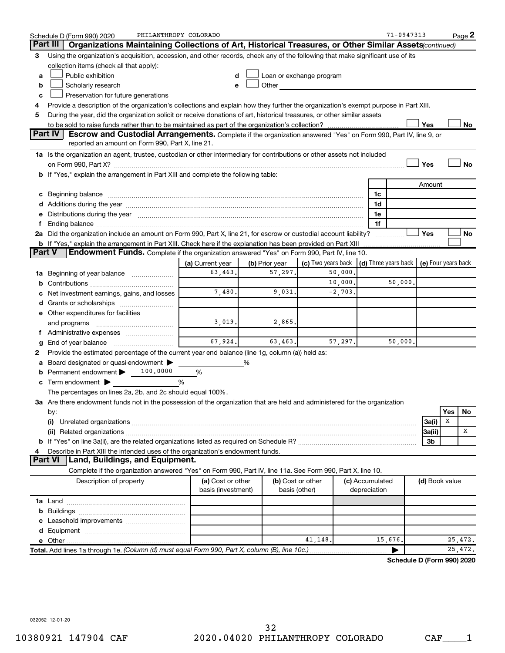|        | PHILANTHROPY COLORADO<br>Schedule D (Form 990) 2020                                                                                                                                                                            |                                         |                |                                    |                                                                                                                                                                                                                                |          |                                 | 71-0947313                                               |                |     | Page 2  |
|--------|--------------------------------------------------------------------------------------------------------------------------------------------------------------------------------------------------------------------------------|-----------------------------------------|----------------|------------------------------------|--------------------------------------------------------------------------------------------------------------------------------------------------------------------------------------------------------------------------------|----------|---------------------------------|----------------------------------------------------------|----------------|-----|---------|
|        | Part III<br>Organizations Maintaining Collections of Art, Historical Treasures, or Other Similar Assets (continued)                                                                                                            |                                         |                |                                    |                                                                                                                                                                                                                                |          |                                 |                                                          |                |     |         |
| З      | Using the organization's acquisition, accession, and other records, check any of the following that make significant use of its                                                                                                |                                         |                |                                    |                                                                                                                                                                                                                                |          |                                 |                                                          |                |     |         |
|        | collection items (check all that apply):                                                                                                                                                                                       |                                         |                |                                    |                                                                                                                                                                                                                                |          |                                 |                                                          |                |     |         |
| a      | Public exhibition                                                                                                                                                                                                              | d                                       |                |                                    | Loan or exchange program                                                                                                                                                                                                       |          |                                 |                                                          |                |     |         |
| b      | Scholarly research                                                                                                                                                                                                             | e                                       |                |                                    | Other and the control of the control of the control of the control of the control of the control of the control of the control of the control of the control of the control of the control of the control of the control of th |          |                                 |                                                          |                |     |         |
| c      | Preservation for future generations                                                                                                                                                                                            |                                         |                |                                    |                                                                                                                                                                                                                                |          |                                 |                                                          |                |     |         |
| 4      | Provide a description of the organization's collections and explain how they further the organization's exempt purpose in Part XIII.                                                                                           |                                         |                |                                    |                                                                                                                                                                                                                                |          |                                 |                                                          |                |     |         |
| 5      | During the year, did the organization solicit or receive donations of art, historical treasures, or other similar assets                                                                                                       |                                         |                |                                    |                                                                                                                                                                                                                                |          |                                 |                                                          |                |     |         |
|        |                                                                                                                                                                                                                                |                                         |                |                                    |                                                                                                                                                                                                                                |          |                                 |                                                          | Yes            |     | No      |
|        | <b>Part IV</b><br>Escrow and Custodial Arrangements. Complete if the organization answered "Yes" on Form 990, Part IV, line 9, or<br>reported an amount on Form 990, Part X, line 21.                                          |                                         |                |                                    |                                                                                                                                                                                                                                |          |                                 |                                                          |                |     |         |
|        | 1a Is the organization an agent, trustee, custodian or other intermediary for contributions or other assets not included                                                                                                       |                                         |                |                                    |                                                                                                                                                                                                                                |          |                                 |                                                          |                |     |         |
|        | Yes<br>No                                                                                                                                                                                                                      |                                         |                |                                    |                                                                                                                                                                                                                                |          |                                 |                                                          |                |     |         |
|        | b If "Yes," explain the arrangement in Part XIII and complete the following table:                                                                                                                                             |                                         |                |                                    |                                                                                                                                                                                                                                |          |                                 |                                                          |                |     |         |
|        |                                                                                                                                                                                                                                |                                         |                |                                    |                                                                                                                                                                                                                                |          |                                 |                                                          | Amount         |     |         |
|        |                                                                                                                                                                                                                                |                                         |                |                                    |                                                                                                                                                                                                                                |          | 1c                              |                                                          |                |     |         |
|        |                                                                                                                                                                                                                                |                                         |                |                                    |                                                                                                                                                                                                                                |          | 1d                              |                                                          |                |     |         |
|        | Distributions during the year manufactured and an account of the year manufactured and the year manufactured and the year manufactured and the year manufactured and the year manufactured and the year manufactured and the y |                                         |                |                                    |                                                                                                                                                                                                                                |          | 1е                              |                                                          |                |     |         |
|        | Ending balance manufactured and contact the contract of the contract of the contract of the contract of the contract of the contract of the contract of the contract of the contract of the contract of the contract of the co |                                         |                |                                    |                                                                                                                                                                                                                                |          | 1f                              |                                                          |                |     |         |
|        | 2a Did the organization include an amount on Form 990, Part X, line 21, for escrow or custodial account liability?                                                                                                             |                                         |                |                                    |                                                                                                                                                                                                                                |          |                                 |                                                          | Yes            |     | No      |
|        | <b>b</b> If "Yes," explain the arrangement in Part XIII. Check here if the explanation has been provided on Part XIII                                                                                                          |                                         |                |                                    |                                                                                                                                                                                                                                |          |                                 | . <u>.</u>                                               |                |     |         |
| Part V | Endowment Funds. Complete if the organization answered "Yes" on Form 990, Part IV, line 10.                                                                                                                                    |                                         |                |                                    |                                                                                                                                                                                                                                |          |                                 |                                                          |                |     |         |
|        |                                                                                                                                                                                                                                | (a) Current year                        | (b) Prior year |                                    | (c) Two years back                                                                                                                                                                                                             |          |                                 | $\vert$ (d) Three years back $\vert$ (e) Four years back |                |     |         |
| ٦а     | Beginning of year balance                                                                                                                                                                                                      | 63,463.                                 |                | 57,297.                            |                                                                                                                                                                                                                                | 50,000.  |                                 |                                                          |                |     |         |
| b      |                                                                                                                                                                                                                                |                                         |                |                                    |                                                                                                                                                                                                                                | 10,000.  |                                 | 50,000.                                                  |                |     |         |
|        | Net investment earnings, gains, and losses                                                                                                                                                                                     | 7,480.                                  |                | 9,031.                             |                                                                                                                                                                                                                                | $-2,703$ |                                 |                                                          |                |     |         |
| d      | Grants or scholarships                                                                                                                                                                                                         |                                         |                |                                    |                                                                                                                                                                                                                                |          |                                 |                                                          |                |     |         |
|        | e Other expenditures for facilities                                                                                                                                                                                            |                                         |                |                                    |                                                                                                                                                                                                                                |          |                                 |                                                          |                |     |         |
|        | and programs                                                                                                                                                                                                                   | 3,019.                                  |                | 2,865.                             |                                                                                                                                                                                                                                |          |                                 |                                                          |                |     |         |
|        | f Administrative expenses                                                                                                                                                                                                      |                                         |                |                                    |                                                                                                                                                                                                                                |          |                                 |                                                          |                |     |         |
|        |                                                                                                                                                                                                                                | 67,924.                                 |                | 63,463.                            |                                                                                                                                                                                                                                | 57,297.  |                                 | 50,000.                                                  |                |     |         |
| 2      | Provide the estimated percentage of the current year end balance (line 1g, column (a)) held as:                                                                                                                                |                                         |                |                                    |                                                                                                                                                                                                                                |          |                                 |                                                          |                |     |         |
|        | Board designated or quasi-endowment                                                                                                                                                                                            |                                         | ℅              |                                    |                                                                                                                                                                                                                                |          |                                 |                                                          |                |     |         |
|        | 100,0000<br>Permanent endowment                                                                                                                                                                                                | %                                       |                |                                    |                                                                                                                                                                                                                                |          |                                 |                                                          |                |     |         |
| с      | Term endowment $\blacktriangleright$                                                                                                                                                                                           | %                                       |                |                                    |                                                                                                                                                                                                                                |          |                                 |                                                          |                |     |         |
|        | The percentages on lines 2a, 2b, and 2c should equal 100%.                                                                                                                                                                     |                                         |                |                                    |                                                                                                                                                                                                                                |          |                                 |                                                          |                |     |         |
|        | 3a Are there endowment funds not in the possession of the organization that are held and administered for the organization                                                                                                     |                                         |                |                                    |                                                                                                                                                                                                                                |          |                                 |                                                          |                |     |         |
|        | by:                                                                                                                                                                                                                            |                                         |                |                                    |                                                                                                                                                                                                                                |          |                                 |                                                          |                | Yes | No      |
|        | (i)                                                                                                                                                                                                                            |                                         |                |                                    |                                                                                                                                                                                                                                |          |                                 |                                                          | 3a(i)          | х   |         |
|        |                                                                                                                                                                                                                                |                                         |                |                                    |                                                                                                                                                                                                                                |          |                                 |                                                          | 3a(ii)         |     | х       |
|        |                                                                                                                                                                                                                                |                                         |                |                                    |                                                                                                                                                                                                                                |          |                                 |                                                          | 3b             |     |         |
|        | Describe in Part XIII the intended uses of the organization's endowment funds.                                                                                                                                                 |                                         |                |                                    |                                                                                                                                                                                                                                |          |                                 |                                                          |                |     |         |
|        | <b>Land, Buildings, and Equipment.</b><br><b>Part VI</b>                                                                                                                                                                       |                                         |                |                                    |                                                                                                                                                                                                                                |          |                                 |                                                          |                |     |         |
|        | Complete if the organization answered "Yes" on Form 990, Part IV, line 11a. See Form 990, Part X, line 10.                                                                                                                     |                                         |                |                                    |                                                                                                                                                                                                                                |          |                                 |                                                          |                |     |         |
|        | Description of property                                                                                                                                                                                                        | (a) Cost or other<br>basis (investment) |                | (b) Cost or other<br>basis (other) |                                                                                                                                                                                                                                |          | (c) Accumulated<br>depreciation |                                                          | (d) Book value |     |         |
|        |                                                                                                                                                                                                                                |                                         |                |                                    |                                                                                                                                                                                                                                |          |                                 |                                                          |                |     |         |
| b      |                                                                                                                                                                                                                                |                                         |                |                                    |                                                                                                                                                                                                                                |          |                                 |                                                          |                |     |         |
|        |                                                                                                                                                                                                                                |                                         |                |                                    |                                                                                                                                                                                                                                |          |                                 |                                                          |                |     |         |
|        |                                                                                                                                                                                                                                |                                         |                |                                    |                                                                                                                                                                                                                                |          |                                 |                                                          |                |     |         |
|        |                                                                                                                                                                                                                                |                                         |                |                                    | 41,148.                                                                                                                                                                                                                        |          |                                 | 15,676.                                                  |                |     | 25,472. |
|        | Total. Add lines 1a through 1e. (Column (d) must equal Form 990, Part X, column (B), line 10c.)                                                                                                                                |                                         |                |                                    |                                                                                                                                                                                                                                |          |                                 |                                                          |                |     | 25,472. |
|        |                                                                                                                                                                                                                                |                                         |                |                                    |                                                                                                                                                                                                                                |          |                                 | Schedule D (Form 990) 2020                               |                |     |         |

032052 12-01-20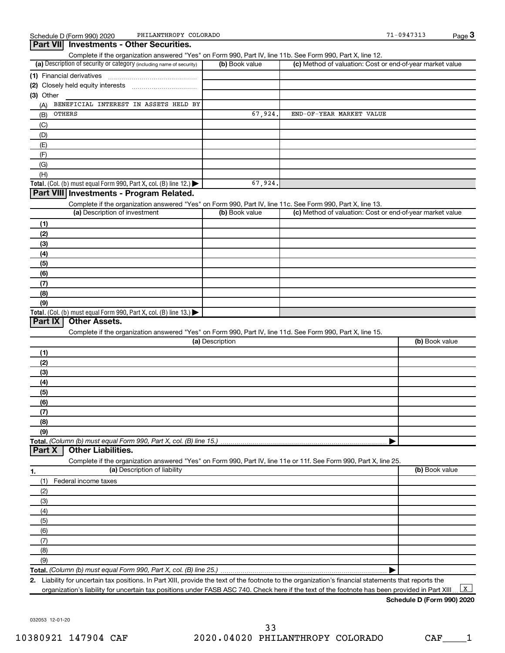**3**

| Part VII Investments - Other Securities.                                                                                                                                           |                 |                                                           | $1$ ago $\bullet$ |
|------------------------------------------------------------------------------------------------------------------------------------------------------------------------------------|-----------------|-----------------------------------------------------------|-------------------|
| Complete if the organization answered "Yes" on Form 990, Part IV, line 11b. See Form 990, Part X, line 12.<br>(a) Description of security or category (including name of security) | (b) Book value  | (c) Method of valuation: Cost or end-of-year market value |                   |
|                                                                                                                                                                                    |                 |                                                           |                   |
| (1) Financial derivatives                                                                                                                                                          |                 |                                                           |                   |
|                                                                                                                                                                                    |                 |                                                           |                   |
| (3) Other                                                                                                                                                                          |                 |                                                           |                   |
| BENEFICIAL INTEREST IN ASSETS HELD BY<br>(A)                                                                                                                                       |                 |                                                           |                   |
| OTHERS<br>(B)                                                                                                                                                                      | 67,924          | END-OF-YEAR MARKET VALUE                                  |                   |
| (C)                                                                                                                                                                                |                 |                                                           |                   |
| (D)                                                                                                                                                                                |                 |                                                           |                   |
| (E)                                                                                                                                                                                |                 |                                                           |                   |
| (F)                                                                                                                                                                                |                 |                                                           |                   |
| (G)                                                                                                                                                                                |                 |                                                           |                   |
| (H)                                                                                                                                                                                |                 |                                                           |                   |
| Total. (Col. (b) must equal Form 990, Part X, col. (B) line 12.) $\blacktriangleright$                                                                                             | 67,924.         |                                                           |                   |
| Part VIII Investments - Program Related.                                                                                                                                           |                 |                                                           |                   |
| Complete if the organization answered "Yes" on Form 990, Part IV, line 11c. See Form 990, Part X, line 13.                                                                         | (b) Book value  |                                                           |                   |
| (a) Description of investment                                                                                                                                                      |                 | (c) Method of valuation: Cost or end-of-year market value |                   |
| (1)                                                                                                                                                                                |                 |                                                           |                   |
| (2)                                                                                                                                                                                |                 |                                                           |                   |
| (3)                                                                                                                                                                                |                 |                                                           |                   |
| (4)                                                                                                                                                                                |                 |                                                           |                   |
| (5)                                                                                                                                                                                |                 |                                                           |                   |
| (6)                                                                                                                                                                                |                 |                                                           |                   |
| (7)                                                                                                                                                                                |                 |                                                           |                   |
| (8)                                                                                                                                                                                |                 |                                                           |                   |
| (9)                                                                                                                                                                                |                 |                                                           |                   |
| Total. (Col. (b) must equal Form 990, Part X, col. (B) line 13.) $\blacktriangleright$                                                                                             |                 |                                                           |                   |
| Part IX<br><b>Other Assets.</b>                                                                                                                                                    |                 |                                                           |                   |
| Complete if the organization answered "Yes" on Form 990, Part IV, line 11d. See Form 990, Part X, line 15.                                                                         | (a) Description |                                                           | (b) Book value    |
|                                                                                                                                                                                    |                 |                                                           |                   |
| (1)                                                                                                                                                                                |                 |                                                           |                   |
| (2)                                                                                                                                                                                |                 |                                                           |                   |
| (3)                                                                                                                                                                                |                 |                                                           |                   |
| (4)                                                                                                                                                                                |                 |                                                           |                   |
| (5)                                                                                                                                                                                |                 |                                                           |                   |
| (6)                                                                                                                                                                                |                 |                                                           |                   |
| (7)                                                                                                                                                                                |                 |                                                           |                   |
| (8)                                                                                                                                                                                |                 |                                                           |                   |
| (9)                                                                                                                                                                                |                 |                                                           |                   |
|                                                                                                                                                                                    |                 |                                                           |                   |
| <b>Other Liabilities.</b><br>Part X                                                                                                                                                |                 |                                                           |                   |
| Complete if the organization answered "Yes" on Form 990, Part IV, line 11e or 11f. See Form 990, Part X, line 25.                                                                  |                 |                                                           |                   |
| (a) Description of liability<br>1.                                                                                                                                                 |                 |                                                           | (b) Book value    |
| Federal income taxes<br>(1)                                                                                                                                                        |                 |                                                           |                   |
| (2)                                                                                                                                                                                |                 |                                                           |                   |
| (3)                                                                                                                                                                                |                 |                                                           |                   |
| (4)                                                                                                                                                                                |                 |                                                           |                   |
| (5)                                                                                                                                                                                |                 |                                                           |                   |
| (6)                                                                                                                                                                                |                 |                                                           |                   |
| (7)                                                                                                                                                                                |                 |                                                           |                   |
| (8)                                                                                                                                                                                |                 |                                                           |                   |
| (9)                                                                                                                                                                                |                 |                                                           |                   |
|                                                                                                                                                                                    |                 |                                                           |                   |
| 2. Liability for uncertain tax positions. In Part XIII, provide the text of the footnote to the organization's financial statements that reports the                               |                 |                                                           |                   |

organization's liability for uncertain tax positions under FASB ASC 740. Check here if the text of the footnote has been provided in Part XIII ...  $\boxed{\texttt{X}}$ 

**Schedule D (Form 990) 2020**

032053 12-01-20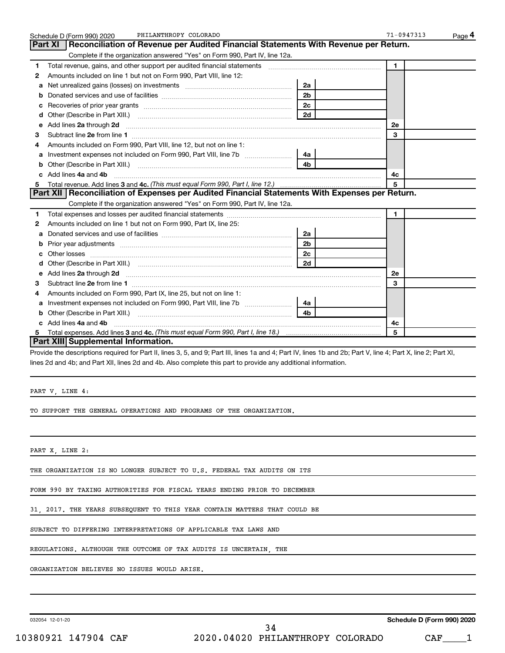|    | PHILANTHROPY COLORADO<br>Schedule D (Form 990) 2020                                                                                                                                                                                 |                | $71 - 0947313$ | Page 4 |
|----|-------------------------------------------------------------------------------------------------------------------------------------------------------------------------------------------------------------------------------------|----------------|----------------|--------|
|    | Reconciliation of Revenue per Audited Financial Statements With Revenue per Return.<br>Part XI                                                                                                                                      |                |                |        |
|    | Complete if the organization answered "Yes" on Form 990, Part IV, line 12a.                                                                                                                                                         |                |                |        |
| 1  | Total revenue, gains, and other support per audited financial statements [111] [11] Total revenue, gains, and other support per audited financial statements                                                                        |                | $\mathbf{1}$   |        |
| 2  | Amounts included on line 1 but not on Form 990, Part VIII, line 12:                                                                                                                                                                 |                |                |        |
| a  |                                                                                                                                                                                                                                     | 2a             |                |        |
| b  |                                                                                                                                                                                                                                     | 2 <sub>b</sub> |                |        |
| с  |                                                                                                                                                                                                                                     | 2c             |                |        |
| d  |                                                                                                                                                                                                                                     | 2d             |                |        |
| е  | Add lines 2a through 2d                                                                                                                                                                                                             |                | 2e             |        |
| З  |                                                                                                                                                                                                                                     |                | 3              |        |
| 4  | Amounts included on Form 990, Part VIII, line 12, but not on line 1:                                                                                                                                                                |                |                |        |
| a  |                                                                                                                                                                                                                                     | 4a             |                |        |
| b  |                                                                                                                                                                                                                                     | 4 <sub>h</sub> |                |        |
| c. | Add lines 4a and 4b                                                                                                                                                                                                                 |                | 4с             |        |
| 5  | Total revenue. Add lines 3 and 4c. (This must equal Form 990, Part I, line 12.)                                                                                                                                                     |                | 5              |        |
|    | Part XII   Reconciliation of Expenses per Audited Financial Statements With Expenses per Return.                                                                                                                                    |                |                |        |
|    | Complete if the organization answered "Yes" on Form 990, Part IV, line 12a.                                                                                                                                                         |                |                |        |
| 1  |                                                                                                                                                                                                                                     |                | $\mathbf{1}$   |        |
| 2  | Amounts included on line 1 but not on Form 990, Part IX, line 25:                                                                                                                                                                   |                |                |        |
| a  |                                                                                                                                                                                                                                     | 2a             |                |        |
| b  |                                                                                                                                                                                                                                     | 2 <sub>b</sub> |                |        |
| c  |                                                                                                                                                                                                                                     | 2c             |                |        |
| d  |                                                                                                                                                                                                                                     | 2d             |                |        |
| е  | Add lines 2a through 2d <b>contained a contained a contained a contained a</b> contained a contained a contained a contained a contained a contained a contained a contained a contained a contained a contained a contained a cont |                | <b>2e</b>      |        |
| З  |                                                                                                                                                                                                                                     |                | 3              |        |
| 4  | Amounts included on Form 990, Part IX, line 25, but not on line 1:                                                                                                                                                                  |                |                |        |
| a  | Investment expenses not included on Form 990, Part VIII, line 7b [[[[[[[[[[[[[[[[[[[[[[]]]]]]]                                                                                                                                      | 4a l           |                |        |
| b  |                                                                                                                                                                                                                                     | 4h             |                |        |
| c  | Add lines 4a and 4b                                                                                                                                                                                                                 |                | 4c             |        |
| 5  |                                                                                                                                                                                                                                     |                | 5              |        |
|    | Part XIII Supplemental Information.                                                                                                                                                                                                 |                |                |        |

Provide the descriptions required for Part II, lines 3, 5, and 9; Part III, lines 1a and 4; Part IV, lines 1b and 2b; Part V, line 4; Part X, line 2; Part XI, lines 2d and 4b; and Part XII, lines 2d and 4b. Also complete this part to provide any additional information.

PART V, LINE 4:

TO SUPPORT THE GENERAL OPERATIONS AND PROGRAMS OF THE ORGANIZATION.

PART X, LINE 2:

THE ORGANIZATION IS NO LONGER SUBJECT TO U.S. FEDERAL TAX AUDITS ON ITS

FORM 990 BY TAXING AUTHORITIES FOR FISCAL YEARS ENDING PRIOR TO DECEMBER

31, 2017. THE YEARS SUBSEQUENT TO THIS YEAR CONTAIN MATTERS THAT COULD BE

SUBJECT TO DIFFERING INTERPRETATIONS OF APPLICABLE TAX LAWS AND

REGULATIONS. ALTHOUGH THE OUTCOME OF TAX AUDITS IS UNCERTAIN, THE

ORGANIZATION BELIEVES NO ISSUES WOULD ARISE.

032054 12-01-20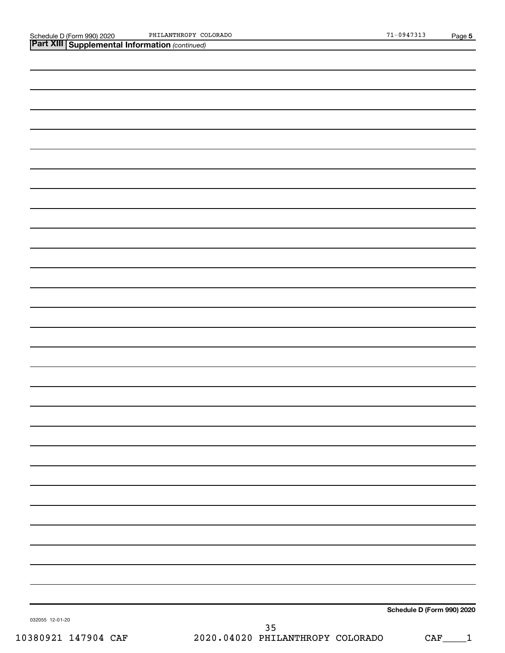Schedule D (Form 990) 2020 PHILANTHROPY COLORADO 71-0947313 PHILANTHROPY COLORADO

*(continued)* **Part XIII Supplemental Information** 

**Schedule D (Form 990) 2020**

032055 12-01-20

10380921 147904 CAF 2020.04020 PHILANTHROPY COLORADO CAF\_\_\_\_1 35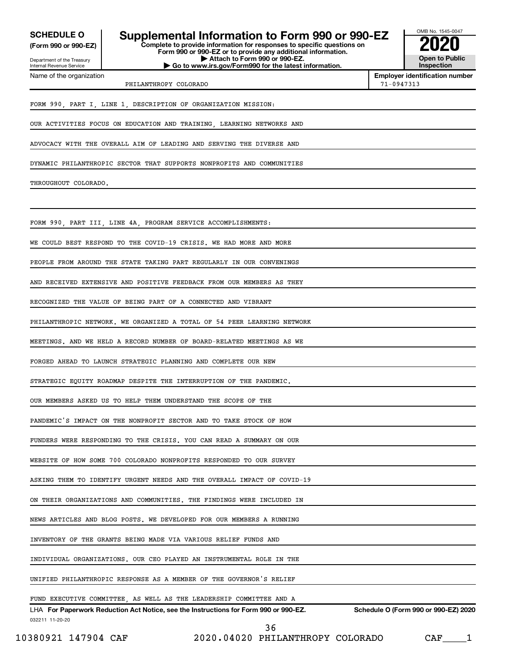**(Form 990 or 990-EZ)**

Department of the Treasury Internal Revenue Service Name of the organization

# **Complete to provide information for responses to specific questions on SCHEDULE O Supplemental Information to Form 990 or 990-EZ 2020**

**Form 990 or 990-EZ or to provide any additional information. | Attach to Form 990 or 990-EZ. | Go to www.irs.gov/Form990 for the latest information.**



**Employer identification number**

PHILANTHROPY COLORADO 71-0947313

FORM 990, PART I, LINE 1, DESCRIPTION OF ORGANIZATION MISSION:

OUR ACTIVITIES FOCUS ON EDUCATION AND TRAINING, LEARNING NETWORKS AND

ADVOCACY WITH THE OVERALL AIM OF LEADING AND SERVING THE DIVERSE AND

DYNAMIC PHILANTHROPIC SECTOR THAT SUPPORTS NONPROFITS AND COMMUNITIES

THROUGHOUT COLORADO.

FORM 990, PART III, LINE 4A, PROGRAM SERVICE ACCOMPLISHMENTS:

WE COULD BEST RESPOND TO THE COVID-19 CRISIS. WE HAD MORE AND MORE

PEOPLE FROM AROUND THE STATE TAKING PART REGULARLY IN OUR CONVENINGS

AND RECEIVED EXTENSIVE AND POSITIVE FEEDBACK FROM OUR MEMBERS AS THEY

RECOGNIZED THE VALUE OF BEING PART OF A CONNECTED AND VIBRANT

PHILANTHROPIC NETWORK. WE ORGANIZED A TOTAL OF 54 PEER LEARNING NETWORK

MEETINGS. AND WE HELD A RECORD NUMBER OF BOARD-RELATED MEETINGS AS WE

FORGED AHEAD TO LAUNCH STRATEGIC PLANNING AND COMPLETE OUR NEW

STRATEGIC EQUITY ROADMAP DESPITE THE INTERRUPTION OF THE PANDEMIC.

OUR MEMBERS ASKED US TO HELP THEM UNDERSTAND THE SCOPE OF THE

PANDEMIC'S IMPACT ON THE NONPROFIT SECTOR AND TO TAKE STOCK OF HOW

FUNDERS WERE RESPONDING TO THE CRISIS. YOU CAN READ A SUMMARY ON OUR

WEBSITE OF HOW SOME 700 COLORADO NONPROFITS RESPONDED TO OUR SURVEY

ASKING THEM TO IDENTIFY URGENT NEEDS AND THE OVERALL IMPACT OF COVID-19

ON THEIR ORGANIZATIONS AND COMMUNITIES. THE FINDINGS WERE INCLUDED IN

NEWS ARTICLES AND BLOG POSTS. WE DEVELOPED FOR OUR MEMBERS A RUNNING

INVENTORY OF THE GRANTS BEING MADE VIA VARIOUS RELIEF FUNDS AND

INDIVIDUAL ORGANIZATIONS. OUR CEO PLAYED AN INSTRUMENTAL ROLE IN THE

UNIFIED PHILANTHROPIC RESPONSE AS A MEMBER OF THE GOVERNOR'S RELIEF

#### FUND EXECUTIVE COMMITTEE, AS WELL AS THE LEADERSHIP COMMITTEE AND A

032211 11-20-20 **For Paperwork Reduction Act Notice, see the Instructions for Form 990 or 990-EZ. Schedule O (Form 990 or 990-EZ) 2020** LHA

10380921 147904 CAF 2020.04020 PHILANTHROPY COLORADO CAF\_\_\_\_1

36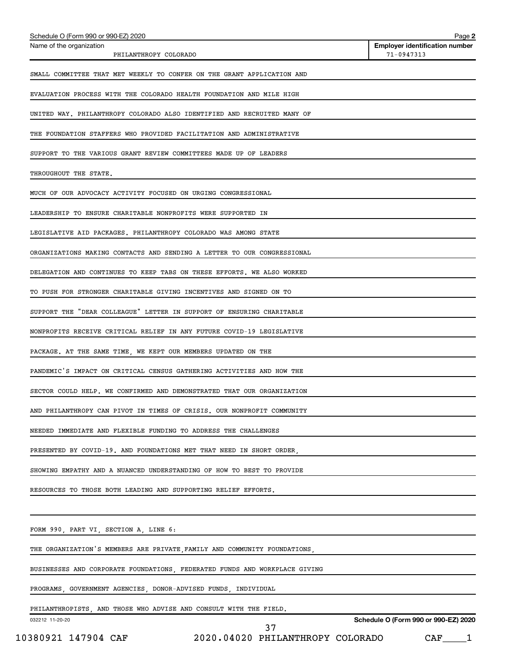| Schedule O (Form 990 or 990-EZ) 2020                                       |                                                                           | Page 2                                              |
|----------------------------------------------------------------------------|---------------------------------------------------------------------------|-----------------------------------------------------|
| Name of the organization<br>PHILANTHROPY COLORADO                          |                                                                           | <b>Employer identification number</b><br>71-0947313 |
| SMALL COMMITTEE THAT MET WEEKLY TO CONFER ON THE GRANT APPLICATION AND     |                                                                           |                                                     |
| EVALUATION PROCESS WITH THE COLORADO HEALTH FOUNDATION AND MILE HIGH       |                                                                           |                                                     |
| UNITED WAY. PHILANTHROPY COLORADO ALSO IDENTIFIED AND RECRUITED MANY OF    |                                                                           |                                                     |
| THE FOUNDATION STAFFERS WHO PROVIDED FACILITATION AND ADMINISTRATIVE       |                                                                           |                                                     |
| SUPPORT TO THE VARIOUS GRANT REVIEW COMMITTEES MADE UP OF LEADERS          |                                                                           |                                                     |
| THROUGHOUT THE STATE.                                                      |                                                                           |                                                     |
| MUCH OF OUR ADVOCACY ACTIVITY FOCUSED ON URGING CONGRESSIONAL              |                                                                           |                                                     |
| LEADERSHIP TO ENSURE CHARITABLE NONPROFITS WERE SUPPORTED IN               |                                                                           |                                                     |
| LEGISLATIVE AID PACKAGES. PHILANTHROPY COLORADO WAS AMONG STATE            |                                                                           |                                                     |
| ORGANIZATIONS MAKING CONTACTS AND SENDING A LETTER TO OUR CONGRESSIONAL    |                                                                           |                                                     |
| DELEGATION AND CONTINUES TO KEEP TABS ON THESE EFFORTS. WE ALSO WORKED     |                                                                           |                                                     |
| TO PUSH FOR STRONGER CHARITABLE GIVING INCENTIVES AND SIGNED ON TO         |                                                                           |                                                     |
| SUPPORT THE "DEAR COLLEAGUE" LETTER IN SUPPORT OF ENSURING CHARITABLE      |                                                                           |                                                     |
| NONPROFITS RECEIVE CRITICAL RELIEF IN ANY FUTURE COVID-19 LEGISLATIVE      |                                                                           |                                                     |
| PACKAGE. AT THE SAME TIME, WE KEPT OUR MEMBERS UPDATED ON THE              |                                                                           |                                                     |
| PANDEMIC'S IMPACT ON CRITICAL CENSUS GATHERING ACTIVITIES AND HOW THE      |                                                                           |                                                     |
| SECTOR COULD HELP. WE CONFIRMED AND DEMONSTRATED THAT OUR ORGANIZATION     |                                                                           |                                                     |
| AND PHILANTHROPY CAN PIVOT IN TIMES OF CRISIS. OUR NONPROFIT COMMUNITY     |                                                                           |                                                     |
| NEEDED IMMEDIATE AND FLEXIBLE FUNDING TO ADDRESS THE CHALLENGES            |                                                                           |                                                     |
|                                                                            | PRESENTED BY COVID-19. AND FOUNDATIONS MET THAT NEED IN SHORT ORDER,      |                                                     |
| SHOWING EMPATHY AND A NUANCED UNDERSTANDING OF HOW TO BEST TO PROVIDE      |                                                                           |                                                     |
| RESOURCES TO THOSE BOTH LEADING AND SUPPORTING RELIEF EFFORTS.             |                                                                           |                                                     |
| FORM 990, PART VI, SECTION A, LINE 6:                                      |                                                                           |                                                     |
|                                                                            | THE ORGANIZATION'S MEMBERS ARE PRIVATE, FAMILY AND COMMUNITY FOUNDATIONS, |                                                     |
| BUSINESSES AND CORPORATE FOUNDATIONS, FEDERATED FUNDS AND WORKPLACE GIVING |                                                                           |                                                     |
| PROGRAMS, GOVERNMENT AGENCIES, DONOR-ADVISED FUNDS, INDIVIDUAL             |                                                                           |                                                     |
| PHILANTHROPISTS, AND THOSE WHO ADVISE AND CONSULT WITH THE FIELD.          |                                                                           |                                                     |
| 032212 11-20-20                                                            | 37                                                                        | Schedule O (Form 990 or 990-EZ) 2020                |
| 10380921 147904 CAF                                                        | 2020.04020 PHILANTHROPY COLORADO                                          | CAF <sub>1</sub>                                    |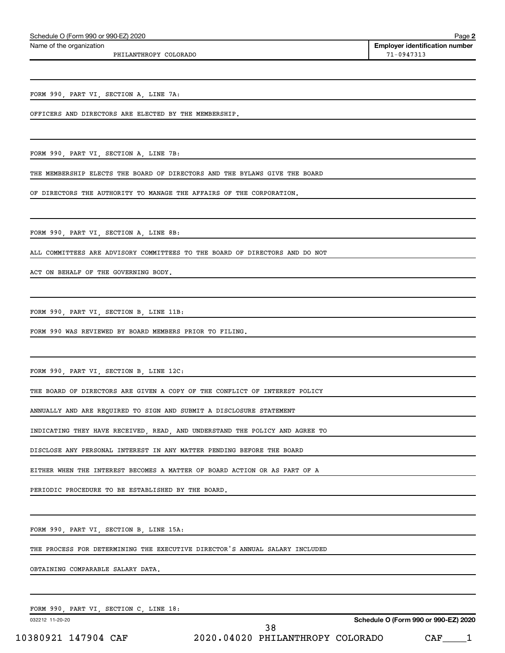Name of the organization

PHILANTHROPY COLORADO **120 ASSEMBLE 2012 12:00 ASSEMBLE 2014** 71-0947313

**Employer identification number**

**2**

FORM 990, PART VI, SECTION A, LINE 7A:

OFFICERS AND DIRECTORS ARE ELECTED BY THE MEMBERSHIP.

FORM 990, PART VI, SECTION A, LINE 7B:

THE MEMBERSHIP ELECTS THE BOARD OF DIRECTORS AND THE BYLAWS GIVE THE BOARD

OF DIRECTORS THE AUTHORITY TO MANAGE THE AFFAIRS OF THE CORPORATION.

FORM 990, PART VI, SECTION A, LINE 8B:

ALL COMMITTEES ARE ADVISORY COMMITTEES TO THE BOARD OF DIRECTORS AND DO NOT

ACT ON BEHALF OF THE GOVERNING BODY.

FORM 990, PART VI, SECTION B, LINE 11B:

FORM 990 WAS REVIEWED BY BOARD MEMBERS PRIOR TO FILING.

FORM 990, PART VI, SECTION B, LINE 12C:

THE BOARD OF DIRECTORS ARE GIVEN A COPY OF THE CONFLICT OF INTEREST POLICY

ANNUALLY AND ARE REQUIRED TO SIGN AND SUBMIT A DISCLOSURE STATEMENT

INDICATING THEY HAVE RECEIVED, READ, AND UNDERSTAND THE POLICY AND AGREE TO

DISCLOSE ANY PERSONAL INTEREST IN ANY MATTER PENDING BEFORE THE BOARD

EITHER WHEN THE INTEREST BECOMES A MATTER OF BOARD ACTION OR AS PART OF A

PERIODIC PROCEDURE TO BE ESTABLISHED BY THE BOARD.

FORM 990, PART VI, SECTION B, LINE 15A:

THE PROCESS FOR DETERMINING THE EXECUTIVE DIRECTOR'S ANNUAL SALARY INCLUDED

OBTAINING COMPARABLE SALARY DATA.

FORM 990, PART VI, SECTION C, LINE 18:

032212 11-20-20

10380921 147904 CAF 2020.04020 PHILANTHROPY COLORADO CAF\_\_\_\_1 38

**Schedule O (Form 990 or 990-EZ) 2020**